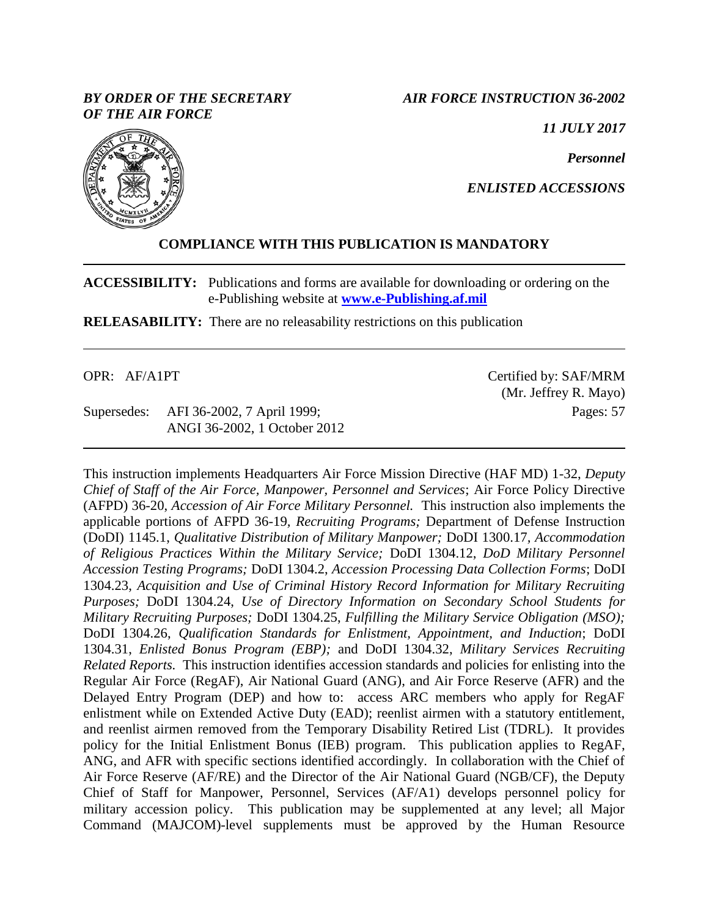## *BY ORDER OF THE SECRETARY OF THE AIR FORCE*

*AIR FORCE INSTRUCTION 36-2002*

*11 JULY 2017*

*Personnel*

*ENLISTED ACCESSIONS*

# **COMPLIANCE WITH THIS PUBLICATION IS MANDATORY**

**ACCESSIBILITY:** Publications and forms are available for downloading or ordering on the e-Publishing website at **[www.e-Publishing.af.mil](http://www.e-publishing.af.mil/)**

**RELEASABILITY:** There are no releasability restrictions on this publication

OPR: AF/A1PT

Supersedes: AFI 36-2002, 7 April 1999; ANGI 36-2002, 1 October 2012 Certified by: SAF/MRM (Mr. Jeffrey R. Mayo) Pages: 57

This instruction implements Headquarters Air Force Mission Directive (HAF MD) 1-32, *Deputy Chief of Staff of the Air Force, Manpower, Personnel and Services*; Air Force Policy Directive (AFPD) 36-20, *Accession of Air Force Military Personnel.* This instruction also implements the applicable portions of AFPD 36-19*, Recruiting Programs;* Department of Defense Instruction (DoDI) 1145.1, *Qualitative Distribution of Military Manpower;* DoDI 1300.17*, Accommodation of Religious Practices Within the Military Service;* DoDI 1304.12, *DoD Military Personnel Accession Testing Programs;* DoDI 1304.2, *Accession Processing Data Collection Forms*; DoDI 1304.23, *Acquisition and Use of Criminal History Record Information for Military Recruiting Purposes;* DoDI 1304.24, *Use of Directory Information on Secondary School Students for Military Recruiting Purposes;* DoDI 1304.25, *Fulfilling the Military Service Obligation (MSO);*  DoDI 1304.26, *Qualification Standards for Enlistment, Appointment, and Induction*; DoDI 1304.31, *Enlisted Bonus Program (EBP);* and DoDI 1304.32, *Military Services Recruiting Related Reports.* This instruction identifies accession standards and policies for enlisting into the Regular Air Force (RegAF), Air National Guard (ANG), and Air Force Reserve (AFR) and the Delayed Entry Program (DEP) and how to: access ARC members who apply for RegAF enlistment while on Extended Active Duty (EAD); reenlist airmen with a statutory entitlement, and reenlist airmen removed from the Temporary Disability Retired List (TDRL). It provides policy for the Initial Enlistment Bonus (IEB) program. This publication applies to RegAF, ANG, and AFR with specific sections identified accordingly. In collaboration with the Chief of Air Force Reserve (AF/RE) and the Director of the Air National Guard (NGB/CF), the Deputy Chief of Staff for Manpower, Personnel, Services (AF/A1) develops personnel policy for military accession policy. This publication may be supplemented at any level; all Major Command (MAJCOM)-level supplements must be approved by the Human Resource

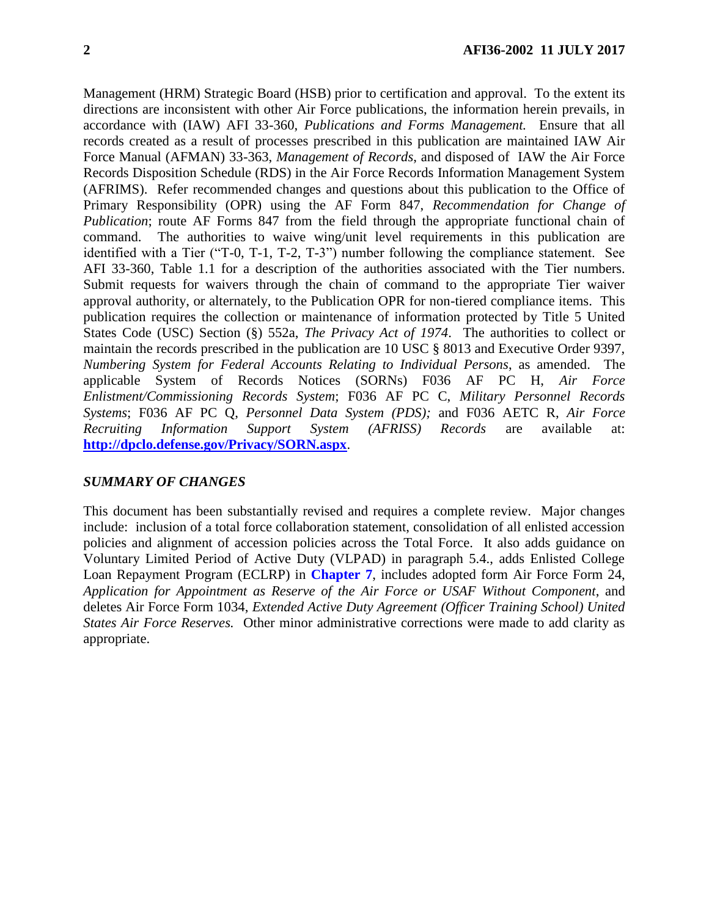Management (HRM) Strategic Board (HSB) prior to certification and approval. To the extent its directions are inconsistent with other Air Force publications, the information herein prevails, in accordance with (IAW) AFI 33-360, *Publications and Forms Management.* Ensure that all records created as a result of processes prescribed in this publication are maintained IAW Air Force Manual (AFMAN) 33-363, *Management of Records*, and disposed of IAW the Air Force Records Disposition Schedule (RDS) in the Air Force Records Information Management System (AFRIMS). Refer recommended changes and questions about this publication to the Office of Primary Responsibility (OPR) using the AF Form 847, *Recommendation for Change of Publication*; route AF Forms 847 from the field through the appropriate functional chain of command. The authorities to waive wing/unit level requirements in this publication are identified with a Tier ("T-0, T-1, T-2, T-3") number following the compliance statement. See AFI 33-360, Table 1.1 for a description of the authorities associated with the Tier numbers. Submit requests for waivers through the chain of command to the appropriate Tier waiver approval authority, or alternately, to the Publication OPR for non-tiered compliance items. This publication requires the collection or maintenance of information protected by Title 5 United States Code (USC) Section (§) 552a, *The Privacy Act of 1974*. The authorities to collect or maintain the records prescribed in the publication are 10 USC § 8013 and Executive Order 9397, *Numbering System for Federal Accounts Relating to Individual Persons*, as amended. The applicable System of Records Notices (SORNs) F036 AF PC H, *Air Force Enlistment/Commissioning Records System*; F036 AF PC C, *Military Personnel Records Systems*; F036 AF PC Q, *Personnel Data System (PDS);* and F036 AETC R, *Air Force Recruiting Information Support System (AFRISS) Records* are available at: **<http://dpclo.defense.gov/Privacy/SORN.aspx>**.

## *SUMMARY OF CHANGES*

This document has been substantially revised and requires a complete review. Major changes include: inclusion of a total force collaboration statement, consolidation of all enlisted accession policies and alignment of accession policies across the Total Force. It also adds guidance on Voluntary Limited Period of Active Duty (VLPAD) in paragraph 5.4., adds Enlisted College Loan Repayment Program (ECLRP) in **[Chapter](#page-29-0) 7**, includes adopted form Air Force Form 24, *Application for Appointment as Reserve of the Air Force or USAF Without Component*, and deletes Air Force Form 1034, *Extended Active Duty Agreement (Officer Training School) United States Air Force Reserves.* Other minor administrative corrections were made to add clarity as appropriate.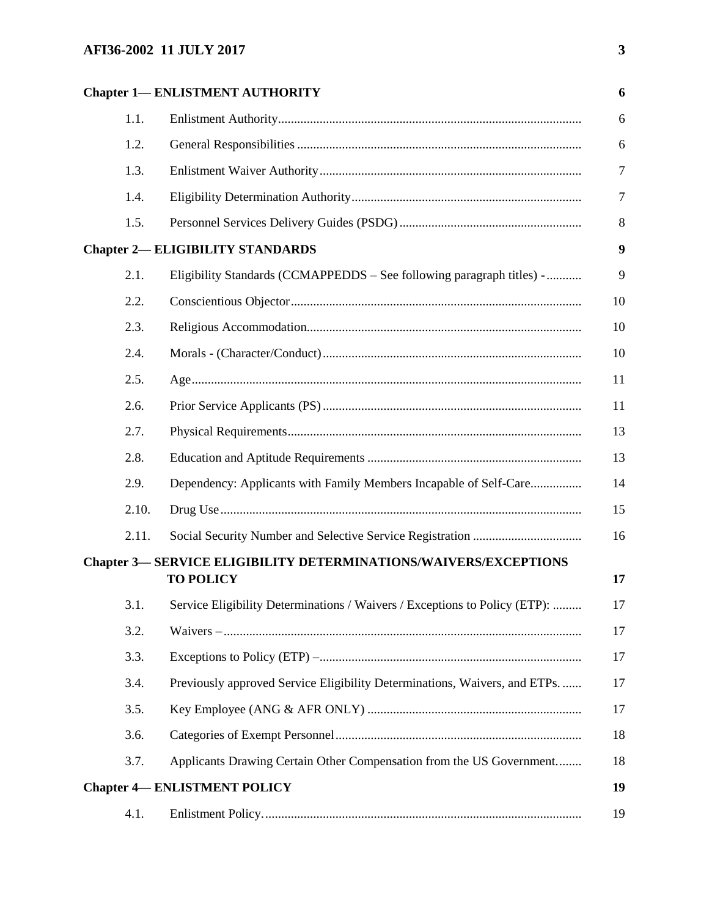# **AFI36-2002 11 JULY 2017 3**

|       | <b>Chapter 1— ENLISTMENT AUTHORITY</b>                                                      |
|-------|---------------------------------------------------------------------------------------------|
| 1.1.  |                                                                                             |
| 1.2.  |                                                                                             |
| 1.3.  |                                                                                             |
| 1.4.  |                                                                                             |
| 1.5.  |                                                                                             |
|       | <b>Chapter 2-ELIGIBILITY STANDARDS</b>                                                      |
| 2.1.  | Eligibility Standards (CCMAPPEDDS - See following paragraph titles) -                       |
| 2.2.  |                                                                                             |
| 2.3.  |                                                                                             |
| 2.4.  |                                                                                             |
| 2.5.  |                                                                                             |
| 2.6.  |                                                                                             |
| 2.7.  |                                                                                             |
| 2.8.  |                                                                                             |
| 2.9.  | Dependency: Applicants with Family Members Incapable of Self-Care                           |
| 2.10. |                                                                                             |
| 2.11. |                                                                                             |
|       | <b>Chapter 3— SERVICE ELIGIBILITY DETERMINATIONS/WAIVERS/EXCEPTIONS</b><br><b>TO POLICY</b> |
| 3.1.  | Service Eligibility Determinations / Waivers / Exceptions to Policy (ETP):                  |
| 3.2.  |                                                                                             |
| 3.3.  |                                                                                             |
| 3.4.  | Previously approved Service Eligibility Determinations, Waivers, and ETPs                   |
| 3.5.  |                                                                                             |
| 3.6.  |                                                                                             |
| 3.7.  | Applicants Drawing Certain Other Compensation from the US Government                        |
|       | <b>Chapter 4-ENLISTMENT POLICY</b>                                                          |
| 4.1.  |                                                                                             |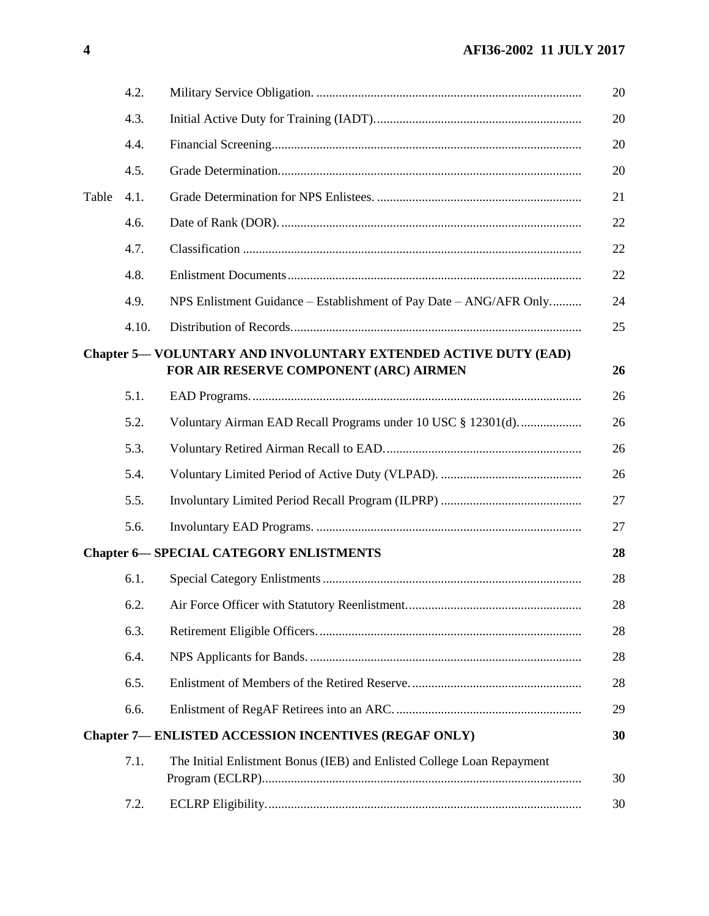|       | 4.2.  |                                                                                                                  |
|-------|-------|------------------------------------------------------------------------------------------------------------------|
|       | 4.3.  |                                                                                                                  |
|       | 4.4.  |                                                                                                                  |
|       | 4.5.  |                                                                                                                  |
| Table | 4.1.  |                                                                                                                  |
|       | 4.6.  |                                                                                                                  |
|       | 4.7.  |                                                                                                                  |
|       | 4.8.  |                                                                                                                  |
|       | 4.9.  | NPS Enlistment Guidance – Establishment of Pay Date – ANG/AFR Only                                               |
|       | 4.10. |                                                                                                                  |
|       |       | <b>Chapter 5— VOLUNTARY AND INVOLUNTARY EXTENDED ACTIVE DUTY (EAD)</b><br>FOR AIR RESERVE COMPONENT (ARC) AIRMEN |
|       | 5.1.  |                                                                                                                  |
|       | 5.2.  | Voluntary Airman EAD Recall Programs under 10 USC § 12301(d)                                                     |
|       | 5.3.  |                                                                                                                  |
|       | 5.4.  |                                                                                                                  |
|       | 5.5.  |                                                                                                                  |
|       | 5.6.  |                                                                                                                  |
|       |       | <b>Chapter 6-SPECIAL CATEGORY ENLISTMENTS</b>                                                                    |
|       | 6.1.  |                                                                                                                  |
|       | 6.2.  |                                                                                                                  |
|       | 6.3.  |                                                                                                                  |
|       | 6.4.  |                                                                                                                  |
|       | 6.5.  |                                                                                                                  |
|       | 6.6.  |                                                                                                                  |
|       |       | <b>Chapter 7— ENLISTED ACCESSION INCENTIVES (REGAF ONLY)</b>                                                     |
|       | 7.1.  | The Initial Enlistment Bonus (IEB) and Enlisted College Loan Repayment                                           |
|       | 7.2.  |                                                                                                                  |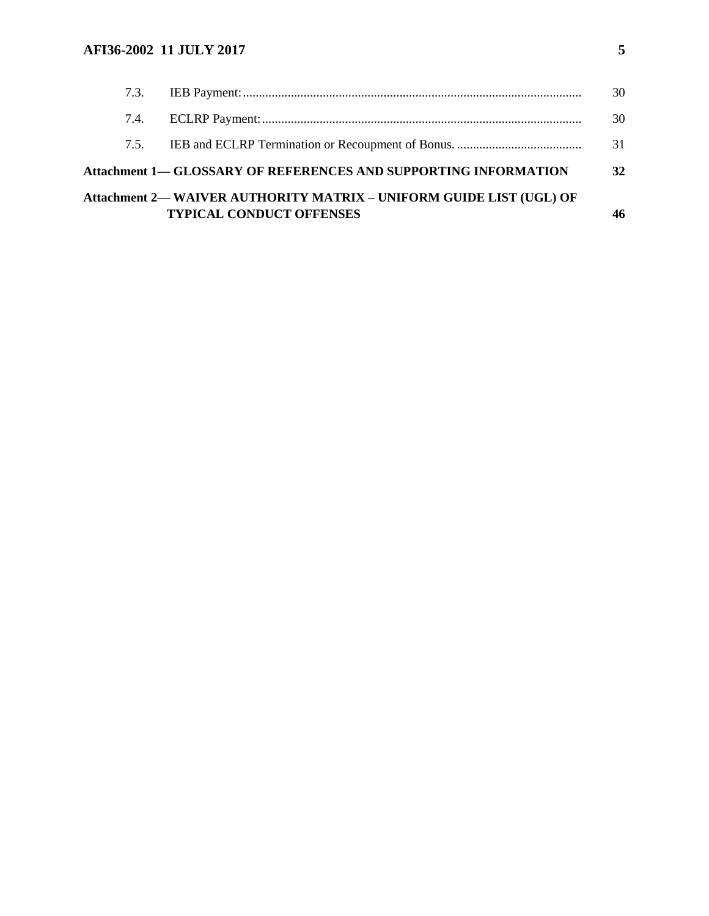# **AFI36-2002 11 JULY 2017 5**

|      | Attachment 2- WAIVER AUTHORITY MATRIX - UNIFORM GUIDE LIST (UGL) OF<br><b>TYPICAL CONDUCT OFFENSES</b> | 46 |
|------|--------------------------------------------------------------------------------------------------------|----|
|      | Attachment 1— GLOSSARY OF REFERENCES AND SUPPORTING INFORMATION                                        | 32 |
| 7.5. |                                                                                                        | 31 |
| 7.4. |                                                                                                        | 30 |
|      |                                                                                                        | 30 |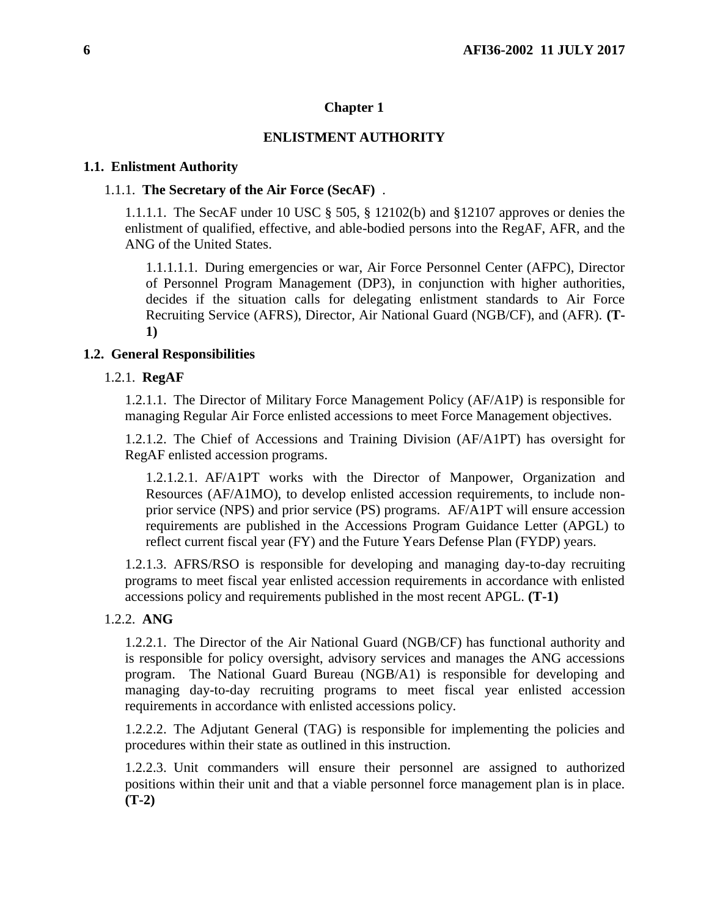# **Chapter 1**

# **ENLISTMENT AUTHORITY**

## <span id="page-5-1"></span><span id="page-5-0"></span>**1.1. Enlistment Authority**

# 1.1.1. **The Secretary of the Air Force (SecAF)** .

1.1.1.1. The SecAF under 10 USC § 505, § 12102(b) and §12107 approves or denies the enlistment of qualified, effective, and able-bodied persons into the RegAF, AFR, and the ANG of the United States.

1.1.1.1.1. During emergencies or war, Air Force Personnel Center (AFPC), Director of Personnel Program Management (DP3), in conjunction with higher authorities, decides if the situation calls for delegating enlistment standards to Air Force Recruiting Service (AFRS), Director, Air National Guard (NGB/CF), and (AFR). **(T-1)**

# <span id="page-5-2"></span>**1.2. General Responsibilities**

# 1.2.1. **RegAF**

1.2.1.1. The Director of Military Force Management Policy (AF/A1P) is responsible for managing Regular Air Force enlisted accessions to meet Force Management objectives.

1.2.1.2. The Chief of Accessions and Training Division (AF/A1PT) has oversight for RegAF enlisted accession programs.

1.2.1.2.1. AF/A1PT works with the Director of Manpower, Organization and Resources (AF/A1MO), to develop enlisted accession requirements, to include nonprior service (NPS) and prior service (PS) programs. AF/A1PT will ensure accession requirements are published in the Accessions Program Guidance Letter (APGL) to reflect current fiscal year (FY) and the Future Years Defense Plan (FYDP) years.

1.2.1.3. AFRS/RSO is responsible for developing and managing day-to-day recruiting programs to meet fiscal year enlisted accession requirements in accordance with enlisted accessions policy and requirements published in the most recent APGL. **(T-1)**

## 1.2.2. **ANG**

1.2.2.1. The Director of the Air National Guard (NGB/CF) has functional authority and is responsible for policy oversight, advisory services and manages the ANG accessions program. The National Guard Bureau (NGB/A1) is responsible for developing and managing day-to-day recruiting programs to meet fiscal year enlisted accession requirements in accordance with enlisted accessions policy.

1.2.2.2. The Adjutant General (TAG) is responsible for implementing the policies and procedures within their state as outlined in this instruction.

1.2.2.3. Unit commanders will ensure their personnel are assigned to authorized positions within their unit and that a viable personnel force management plan is in place. **(T-2)**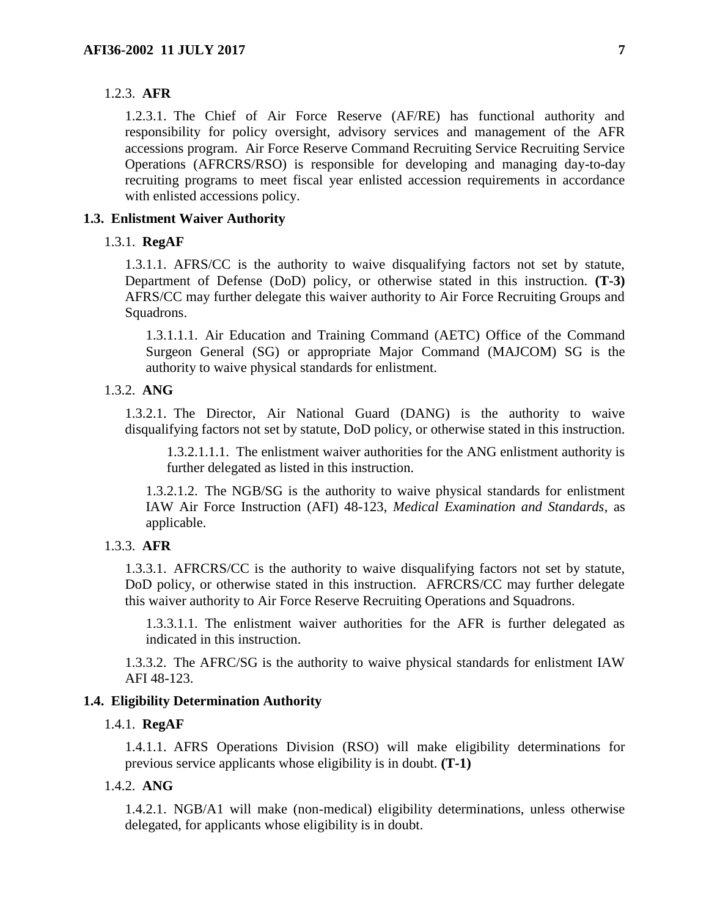## 1.2.3. **AFR**

1.2.3.1. The Chief of Air Force Reserve (AF/RE) has functional authority and responsibility for policy oversight, advisory services and management of the AFR accessions program. Air Force Reserve Command Recruiting Service Recruiting Service Operations (AFRCRS/RSO) is responsible for developing and managing day-to-day recruiting programs to meet fiscal year enlisted accession requirements in accordance with enlisted accessions policy.

## <span id="page-6-0"></span>**1.3. Enlistment Waiver Authority**

#### 1.3.1. **RegAF**

1.3.1.1. AFRS/CC is the authority to waive disqualifying factors not set by statute, Department of Defense (DoD) policy, or otherwise stated in this instruction. **(T-3)** AFRS/CC may further delegate this waiver authority to Air Force Recruiting Groups and Squadrons.

1.3.1.1.1. Air Education and Training Command (AETC) Office of the Command Surgeon General (SG) or appropriate Major Command (MAJCOM) SG is the authority to waive physical standards for enlistment.

# 1.3.2. **ANG**

1.3.2.1. The Director, Air National Guard (DANG) is the authority to waive disqualifying factors not set by statute, DoD policy, or otherwise stated in this instruction.

1.3.2.1.1.1. The enlistment waiver authorities for the ANG enlistment authority is further delegated as listed in this instruction.

1.3.2.1.2. The NGB/SG is the authority to waive physical standards for enlistment IAW Air Force Instruction (AFI) 48-123, *Medical Examination and Standards*, as applicable.

### 1.3.3. **AFR**

1.3.3.1. AFRCRS/CC is the authority to waive disqualifying factors not set by statute, DoD policy, or otherwise stated in this instruction. AFRCRS/CC may further delegate this waiver authority to Air Force Reserve Recruiting Operations and Squadrons.

1.3.3.1.1. The enlistment waiver authorities for the AFR is further delegated as indicated in this instruction.

1.3.3.2. The AFRC/SG is the authority to waive physical standards for enlistment IAW AFI 48-123.

## <span id="page-6-1"></span>**1.4. Eligibility Determination Authority**

## 1.4.1. **RegAF**

1.4.1.1. AFRS Operations Division (RSO) will make eligibility determinations for previous service applicants whose eligibility is in doubt. **(T-1)**

#### 1.4.2. **ANG**

1.4.2.1. NGB/A1 will make (non-medical) eligibility determinations, unless otherwise delegated, for applicants whose eligibility is in doubt.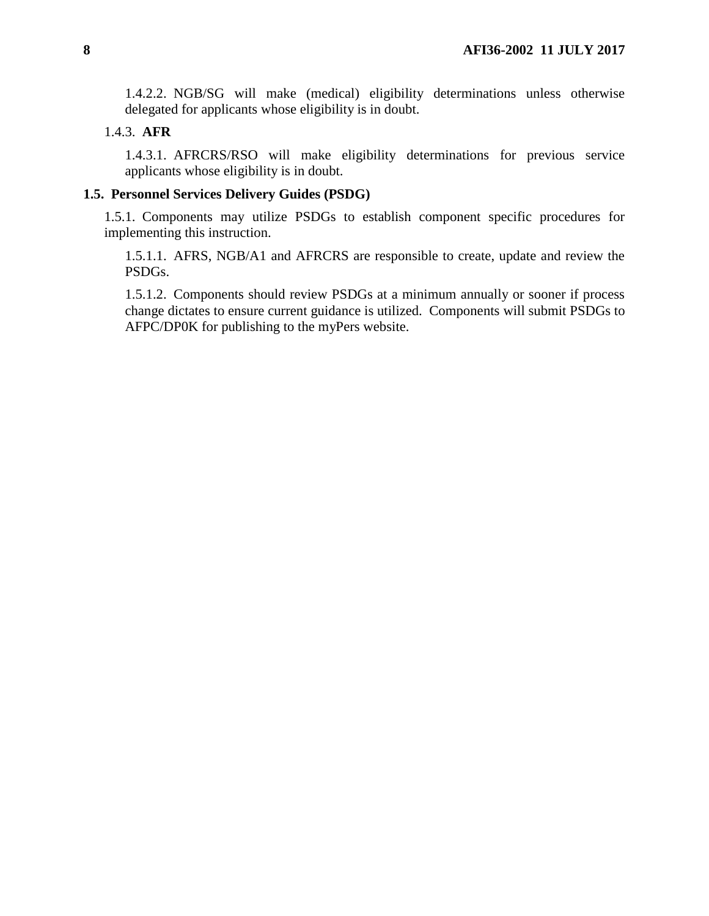1.4.2.2. NGB/SG will make (medical) eligibility determinations unless otherwise delegated for applicants whose eligibility is in doubt.

1.4.3. **AFR**

1.4.3.1. AFRCRS/RSO will make eligibility determinations for previous service applicants whose eligibility is in doubt.

#### <span id="page-7-0"></span>**1.5. Personnel Services Delivery Guides (PSDG)**

1.5.1. Components may utilize PSDGs to establish component specific procedures for implementing this instruction.

1.5.1.1. AFRS, NGB/A1 and AFRCRS are responsible to create, update and review the PSDGs.

1.5.1.2. Components should review PSDGs at a minimum annually or sooner if process change dictates to ensure current guidance is utilized. Components will submit PSDGs to AFPC/DP0K for publishing to the myPers website.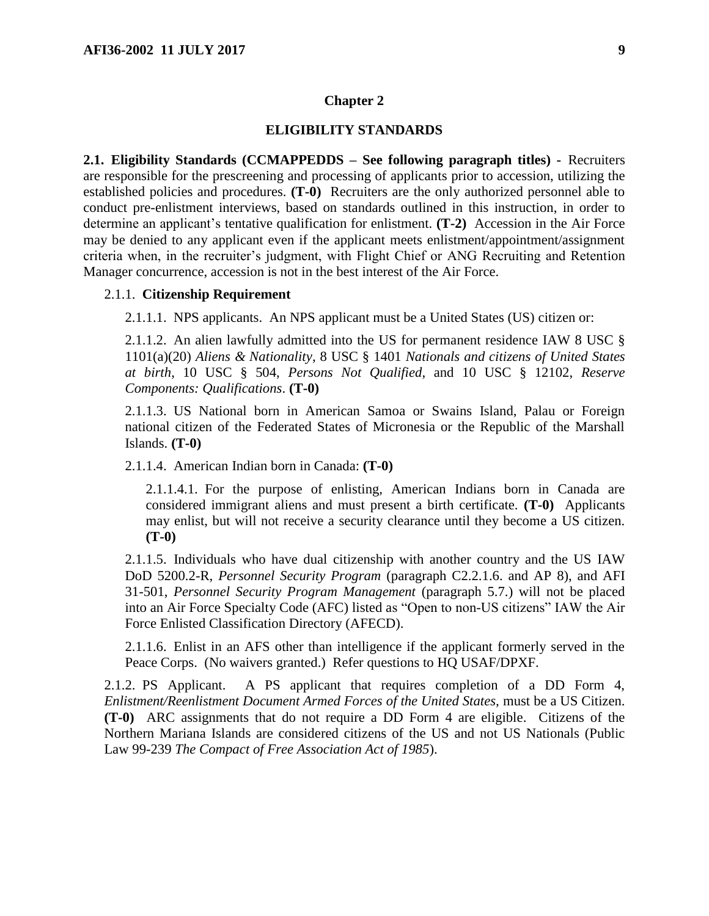#### **Chapter 2**

#### **ELIGIBILITY STANDARDS**

<span id="page-8-1"></span><span id="page-8-0"></span>**2.1. Eligibility Standards (CCMAPPEDDS – See following paragraph titles) -** Recruiters are responsible for the prescreening and processing of applicants prior to accession, utilizing the established policies and procedures. **(T-0)** Recruiters are the only authorized personnel able to conduct pre-enlistment interviews, based on standards outlined in this instruction, in order to determine an applicant's tentative qualification for enlistment. **(T-2)** Accession in the Air Force may be denied to any applicant even if the applicant meets enlistment/appointment/assignment criteria when, in the recruiter's judgment, with Flight Chief or ANG Recruiting and Retention Manager concurrence, accession is not in the best interest of the Air Force.

#### 2.1.1. **Citizenship Requirement**

2.1.1.1. NPS applicants. An NPS applicant must be a United States (US) citizen or:

2.1.1.2. An alien lawfully admitted into the US for permanent residence IAW 8 USC § 1101(a)(20) *Aliens & Nationality*, 8 USC § 1401 *Nationals and citizens of United States at birth*, 10 USC § 504, *Persons Not Qualified*, and 10 USC § 12102, *Reserve Components: Qualifications*. **(T-0)**

2.1.1.3. US National born in American Samoa or Swains Island, Palau or Foreign national citizen of the Federated States of Micronesia or the Republic of the Marshall Islands. **(T-0)**

2.1.1.4. American Indian born in Canada: **(T-0)**

2.1.1.4.1. For the purpose of enlisting, American Indians born in Canada are considered immigrant aliens and must present a birth certificate. **(T-0)** Applicants may enlist, but will not receive a security clearance until they become a US citizen. **(T-0)**

2.1.1.5. Individuals who have dual citizenship with another country and the US IAW DoD 5200.2-R, *Personnel Security Program* (paragraph C2.2.1.6. and AP 8), and AFI 31-501, *Personnel Security Program Management* (paragraph 5.7.) will not be placed into an Air Force Specialty Code (AFC) listed as "Open to non-US citizens" IAW the Air Force Enlisted Classification Directory (AFECD).

2.1.1.6. Enlist in an AFS other than intelligence if the applicant formerly served in the Peace Corps. (No waivers granted.) Refer questions to HQ USAF/DPXF.

2.1.2. PS Applicant. A PS applicant that requires completion of a DD Form 4, *Enlistment/Reenlistment Document Armed Forces of the United States,* must be a US Citizen. **(T-0)** ARC assignments that do not require a DD Form 4 are eligible. Citizens of the Northern Mariana Islands are considered citizens of the US and not US Nationals (Public Law 99-239 *The Compact of Free Association Act of 1985*).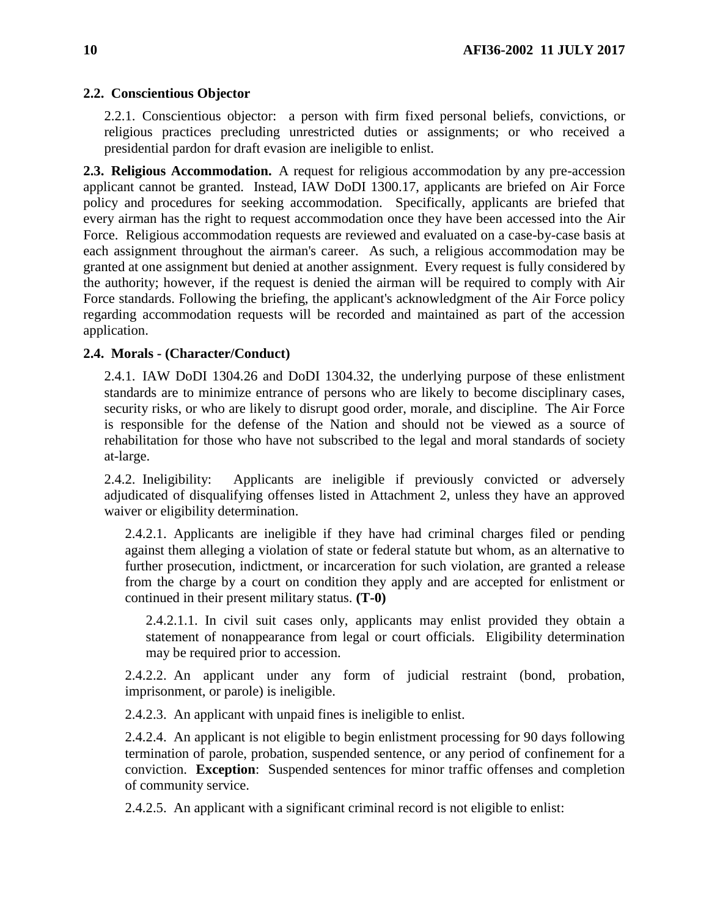## <span id="page-9-0"></span>**2.2. Conscientious Objector**

2.2.1. Conscientious objector: a person with firm fixed personal beliefs, convictions, or religious practices precluding unrestricted duties or assignments; or who received a presidential pardon for draft evasion are ineligible to enlist.

<span id="page-9-1"></span>**2.3. Religious Accommodation.** A request for religious accommodation by any pre-accession applicant cannot be granted. Instead, IAW DoDI 1300.17, applicants are briefed on Air Force policy and procedures for seeking accommodation. Specifically, applicants are briefed that every airman has the right to request accommodation once they have been accessed into the Air Force. Religious accommodation requests are reviewed and evaluated on a case-by-case basis at each assignment throughout the airman's career. As such, a religious accommodation may be granted at one assignment but denied at another assignment. Every request is fully considered by the authority; however, if the request is denied the airman will be required to comply with Air Force standards. Following the briefing, the applicant's acknowledgment of the Air Force policy regarding accommodation requests will be recorded and maintained as part of the accession application.

## <span id="page-9-2"></span>**2.4. Morals - (Character/Conduct)**

2.4.1. IAW DoDI 1304.26 and DoDI 1304.32, the underlying purpose of these enlistment standards are to minimize entrance of persons who are likely to become disciplinary cases, security risks, or who are likely to disrupt good order, morale, and discipline. The Air Force is responsible for the defense of the Nation and should not be viewed as a source of rehabilitation for those who have not subscribed to the legal and moral standards of society at-large.

2.4.2. Ineligibility: Applicants are ineligible if previously convicted or adversely adjudicated of disqualifying offenses listed in Attachment 2, unless they have an approved waiver or eligibility determination.

2.4.2.1. Applicants are ineligible if they have had criminal charges filed or pending against them alleging a violation of state or federal statute but whom, as an alternative to further prosecution, indictment, or incarceration for such violation, are granted a release from the charge by a court on condition they apply and are accepted for enlistment or continued in their present military status. **(T-0)**

2.4.2.1.1. In civil suit cases only, applicants may enlist provided they obtain a statement of nonappearance from legal or court officials. Eligibility determination may be required prior to accession.

2.4.2.2. An applicant under any form of judicial restraint (bond, probation, imprisonment, or parole) is ineligible.

2.4.2.3. An applicant with unpaid fines is ineligible to enlist.

2.4.2.4. An applicant is not eligible to begin enlistment processing for 90 days following termination of parole, probation, suspended sentence, or any period of confinement for a conviction. **Exception**: Suspended sentences for minor traffic offenses and completion of community service.

2.4.2.5. An applicant with a significant criminal record is not eligible to enlist: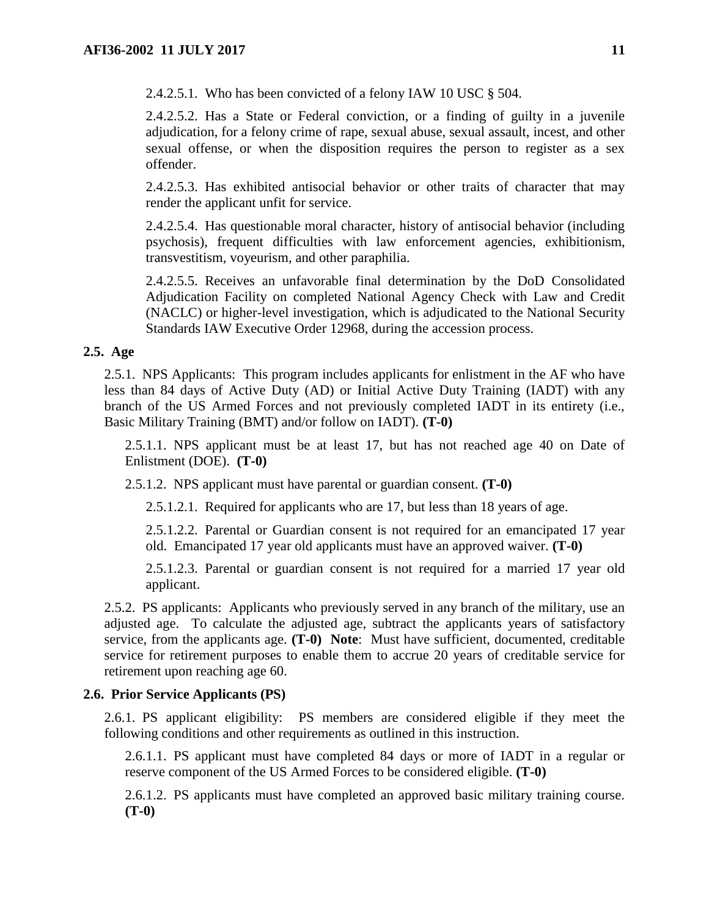2.4.2.5.1. Who has been convicted of a felony IAW 10 USC § 504.

2.4.2.5.2. Has a State or Federal conviction, or a finding of guilty in a juvenile adjudication, for a felony crime of rape, sexual abuse, sexual assault, incest, and other sexual offense, or when the disposition requires the person to register as a sex offender.

2.4.2.5.3. Has exhibited antisocial behavior or other traits of character that may render the applicant unfit for service.

2.4.2.5.4. Has questionable moral character, history of antisocial behavior (including psychosis), frequent difficulties with law enforcement agencies, exhibitionism, transvestitism, voyeurism, and other paraphilia.

2.4.2.5.5. Receives an unfavorable final determination by the DoD Consolidated Adjudication Facility on completed National Agency Check with Law and Credit (NACLC) or higher-level investigation, which is adjudicated to the National Security Standards IAW Executive Order 12968, during the accession process.

## <span id="page-10-0"></span>**2.5. Age**

2.5.1. NPS Applicants: This program includes applicants for enlistment in the AF who have less than 84 days of Active Duty (AD) or Initial Active Duty Training (IADT) with any branch of the US Armed Forces and not previously completed IADT in its entirety (i.e., Basic Military Training (BMT) and/or follow on IADT). **(T-0)**

2.5.1.1. NPS applicant must be at least 17, but has not reached age 40 on Date of Enlistment (DOE). **(T-0)**

2.5.1.2. NPS applicant must have parental or guardian consent. **(T-0)**

2.5.1.2.1. Required for applicants who are 17, but less than 18 years of age.

2.5.1.2.2. Parental or Guardian consent is not required for an emancipated 17 year old. Emancipated 17 year old applicants must have an approved waiver. **(T-0)**

2.5.1.2.3. Parental or guardian consent is not required for a married 17 year old applicant.

2.5.2. PS applicants: Applicants who previously served in any branch of the military, use an adjusted age. To calculate the adjusted age, subtract the applicants years of satisfactory service, from the applicants age. **(T-0) Note**: Must have sufficient, documented, creditable service for retirement purposes to enable them to accrue 20 years of creditable service for retirement upon reaching age 60.

## <span id="page-10-1"></span>**2.6. Prior Service Applicants (PS)**

2.6.1. PS applicant eligibility: PS members are considered eligible if they meet the following conditions and other requirements as outlined in this instruction.

2.6.1.1. PS applicant must have completed 84 days or more of IADT in a regular or reserve component of the US Armed Forces to be considered eligible. **(T-0)**

2.6.1.2. PS applicants must have completed an approved basic military training course. **(T-0)**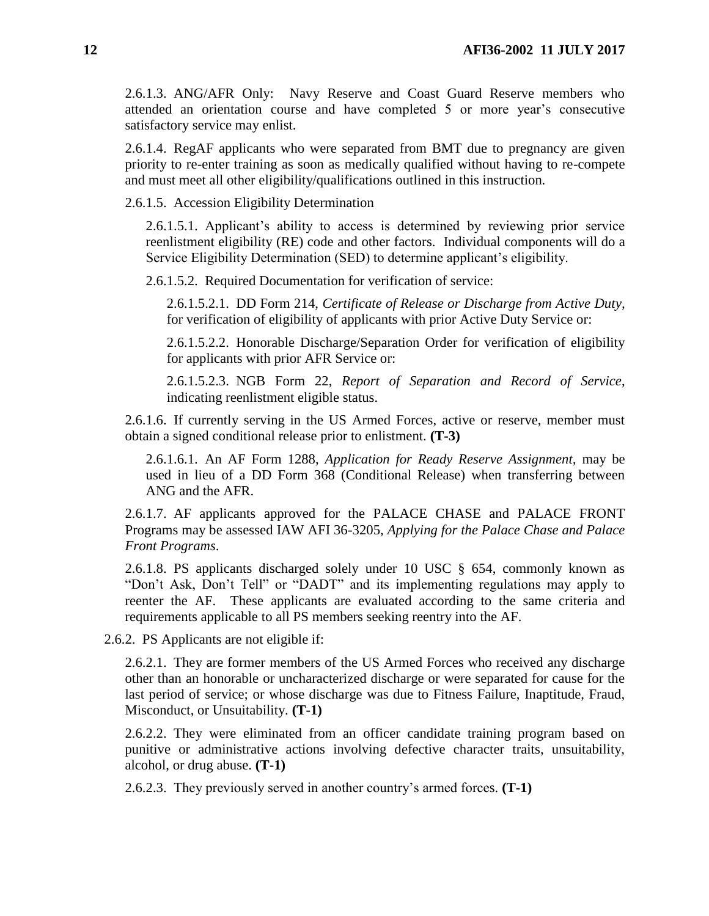2.6.1.3. ANG/AFR Only: Navy Reserve and Coast Guard Reserve members who attended an orientation course and have completed 5 or more year's consecutive satisfactory service may enlist.

2.6.1.4. RegAF applicants who were separated from BMT due to pregnancy are given priority to re-enter training as soon as medically qualified without having to re-compete and must meet all other eligibility/qualifications outlined in this instruction.

2.6.1.5. Accession Eligibility Determination

2.6.1.5.1. Applicant's ability to access is determined by reviewing prior service reenlistment eligibility (RE) code and other factors. Individual components will do a Service Eligibility Determination (SED) to determine applicant's eligibility.

2.6.1.5.2. Required Documentation for verification of service:

2.6.1.5.2.1. DD Form 214, *Certificate of Release or Discharge from Active Duty,* for verification of eligibility of applicants with prior Active Duty Service or:

2.6.1.5.2.2. Honorable Discharge/Separation Order for verification of eligibility for applicants with prior AFR Service or:

2.6.1.5.2.3. NGB Form 22, *Report of Separation and Record of Service*, indicating reenlistment eligible status.

2.6.1.6. If currently serving in the US Armed Forces, active or reserve, member must obtain a signed conditional release prior to enlistment. **(T-3)**

2.6.1.6.1. An AF Form 1288, *Application for Ready Reserve Assignment,* may be used in lieu of a DD Form 368 (Conditional Release) when transferring between ANG and the AFR.

2.6.1.7. AF applicants approved for the PALACE CHASE and PALACE FRONT Programs may be assessed IAW AFI 36-3205, *Applying for the Palace Chase and Palace Front Programs*.

2.6.1.8. PS applicants discharged solely under 10 USC § 654, commonly known as "Don't Ask, Don't Tell" or "DADT" and its implementing regulations may apply to reenter the AF. These applicants are evaluated according to the same criteria and requirements applicable to all PS members seeking reentry into the AF.

2.6.2. PS Applicants are not eligible if:

2.6.2.1. They are former members of the US Armed Forces who received any discharge other than an honorable or uncharacterized discharge or were separated for cause for the last period of service; or whose discharge was due to Fitness Failure, Inaptitude, Fraud, Misconduct, or Unsuitability. **(T-1)**

2.6.2.2. They were eliminated from an officer candidate training program based on punitive or administrative actions involving defective character traits, unsuitability, alcohol, or drug abuse. **(T-1)**

2.6.2.3. They previously served in another country's armed forces. **(T-1)**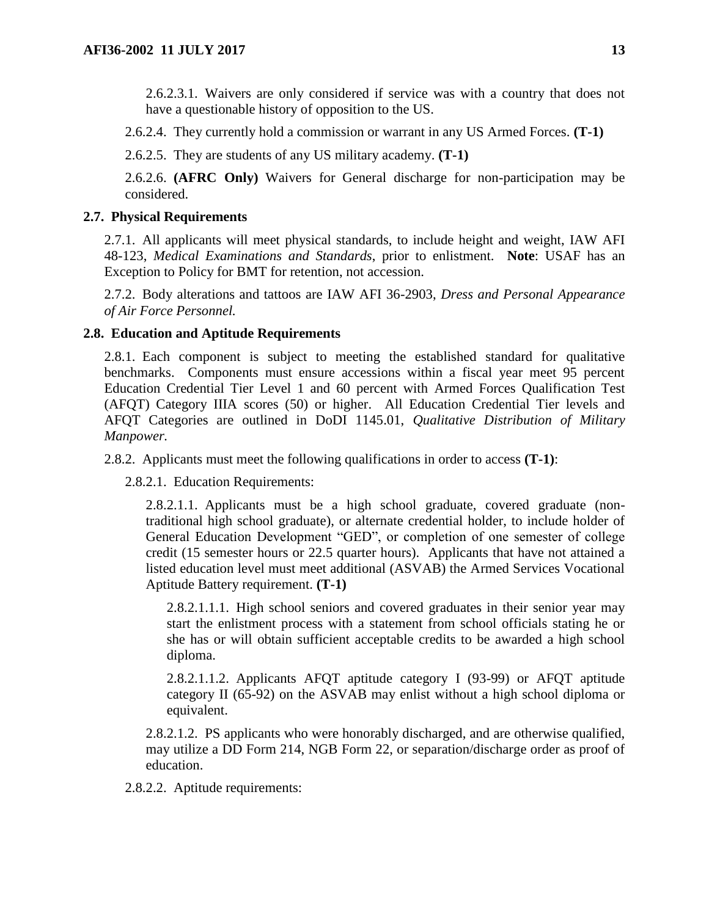2.6.2.3.1. Waivers are only considered if service was with a country that does not have a questionable history of opposition to the US.

2.6.2.4. They currently hold a commission or warrant in any US Armed Forces. **(T-1)**

2.6.2.5. They are students of any US military academy. **(T-1)**

2.6.2.6. **(AFRC Only)** Waivers for General discharge for non-participation may be considered.

## <span id="page-12-0"></span>**2.7. Physical Requirements**

2.7.1. All applicants will meet physical standards, to include height and weight, IAW AFI 48-123, *Medical Examinations and Standards*, prior to enlistment. **Note**: USAF has an Exception to Policy for BMT for retention, not accession.

2.7.2. Body alterations and tattoos are IAW AFI 36-2903, *Dress and Personal Appearance of Air Force Personnel.*

## <span id="page-12-1"></span>**2.8. Education and Aptitude Requirements**

2.8.1. Each component is subject to meeting the established standard for qualitative benchmarks. Components must ensure accessions within a fiscal year meet 95 percent Education Credential Tier Level 1 and 60 percent with Armed Forces Qualification Test (AFQT) Category IIIA scores (50) or higher. All Education Credential Tier levels and AFQT Categories are outlined in DoDI 1145.01, *Qualitative Distribution of Military Manpower.*

2.8.2. Applicants must meet the following qualifications in order to access **(T-1)**:

2.8.2.1. Education Requirements:

2.8.2.1.1. Applicants must be a high school graduate, covered graduate (nontraditional high school graduate), or alternate credential holder, to include holder of General Education Development "GED", or completion of one semester of college credit (15 semester hours or 22.5 quarter hours). Applicants that have not attained a listed education level must meet additional (ASVAB) the Armed Services Vocational Aptitude Battery requirement. **(T-1)**

2.8.2.1.1.1. High school seniors and covered graduates in their senior year may start the enlistment process with a statement from school officials stating he or she has or will obtain sufficient acceptable credits to be awarded a high school diploma.

2.8.2.1.1.2. Applicants AFQT aptitude category I (93-99) or AFQT aptitude category II (65-92) on the ASVAB may enlist without a high school diploma or equivalent.

2.8.2.1.2. PS applicants who were honorably discharged, and are otherwise qualified, may utilize a DD Form 214, NGB Form 22, or separation/discharge order as proof of education.

2.8.2.2. Aptitude requirements: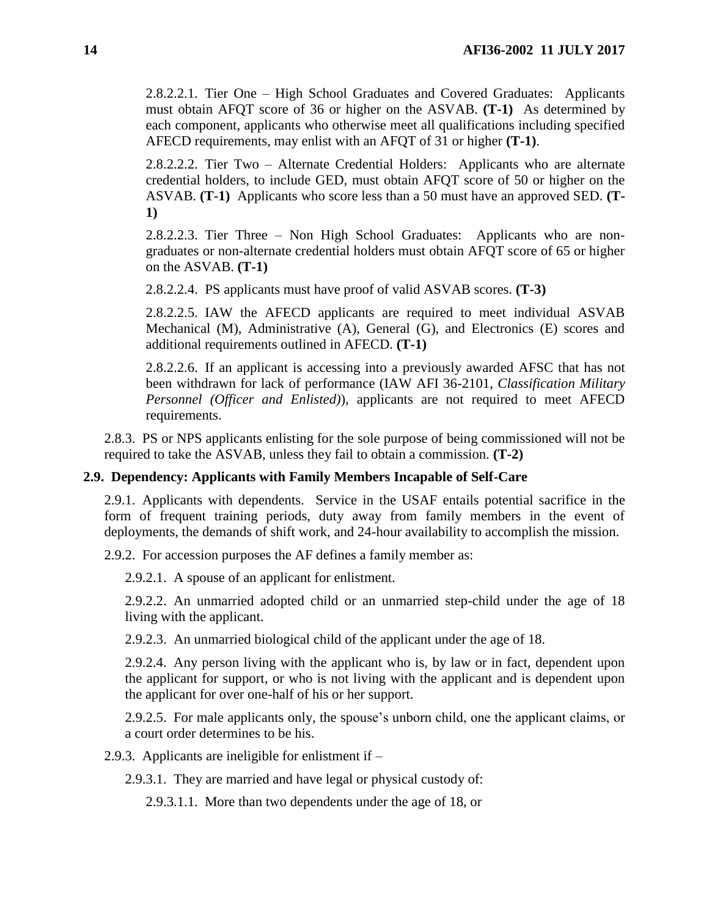2.8.2.2.1. Tier One – High School Graduates and Covered Graduates: Applicants must obtain AFQT score of 36 or higher on the ASVAB. **(T-1)** As determined by each component, applicants who otherwise meet all qualifications including specified AFECD requirements, may enlist with an AFQT of 31 or higher **(T-1)**.

2.8.2.2.2. Tier Two – Alternate Credential Holders: Applicants who are alternate credential holders, to include GED, must obtain AFQT score of 50 or higher on the ASVAB. **(T-1)** Applicants who score less than a 50 must have an approved SED. **(T-1)**

2.8.2.2.3. Tier Three – Non High School Graduates: Applicants who are nongraduates or non-alternate credential holders must obtain AFQT score of 65 or higher on the ASVAB. **(T-1)**

2.8.2.2.4. PS applicants must have proof of valid ASVAB scores. **(T-3)**

2.8.2.2.5. IAW the AFECD applicants are required to meet individual ASVAB Mechanical (M), Administrative (A), General (G), and Electronics (E) scores and additional requirements outlined in AFECD. **(T-1)**

2.8.2.2.6. If an applicant is accessing into a previously awarded AFSC that has not been withdrawn for lack of performance (IAW AFI 36-2101, *Classification Military Personnel (Officer and Enlisted)*), applicants are not required to meet AFECD requirements.

2.8.3. PS or NPS applicants enlisting for the sole purpose of being commissioned will not be required to take the ASVAB, unless they fail to obtain a commission. **(T-2)**

## <span id="page-13-0"></span>**2.9. Dependency: Applicants with Family Members Incapable of Self-Care**

2.9.1. Applicants with dependents. Service in the USAF entails potential sacrifice in the form of frequent training periods, duty away from family members in the event of deployments, the demands of shift work, and 24-hour availability to accomplish the mission.

2.9.2. For accession purposes the AF defines a family member as:

2.9.2.1. A spouse of an applicant for enlistment.

2.9.2.2. An unmarried adopted child or an unmarried step-child under the age of 18 living with the applicant.

2.9.2.3. An unmarried biological child of the applicant under the age of 18.

2.9.2.4. Any person living with the applicant who is, by law or in fact, dependent upon the applicant for support, or who is not living with the applicant and is dependent upon the applicant for over one-half of his or her support.

2.9.2.5. For male applicants only, the spouse's unborn child, one the applicant claims, or a court order determines to be his.

2.9.3. Applicants are ineligible for enlistment if –

2.9.3.1. They are married and have legal or physical custody of:

2.9.3.1.1. More than two dependents under the age of 18, or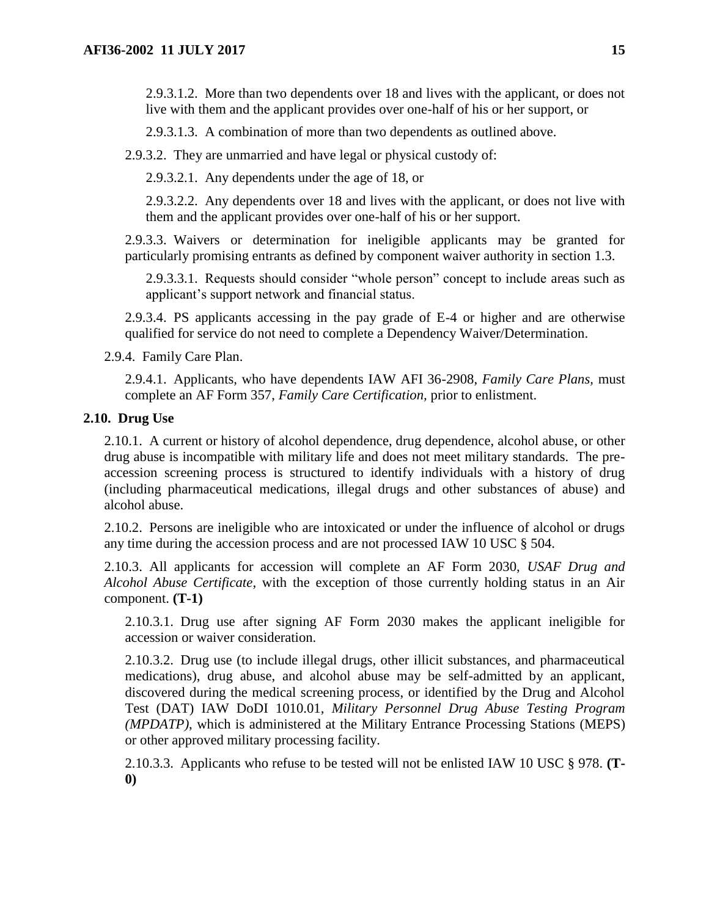2.9.3.1.2. More than two dependents over 18 and lives with the applicant, or does not live with them and the applicant provides over one-half of his or her support, or

2.9.3.1.3. A combination of more than two dependents as outlined above.

2.9.3.2. They are unmarried and have legal or physical custody of:

2.9.3.2.1. Any dependents under the age of 18, or

2.9.3.2.2. Any dependents over 18 and lives with the applicant, or does not live with them and the applicant provides over one-half of his or her support.

2.9.3.3. Waivers or determination for ineligible applicants may be granted for particularly promising entrants as defined by component waiver authority in section 1.3.

2.9.3.3.1. Requests should consider "whole person" concept to include areas such as applicant's support network and financial status.

2.9.3.4. PS applicants accessing in the pay grade of E-4 or higher and are otherwise qualified for service do not need to complete a Dependency Waiver/Determination.

2.9.4. Family Care Plan.

2.9.4.1. Applicants, who have dependents IAW AFI 36-2908, *Family Care Plans,* must complete an AF Form 357, *Family Care Certification,* prior to enlistment.

## <span id="page-14-0"></span>**2.10. Drug Use**

2.10.1. A current or history of alcohol dependence, drug dependence, alcohol abuse, or other drug abuse is incompatible with military life and does not meet military standards. The preaccession screening process is structured to identify individuals with a history of drug (including pharmaceutical medications, illegal drugs and other substances of abuse) and alcohol abuse.

2.10.2. Persons are ineligible who are intoxicated or under the influence of alcohol or drugs any time during the accession process and are not processed IAW 10 USC § 504.

2.10.3. All applicants for accession will complete an AF Form 2030, *USAF Drug and Alcohol Abuse Certificate*, with the exception of those currently holding status in an Air component. **(T-1)**

2.10.3.1. Drug use after signing AF Form 2030 makes the applicant ineligible for accession or waiver consideration.

2.10.3.2. Drug use (to include illegal drugs, other illicit substances, and pharmaceutical medications), drug abuse, and alcohol abuse may be self-admitted by an applicant, discovered during the medical screening process, or identified by the Drug and Alcohol Test (DAT) IAW DoDI 1010.01, *Military Personnel Drug Abuse Testing Program (MPDATP)*, which is administered at the Military Entrance Processing Stations (MEPS) or other approved military processing facility.

2.10.3.3. Applicants who refuse to be tested will not be enlisted IAW 10 USC § 978. **(T-0)**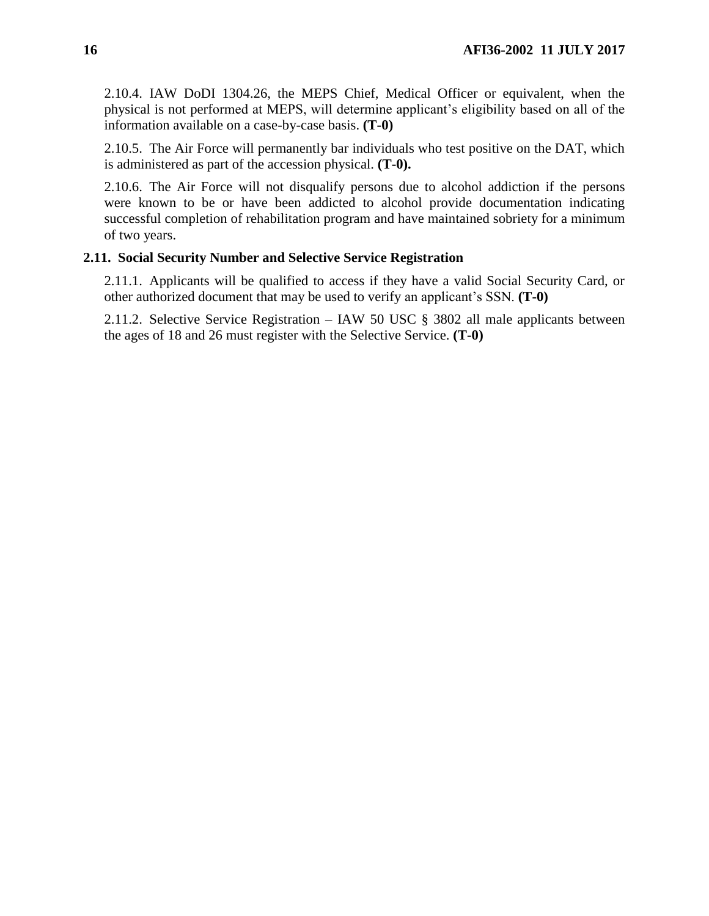2.10.4. IAW DoDI 1304.26, the MEPS Chief, Medical Officer or equivalent, when the physical is not performed at MEPS, will determine applicant's eligibility based on all of the information available on a case-by-case basis. **(T-0)**

2.10.5. The Air Force will permanently bar individuals who test positive on the DAT, which is administered as part of the accession physical. **(T-0).**

2.10.6. The Air Force will not disqualify persons due to alcohol addiction if the persons were known to be or have been addicted to alcohol provide documentation indicating successful completion of rehabilitation program and have maintained sobriety for a minimum of two years.

## <span id="page-15-0"></span>**2.11. Social Security Number and Selective Service Registration**

2.11.1. Applicants will be qualified to access if they have a valid Social Security Card, or other authorized document that may be used to verify an applicant's SSN. **(T-0)**

2.11.2. Selective Service Registration – IAW 50 USC § 3802 all male applicants between the ages of 18 and 26 must register with the Selective Service. **(T-0)**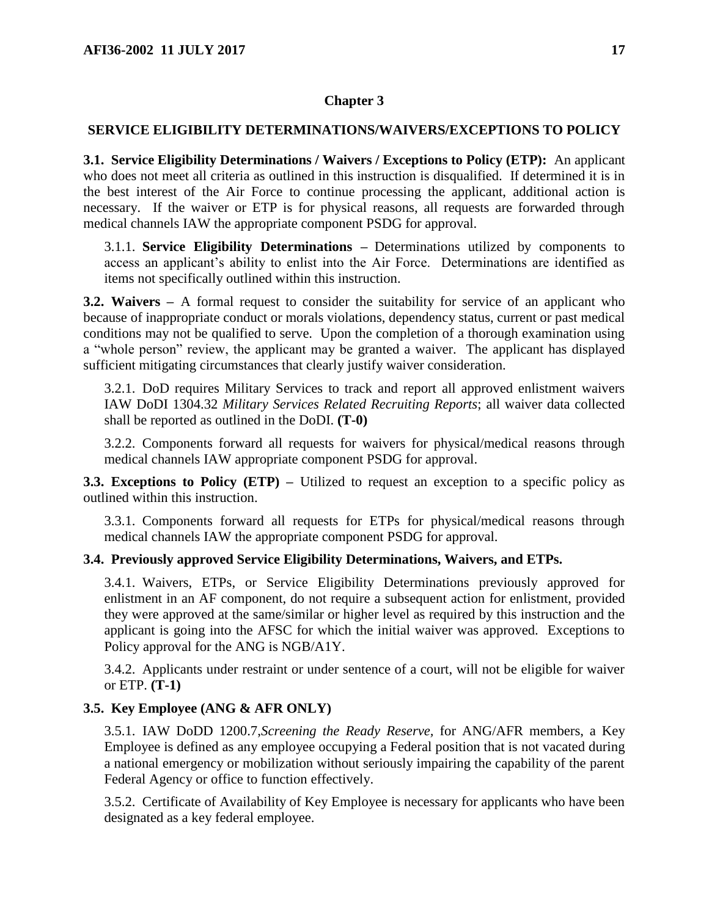# **Chapter 3**

# <span id="page-16-0"></span>**SERVICE ELIGIBILITY DETERMINATIONS/WAIVERS/EXCEPTIONS TO POLICY**

<span id="page-16-1"></span>**3.1. Service Eligibility Determinations / Waivers / Exceptions to Policy (ETP):** An applicant who does not meet all criteria as outlined in this instruction is disqualified. If determined it is in the best interest of the Air Force to continue processing the applicant, additional action is necessary. If the waiver or ETP is for physical reasons, all requests are forwarded through medical channels IAW the appropriate component PSDG for approval.

3.1.1. **Service Eligibility Determinations –** Determinations utilized by components to access an applicant's ability to enlist into the Air Force. Determinations are identified as items not specifically outlined within this instruction.

<span id="page-16-2"></span>**3.2. Waivers –** A formal request to consider the suitability for service of an applicant who because of inappropriate conduct or morals violations, dependency status, current or past medical conditions may not be qualified to serve. Upon the completion of a thorough examination using a "whole person" review, the applicant may be granted a waiver. The applicant has displayed sufficient mitigating circumstances that clearly justify waiver consideration.

3.2.1. DoD requires Military Services to track and report all approved enlistment waivers IAW DoDI 1304.32 *Military Services Related Recruiting Reports*; all waiver data collected shall be reported as outlined in the DoDI. **(T-0)**

3.2.2. Components forward all requests for waivers for physical/medical reasons through medical channels IAW appropriate component PSDG for approval.

<span id="page-16-3"></span>**3.3. Exceptions to Policy (ETP) –** Utilized to request an exception to a specific policy as outlined within this instruction.

3.3.1. Components forward all requests for ETPs for physical/medical reasons through medical channels IAW the appropriate component PSDG for approval.

# <span id="page-16-4"></span>**3.4. Previously approved Service Eligibility Determinations, Waivers, and ETPs.**

3.4.1. Waivers, ETPs, or Service Eligibility Determinations previously approved for enlistment in an AF component, do not require a subsequent action for enlistment, provided they were approved at the same/similar or higher level as required by this instruction and the applicant is going into the AFSC for which the initial waiver was approved. Exceptions to Policy approval for the ANG is NGB/A1Y.

3.4.2. Applicants under restraint or under sentence of a court, will not be eligible for waiver or ETP. **(T-1)**

# <span id="page-16-5"></span>**3.5. Key Employee (ANG & AFR ONLY)**

3.5.1. IAW DoDD 1200.7,*Screening the Ready Reserve,* for ANG/AFR members, a Key Employee is defined as any employee occupying a Federal position that is not vacated during a national emergency or mobilization without seriously impairing the capability of the parent Federal Agency or office to function effectively.

3.5.2. Certificate of Availability of Key Employee is necessary for applicants who have been designated as a key federal employee.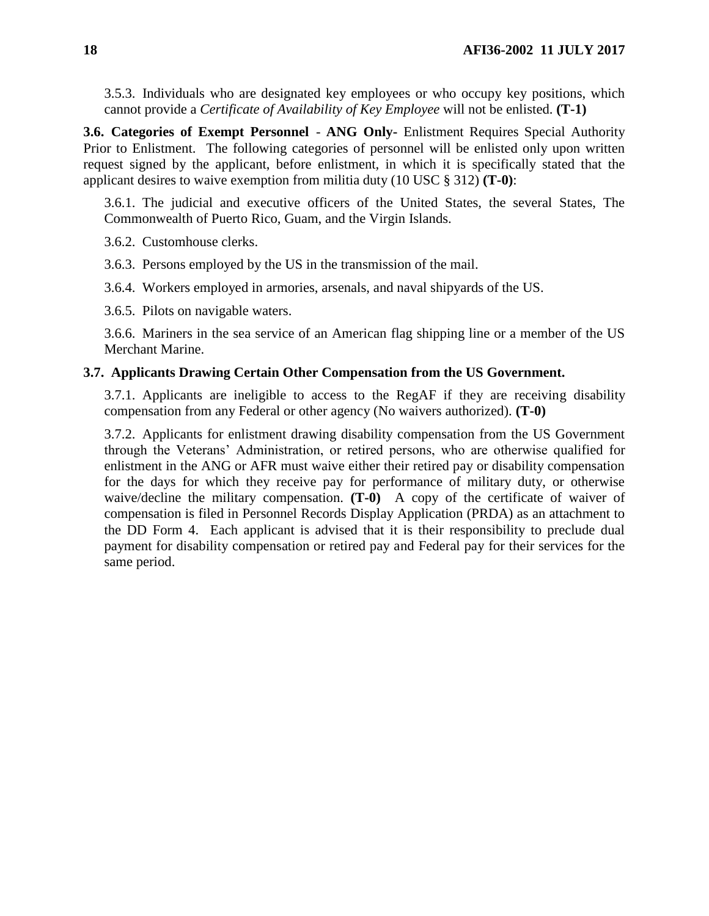3.5.3. Individuals who are designated key employees or who occupy key positions, which cannot provide a *Certificate of Availability of Key Employee* will not be enlisted. **(T-1)**

<span id="page-17-0"></span>**3.6. Categories of Exempt Personnel** - **ANG Only-** Enlistment Requires Special Authority Prior to Enlistment. The following categories of personnel will be enlisted only upon written request signed by the applicant, before enlistment, in which it is specifically stated that the applicant desires to waive exemption from militia duty (10 USC § 312) **(T-0)**:

3.6.1. The judicial and executive officers of the United States, the several States, The Commonwealth of Puerto Rico, Guam, and the Virgin Islands.

3.6.2. Customhouse clerks.

3.6.3. Persons employed by the US in the transmission of the mail.

3.6.4. Workers employed in armories, arsenals, and naval shipyards of the US.

3.6.5. Pilots on navigable waters.

3.6.6. Mariners in the sea service of an American flag shipping line or a member of the US Merchant Marine.

#### <span id="page-17-1"></span>**3.7. Applicants Drawing Certain Other Compensation from the US Government.**

3.7.1. Applicants are ineligible to access to the RegAF if they are receiving disability compensation from any Federal or other agency (No waivers authorized). **(T-0)**

3.7.2. Applicants for enlistment drawing disability compensation from the US Government through the Veterans' Administration, or retired persons, who are otherwise qualified for enlistment in the ANG or AFR must waive either their retired pay or disability compensation for the days for which they receive pay for performance of military duty, or otherwise waive/decline the military compensation. **(T-0)** A copy of the certificate of waiver of compensation is filed in Personnel Records Display Application (PRDA) as an attachment to the DD Form 4. Each applicant is advised that it is their responsibility to preclude dual payment for disability compensation or retired pay and Federal pay for their services for the same period.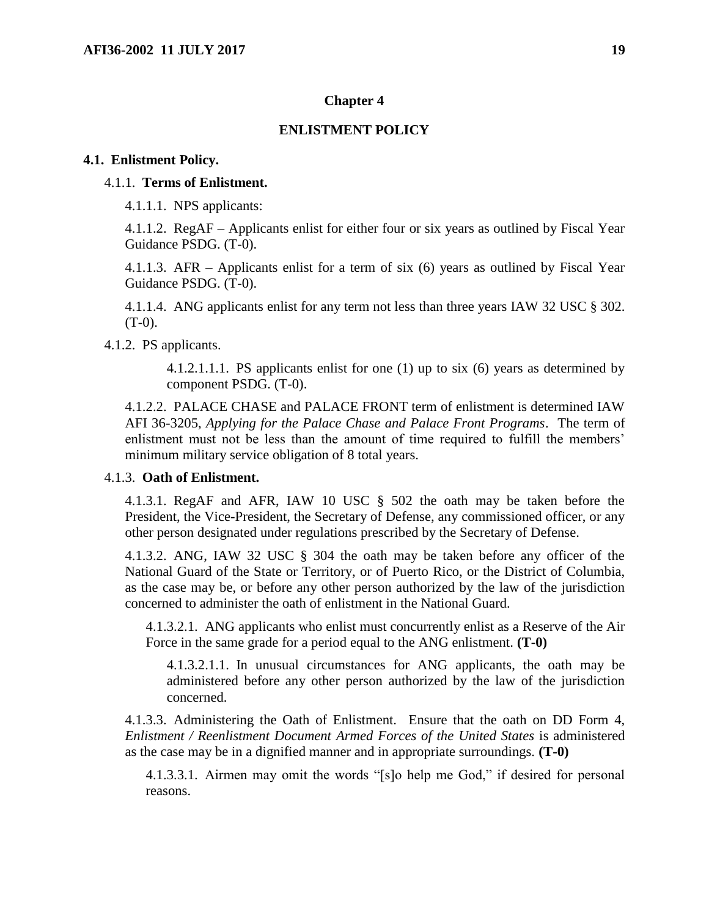## **Chapter 4**

#### **ENLISTMENT POLICY**

#### <span id="page-18-1"></span><span id="page-18-0"></span>**4.1. Enlistment Policy.**

#### 4.1.1. **Terms of Enlistment.**

4.1.1.1. NPS applicants:

4.1.1.2. RegAF – Applicants enlist for either four or six years as outlined by Fiscal Year Guidance PSDG. (T-0).

4.1.1.3. AFR – Applicants enlist for a term of six (6) years as outlined by Fiscal Year Guidance PSDG. (T-0).

4.1.1.4. ANG applicants enlist for any term not less than three years IAW 32 USC § 302.  $(T-0)$ .

4.1.2. PS applicants.

4.1.2.1.1.1. PS applicants enlist for one (1) up to six (6) years as determined by component PSDG. (T-0).

4.1.2.2. PALACE CHASE and PALACE FRONT term of enlistment is determined IAW AFI 36-3205, *Applying for the Palace Chase and Palace Front Programs*. The term of enlistment must not be less than the amount of time required to fulfill the members' minimum military service obligation of 8 total years.

## 4.1.3. **Oath of Enlistment.**

4.1.3.1. RegAF and AFR, IAW 10 USC § 502 the oath may be taken before the President, the Vice-President, the Secretary of Defense, any commissioned officer, or any other person designated under regulations prescribed by the Secretary of Defense.

4.1.3.2. ANG, IAW 32 USC § 304 the oath may be taken before any officer of the National Guard of the State or Territory, or of Puerto Rico, or the District of Columbia, as the case may be, or before any other person authorized by the law of the jurisdiction concerned to administer the oath of enlistment in the National Guard.

4.1.3.2.1. ANG applicants who enlist must concurrently enlist as a Reserve of the Air Force in the same grade for a period equal to the ANG enlistment. **(T-0)**

4.1.3.2.1.1. In unusual circumstances for ANG applicants, the oath may be administered before any other person authorized by the law of the jurisdiction concerned.

4.1.3.3. Administering the Oath of Enlistment. Ensure that the oath on DD Form 4, *Enlistment / Reenlistment Document Armed Forces of the United States* is administered as the case may be in a dignified manner and in appropriate surroundings. **(T-0)**

4.1.3.3.1. Airmen may omit the words "[s]o help me God," if desired for personal reasons.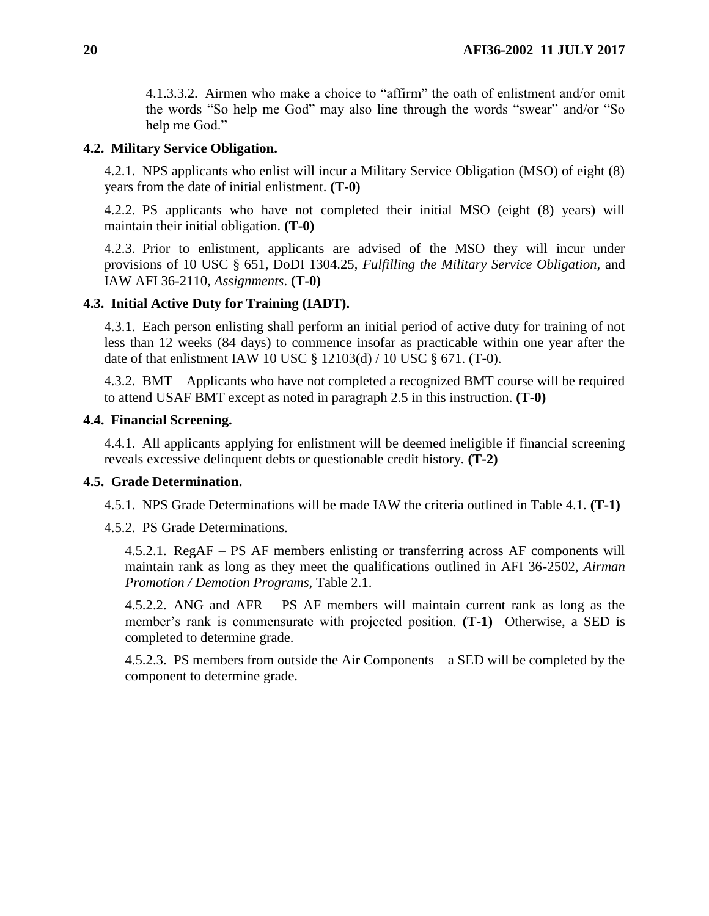4.1.3.3.2. Airmen who make a choice to "affirm" the oath of enlistment and/or omit the words "So help me God" may also line through the words "swear" and/or "So help me God."

## <span id="page-19-0"></span>**4.2. Military Service Obligation.**

4.2.1. NPS applicants who enlist will incur a Military Service Obligation (MSO) of eight (8) years from the date of initial enlistment. **(T-0)**

4.2.2. PS applicants who have not completed their initial MSO (eight (8) years) will maintain their initial obligation. **(T-0)**

4.2.3. Prior to enlistment, applicants are advised of the MSO they will incur under provisions of 10 USC § 651, DoDI 1304.25, *Fulfilling the Military Service Obligation,* and IAW AFI 36-2110, *Assignments*. **(T-0)**

## <span id="page-19-1"></span>**4.3. Initial Active Duty for Training (IADT).**

4.3.1. Each person enlisting shall perform an initial period of active duty for training of not less than 12 weeks (84 days) to commence insofar as practicable within one year after the date of that enlistment IAW 10 USC § 12103(d) / 10 USC § 671. (T-0).

4.3.2. BMT – Applicants who have not completed a recognized BMT course will be required to attend USAF BMT except as noted in paragraph 2.5 in this instruction. **(T-0)**

## <span id="page-19-2"></span>**4.4. Financial Screening.**

4.4.1. All applicants applying for enlistment will be deemed ineligible if financial screening reveals excessive delinquent debts or questionable credit history. **(T-2)**

## <span id="page-19-3"></span>**4.5. Grade Determination.**

4.5.1. NPS Grade Determinations will be made IAW the criteria outlined in Table 4.1. **(T-1)**

4.5.2. PS Grade Determinations.

4.5.2.1. RegAF – PS AF members enlisting or transferring across AF components will maintain rank as long as they meet the qualifications outlined in AFI 36-2502, *Airman Promotion / Demotion Programs,* Table 2.1.

4.5.2.2. ANG and AFR – PS AF members will maintain current rank as long as the member's rank is commensurate with projected position. **(T-1)** Otherwise, a SED is completed to determine grade.

4.5.2.3. PS members from outside the Air Components – a SED will be completed by the component to determine grade.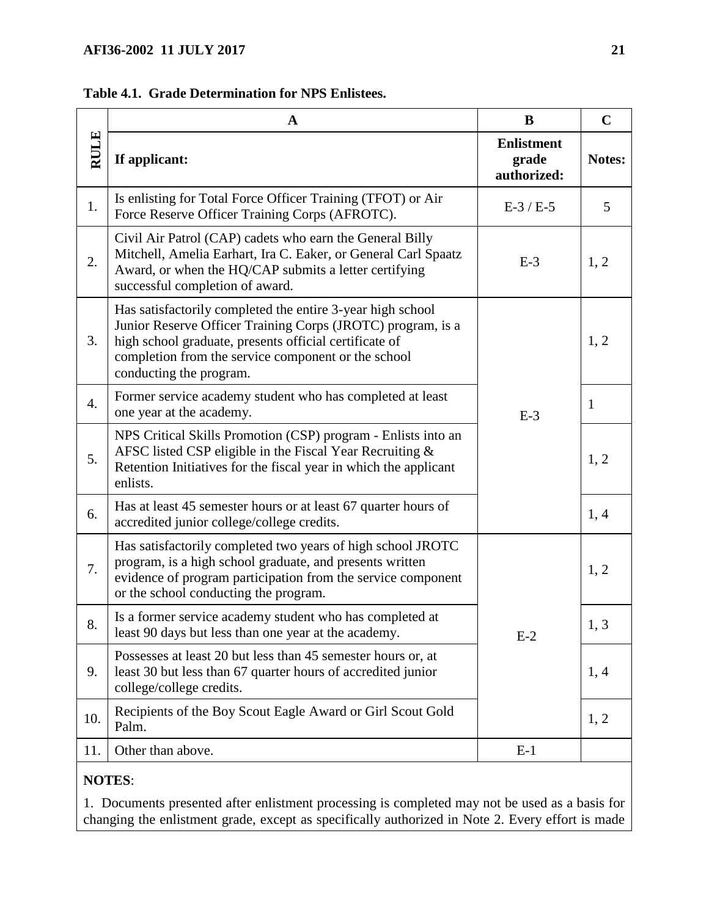<span id="page-20-0"></span>

| Table 4.1. Grade Determination for NPS Enlistees. |  |  |  |  |  |  |
|---------------------------------------------------|--|--|--|--|--|--|
|---------------------------------------------------|--|--|--|--|--|--|

|      | A                                                                                                                                                                                                                                                                     | B                                         | $\mathbf C$  |
|------|-----------------------------------------------------------------------------------------------------------------------------------------------------------------------------------------------------------------------------------------------------------------------|-------------------------------------------|--------------|
| RULE | If applicant:                                                                                                                                                                                                                                                         | <b>Enlistment</b><br>grade<br>authorized: | Notes:       |
| 1.   | Is enlisting for Total Force Officer Training (TFOT) or Air<br>Force Reserve Officer Training Corps (AFROTC).                                                                                                                                                         | $E-3$ / $E-5$                             | 5            |
| 2.   | Civil Air Patrol (CAP) cadets who earn the General Billy<br>Mitchell, Amelia Earhart, Ira C. Eaker, or General Carl Spaatz<br>Award, or when the HQ/CAP submits a letter certifying<br>successful completion of award.                                                | $E-3$                                     | 1, 2         |
| 3.   | Has satisfactorily completed the entire 3-year high school<br>Junior Reserve Officer Training Corps (JROTC) program, is a<br>high school graduate, presents official certificate of<br>completion from the service component or the school<br>conducting the program. |                                           | 1, 2         |
| 4.   | Former service academy student who has completed at least<br>one year at the academy.                                                                                                                                                                                 | $E-3$                                     | $\mathbf{1}$ |
| 5.   | NPS Critical Skills Promotion (CSP) program - Enlists into an<br>AFSC listed CSP eligible in the Fiscal Year Recruiting &<br>Retention Initiatives for the fiscal year in which the applicant<br>enlists.                                                             |                                           | 1, 2         |
| 6.   | Has at least 45 semester hours or at least 67 quarter hours of<br>accredited junior college/college credits.                                                                                                                                                          |                                           | 1, 4         |
| 7.   | Has satisfactorily completed two years of high school JROTC<br>program, is a high school graduate, and presents written<br>evidence of program participation from the service component<br>or the school conducting the program.                                      |                                           | 1, 2         |
| 8.   | Is a former service academy student who has completed at<br>least 90 days but less than one year at the academy.                                                                                                                                                      | $E-2$                                     | 1, 3         |
| 9.   | Possesses at least 20 but less than 45 semester hours or, at<br>least 30 but less than 67 quarter hours of accredited junior<br>college/college credits.                                                                                                              |                                           | 1, 4         |
| 10.  | Recipients of the Boy Scout Eagle Award or Girl Scout Gold<br>Palm.                                                                                                                                                                                                   |                                           | 1, 2         |
| 11.  | Other than above.                                                                                                                                                                                                                                                     | $E-1$                                     |              |

# **NOTES**:

1. Documents presented after enlistment processing is completed may not be used as a basis for changing the enlistment grade, except as specifically authorized in Note 2. Every effort is made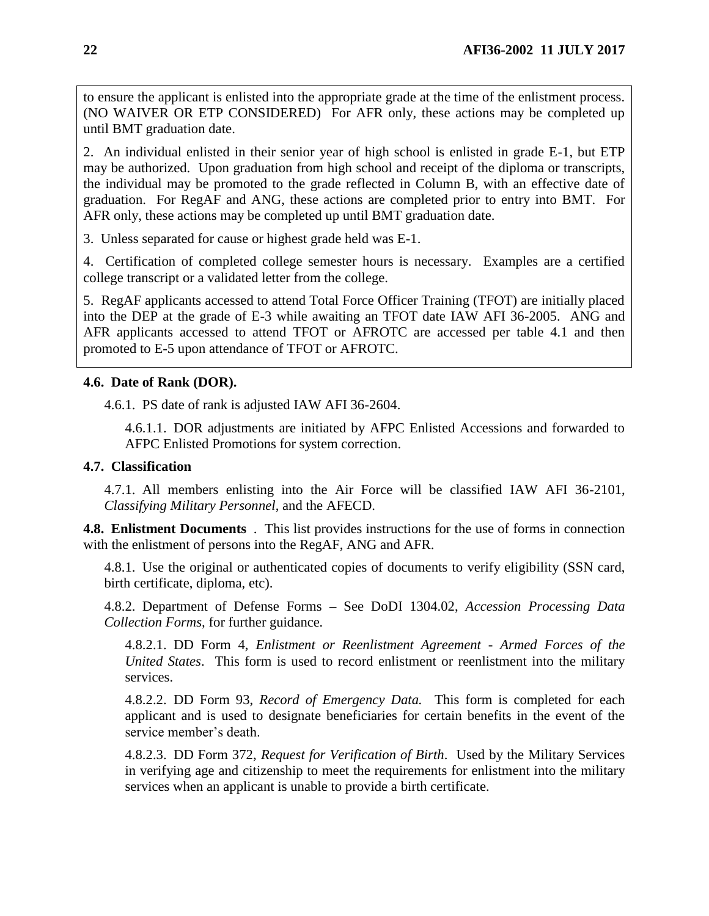to ensure the applicant is enlisted into the appropriate grade at the time of the enlistment process. (NO WAIVER OR ETP CONSIDERED) For AFR only, these actions may be completed up until BMT graduation date.

2. An individual enlisted in their senior year of high school is enlisted in grade E-1, but ETP may be authorized. Upon graduation from high school and receipt of the diploma or transcripts, the individual may be promoted to the grade reflected in Column B, with an effective date of graduation. For RegAF and ANG, these actions are completed prior to entry into BMT. For AFR only, these actions may be completed up until BMT graduation date.

3. Unless separated for cause or highest grade held was E-1.

4. Certification of completed college semester hours is necessary. Examples are a certified college transcript or a validated letter from the college.

5. RegAF applicants accessed to attend Total Force Officer Training (TFOT) are initially placed into the DEP at the grade of E-3 while awaiting an TFOT date IAW AFI 36-2005. ANG and AFR applicants accessed to attend TFOT or AFROTC are accessed per table 4.1 and then promoted to E-5 upon attendance of TFOT or AFROTC.

## <span id="page-21-0"></span>**4.6. Date of Rank (DOR).**

4.6.1. PS date of rank is adjusted IAW AFI 36-2604.

4.6.1.1. DOR adjustments are initiated by AFPC Enlisted Accessions and forwarded to AFPC Enlisted Promotions for system correction.

## <span id="page-21-1"></span>**4.7. Classification**

4.7.1. All members enlisting into the Air Force will be classified IAW AFI 36-2101, *Classifying Military Personnel*, and the AFECD.

<span id="page-21-2"></span>**4.8. Enlistment Documents** . This list provides instructions for the use of forms in connection with the enlistment of persons into the RegAF, ANG and AFR.

4.8.1. Use the original or authenticated copies of documents to verify eligibility (SSN card, birth certificate, diploma, etc).

4.8.2. Department of Defense Forms **–** See DoDI 1304.02, *Accession Processing Data Collection Forms,* for further guidance*.*

4.8.2.1. DD Form 4, *Enlistment or Reenlistment Agreement - Armed Forces of the United States*. This form is used to record enlistment or reenlistment into the military services.

4.8.2.2. DD Form 93, *Record of Emergency Data.* This form is completed for each applicant and is used to designate beneficiaries for certain benefits in the event of the service member's death.

4.8.2.3. DD Form 372, *Request for Verification of Birth*. Used by the Military Services in verifying age and citizenship to meet the requirements for enlistment into the military services when an applicant is unable to provide a birth certificate.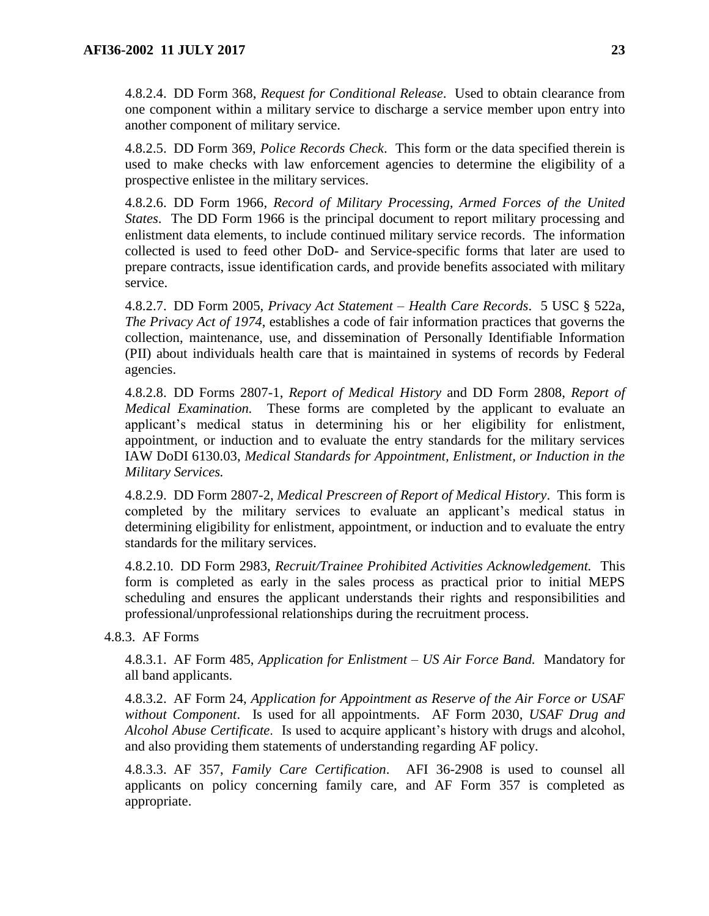4.8.2.4. DD Form 368, *Request for Conditional Release*. Used to obtain clearance from one component within a military service to discharge a service member upon entry into another component of military service.

4.8.2.5. DD Form 369, *Police Records Check*. This form or the data specified therein is used to make checks with law enforcement agencies to determine the eligibility of a prospective enlistee in the military services.

4.8.2.6. DD Form 1966, *Record of Military Processing, Armed Forces of the United States*. The DD Form 1966 is the principal document to report military processing and enlistment data elements, to include continued military service records. The information collected is used to feed other DoD- and Service-specific forms that later are used to prepare contracts, issue identification cards, and provide benefits associated with military service.

4.8.2.7. DD Form 2005, *Privacy Act Statement – Health Care Records*. 5 USC § 522a, *The Privacy Act of 1974*, establishes a code of fair information practices that governs the collection, maintenance, use, and dissemination of Personally Identifiable Information (PII) about individuals health care that is maintained in systems of records by Federal agencies.

4.8.2.8. DD Forms 2807-1, *Report of Medical History* and DD Form 2808, *Report of Medical Examination.* These forms are completed by the applicant to evaluate an applicant's medical status in determining his or her eligibility for enlistment, appointment, or induction and to evaluate the entry standards for the military services IAW DoDI 6130.03, *Medical Standards for Appointment, Enlistment, or Induction in the Military Services.* 

4.8.2.9. DD Form 2807-2, *Medical Prescreen of Report of Medical History*. This form is completed by the military services to evaluate an applicant's medical status in determining eligibility for enlistment, appointment, or induction and to evaluate the entry standards for the military services.

4.8.2.10. DD Form 2983, *Recruit/Trainee Prohibited Activities Acknowledgement.* This form is completed as early in the sales process as practical prior to initial MEPS scheduling and ensures the applicant understands their rights and responsibilities and professional/unprofessional relationships during the recruitment process.

4.8.3. AF Forms

4.8.3.1. AF Form 485, *Application for Enlistment – US Air Force Band.* Mandatory for all band applicants.

4.8.3.2. AF Form 24, *Application for Appointment as Reserve of the Air Force or USAF without Component*. Is used for all appointments. AF Form 2030, *USAF Drug and Alcohol Abuse Certificate*. Is used to acquire applicant's history with drugs and alcohol, and also providing them statements of understanding regarding AF policy.

4.8.3.3. AF 357, *Family Care Certification*. AFI 36-2908 is used to counsel all applicants on policy concerning family care, and AF Form 357 is completed as appropriate.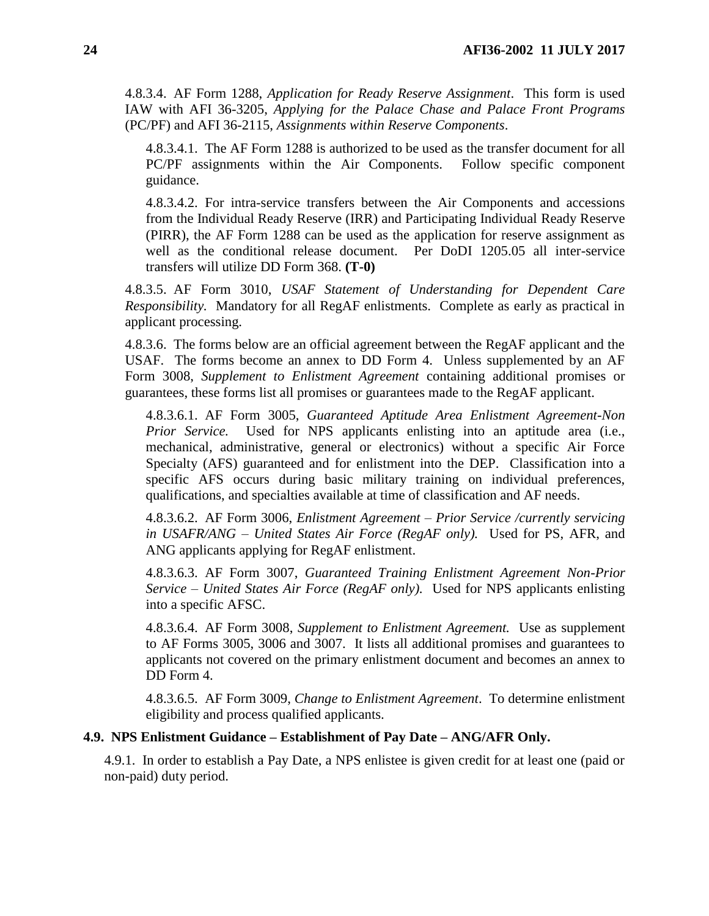4.8.3.4. AF Form 1288, *Application for Ready Reserve Assignment*. This form is used IAW with AFI 36-3205, *Applying for the Palace Chase and Palace Front Programs*  (PC/PF) and AFI 36-2115, *Assignments within Reserve Components*.

4.8.3.4.1. The AF Form 1288 is authorized to be used as the transfer document for all PC/PF assignments within the Air Components. Follow specific component guidance.

4.8.3.4.2. For intra-service transfers between the Air Components and accessions from the Individual Ready Reserve (IRR) and Participating Individual Ready Reserve (PIRR), the AF Form 1288 can be used as the application for reserve assignment as well as the conditional release document. Per DoDI 1205.05 all inter-service transfers will utilize DD Form 368. **(T-0)**

4.8.3.5. AF Form 3010, *USAF Statement of Understanding for Dependent Care Responsibility.* Mandatory for all RegAF enlistments. Complete as early as practical in applicant processing.

4.8.3.6. The forms below are an official agreement between the RegAF applicant and the USAF. The forms become an annex to DD Form 4. Unless supplemented by an AF Form 3008, *Supplement to Enlistment Agreement* containing additional promises or guarantees, these forms list all promises or guarantees made to the RegAF applicant.

4.8.3.6.1. AF Form 3005, *Guaranteed Aptitude Area Enlistment Agreement-Non Prior Service.* Used for NPS applicants enlisting into an aptitude area (i.e., mechanical, administrative, general or electronics) without a specific Air Force Specialty (AFS) guaranteed and for enlistment into the DEP. Classification into a specific AFS occurs during basic military training on individual preferences, qualifications, and specialties available at time of classification and AF needs.

4.8.3.6.2. AF Form 3006, *Enlistment Agreement – Prior Service /currently servicing in USAFR/ANG – United States Air Force (RegAF only).* Used for PS, AFR, and ANG applicants applying for RegAF enlistment.

4.8.3.6.3. AF Form 3007, *Guaranteed Training Enlistment Agreement Non-Prior Service – United States Air Force (RegAF only).* Used for NPS applicants enlisting into a specific AFSC.

4.8.3.6.4. AF Form 3008, *Supplement to Enlistment Agreement.* Use as supplement to AF Forms 3005, 3006 and 3007. It lists all additional promises and guarantees to applicants not covered on the primary enlistment document and becomes an annex to DD Form 4.

4.8.3.6.5. AF Form 3009, *Change to Enlistment Agreement*. To determine enlistment eligibility and process qualified applicants.

## <span id="page-23-0"></span>**4.9. NPS Enlistment Guidance – Establishment of Pay Date – ANG/AFR Only.**

4.9.1. In order to establish a Pay Date, a NPS enlistee is given credit for at least one (paid or non-paid) duty period.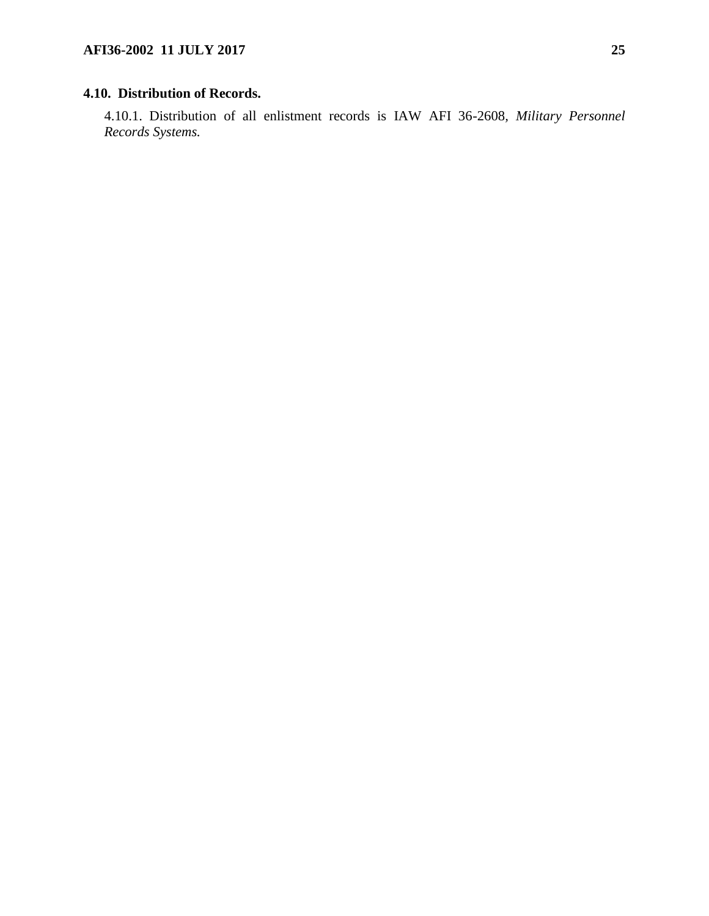# <span id="page-24-0"></span>**4.10. Distribution of Records.**

4.10.1. Distribution of all enlistment records is IAW AFI 36-2608*, Military Personnel Records Systems.*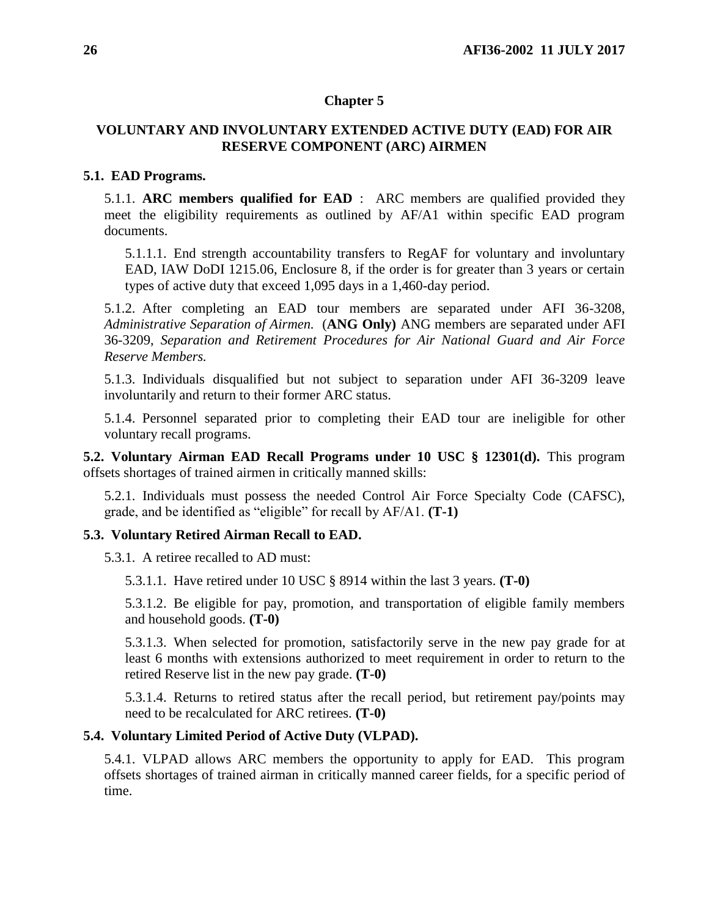#### **Chapter 5**

## <span id="page-25-0"></span>**VOLUNTARY AND INVOLUNTARY EXTENDED ACTIVE DUTY (EAD) FOR AIR RESERVE COMPONENT (ARC) AIRMEN**

## <span id="page-25-1"></span>**5.1. EAD Programs.**

5.1.1. **ARC members qualified for EAD** : ARC members are qualified provided they meet the eligibility requirements as outlined by AF/A1 within specific EAD program documents.

5.1.1.1. End strength accountability transfers to RegAF for voluntary and involuntary EAD, IAW DoDI 1215.06, Enclosure 8, if the order is for greater than 3 years or certain types of active duty that exceed 1,095 days in a 1,460-day period.

5.1.2. After completing an EAD tour members are separated under AFI 36-3208, *Administrative Separation of Airmen.* (**ANG Only)** ANG members are separated under AFI 36-3209, *Separation and Retirement Procedures for Air National Guard and Air Force Reserve Members.*

5.1.3. Individuals disqualified but not subject to separation under AFI 36-3209 leave involuntarily and return to their former ARC status.

5.1.4. Personnel separated prior to completing their EAD tour are ineligible for other voluntary recall programs.

<span id="page-25-2"></span>**5.2. Voluntary Airman EAD Recall Programs under 10 USC § 12301(d).** This program offsets shortages of trained airmen in critically manned skills:

5.2.1. Individuals must possess the needed Control Air Force Specialty Code (CAFSC), grade, and be identified as "eligible" for recall by AF/A1. **(T-1)**

## <span id="page-25-3"></span>**5.3. Voluntary Retired Airman Recall to EAD.**

5.3.1. A retiree recalled to AD must:

5.3.1.1. Have retired under 10 USC § 8914 within the last 3 years. **(T-0)**

5.3.1.2. Be eligible for pay, promotion, and transportation of eligible family members and household goods. **(T-0)**

5.3.1.3. When selected for promotion, satisfactorily serve in the new pay grade for at least 6 months with extensions authorized to meet requirement in order to return to the retired Reserve list in the new pay grade. **(T-0)**

5.3.1.4. Returns to retired status after the recall period, but retirement pay/points may need to be recalculated for ARC retirees. **(T-0)**

#### <span id="page-25-4"></span>**5.4. Voluntary Limited Period of Active Duty (VLPAD).**

5.4.1. VLPAD allows ARC members the opportunity to apply for EAD. This program offsets shortages of trained airman in critically manned career fields, for a specific period of time.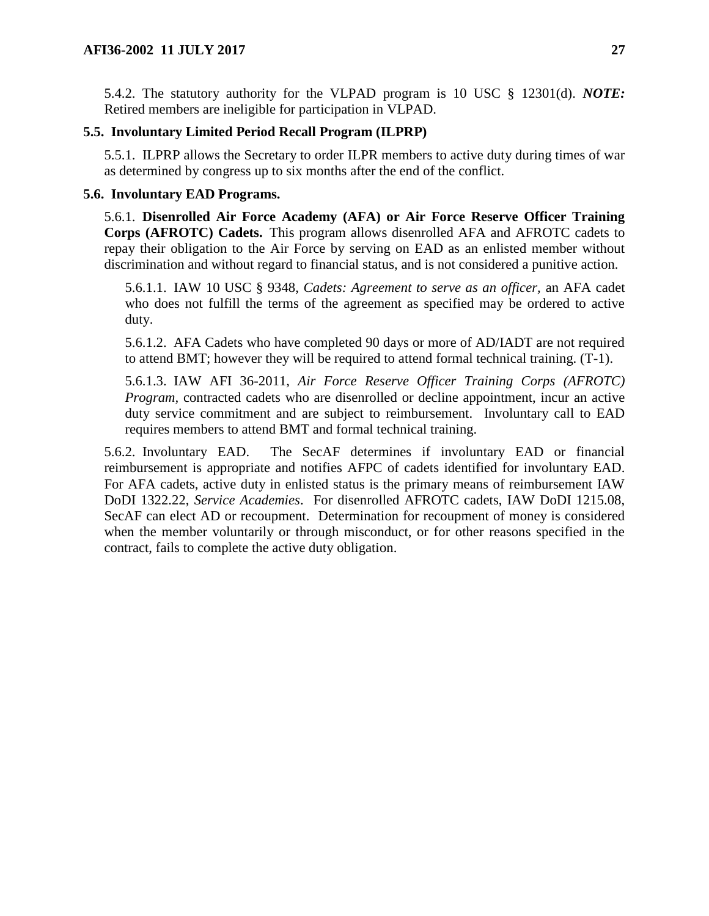5.4.2. The statutory authority for the VLPAD program is 10 USC § 12301(d). *NOTE:* Retired members are ineligible for participation in VLPAD.

#### <span id="page-26-0"></span>**5.5. Involuntary Limited Period Recall Program (ILPRP)**

5.5.1. ILPRP allows the Secretary to order ILPR members to active duty during times of war as determined by congress up to six months after the end of the conflict.

#### <span id="page-26-1"></span>**5.6. Involuntary EAD Programs.**

5.6.1. **Disenrolled Air Force Academy (AFA) or Air Force Reserve Officer Training Corps (AFROTC) Cadets.** This program allows disenrolled AFA and AFROTC cadets to repay their obligation to the Air Force by serving on EAD as an enlisted member without discrimination and without regard to financial status, and is not considered a punitive action.

5.6.1.1. IAW 10 USC § 9348, *Cadets: Agreement to serve as an officer,* an AFA cadet who does not fulfill the terms of the agreement as specified may be ordered to active duty.

5.6.1.2. AFA Cadets who have completed 90 days or more of AD/IADT are not required to attend BMT; however they will be required to attend formal technical training. (T-1).

5.6.1.3. IAW AFI 36-2011, *Air Force Reserve Officer Training Corps (AFROTC) Program,* contracted cadets who are disenrolled or decline appointment, incur an active duty service commitment and are subject to reimbursement. Involuntary call to EAD requires members to attend BMT and formal technical training.

5.6.2. Involuntary EAD. The SecAF determines if involuntary EAD or financial reimbursement is appropriate and notifies AFPC of cadets identified for involuntary EAD. For AFA cadets, active duty in enlisted status is the primary means of reimbursement IAW DoDI 1322.22, *Service Academies*. For disenrolled AFROTC cadets, IAW DoDI 1215.08, SecAF can elect AD or recoupment. Determination for recoupment of money is considered when the member voluntarily or through misconduct, or for other reasons specified in the contract, fails to complete the active duty obligation.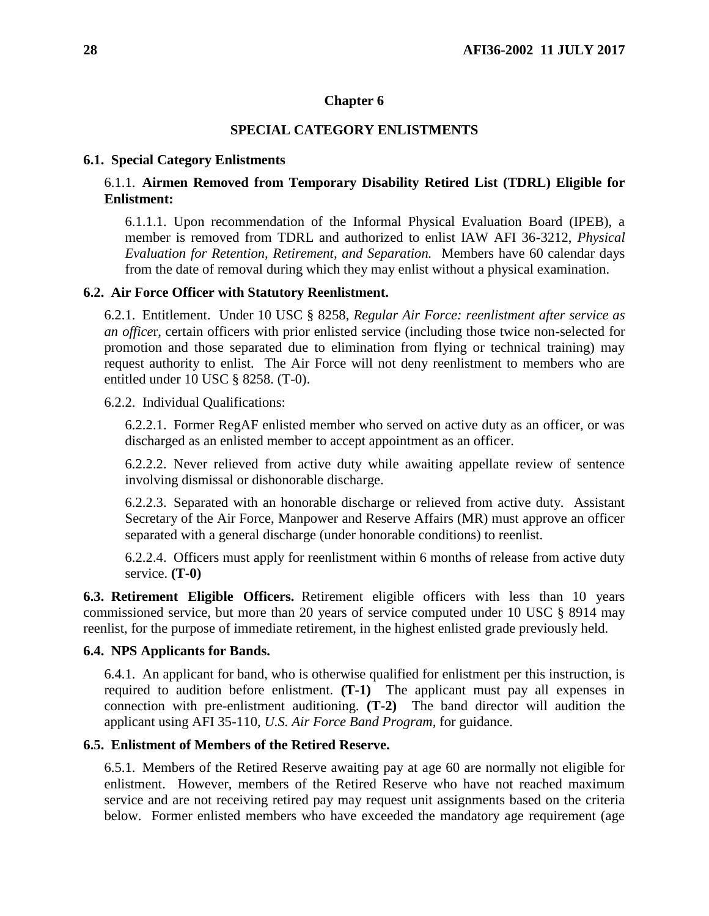## **Chapter 6**

# **SPECIAL CATEGORY ENLISTMENTS**

#### <span id="page-27-1"></span><span id="page-27-0"></span>**6.1. Special Category Enlistments**

# 6.1.1. **Airmen Removed from Temporary Disability Retired List (TDRL) Eligible for Enlistment:**

6.1.1.1. Upon recommendation of the Informal Physical Evaluation Board (IPEB), a member is removed from TDRL and authorized to enlist IAW AFI 36-3212, *Physical Evaluation for Retention, Retirement, and Separation.* Members have 60 calendar days from the date of removal during which they may enlist without a physical examination.

## <span id="page-27-2"></span>**6.2. Air Force Officer with Statutory Reenlistment.**

6.2.1. Entitlement. Under 10 USC § 8258, *Regular Air Force: reenlistment after service as an office*r, certain officers with prior enlisted service (including those twice non-selected for promotion and those separated due to elimination from flying or technical training) may request authority to enlist. The Air Force will not deny reenlistment to members who are entitled under 10 USC § 8258. (T-0).

6.2.2. Individual Qualifications:

6.2.2.1. Former RegAF enlisted member who served on active duty as an officer, or was discharged as an enlisted member to accept appointment as an officer.

6.2.2.2. Never relieved from active duty while awaiting appellate review of sentence involving dismissal or dishonorable discharge.

6.2.2.3. Separated with an honorable discharge or relieved from active duty. Assistant Secretary of the Air Force, Manpower and Reserve Affairs (MR) must approve an officer separated with a general discharge (under honorable conditions) to reenlist.

6.2.2.4. Officers must apply for reenlistment within 6 months of release from active duty service. **(T-0)**

<span id="page-27-3"></span>**6.3. Retirement Eligible Officers.** Retirement eligible officers with less than 10 years commissioned service, but more than 20 years of service computed under 10 USC § 8914 may reenlist, for the purpose of immediate retirement, in the highest enlisted grade previously held.

## <span id="page-27-4"></span>**6.4. NPS Applicants for Bands.**

6.4.1. An applicant for band, who is otherwise qualified for enlistment per this instruction, is required to audition before enlistment. **(T-1)** The applicant must pay all expenses in connection with pre-enlistment auditioning. **(T-2)** The band director will audition the applicant using AFI 35-110, *U.S. Air Force Band Program,* for guidance.

## <span id="page-27-5"></span>**6.5. Enlistment of Members of the Retired Reserve.**

6.5.1. Members of the Retired Reserve awaiting pay at age 60 are normally not eligible for enlistment. However, members of the Retired Reserve who have not reached maximum service and are not receiving retired pay may request unit assignments based on the criteria below. Former enlisted members who have exceeded the mandatory age requirement (age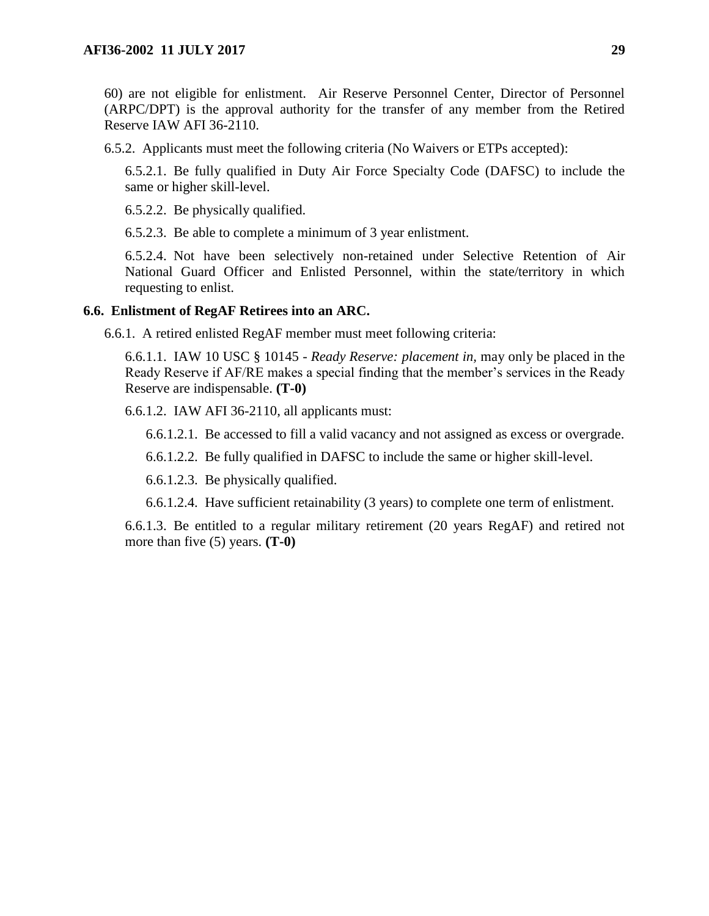60) are not eligible for enlistment. Air Reserve Personnel Center, Director of Personnel (ARPC/DPT) is the approval authority for the transfer of any member from the Retired Reserve IAW AFI 36-2110.

6.5.2. Applicants must meet the following criteria (No Waivers or ETPs accepted):

6.5.2.1. Be fully qualified in Duty Air Force Specialty Code (DAFSC) to include the same or higher skill-level.

6.5.2.2. Be physically qualified.

6.5.2.3. Be able to complete a minimum of 3 year enlistment.

6.5.2.4. Not have been selectively non-retained under Selective Retention of Air National Guard Officer and Enlisted Personnel, within the state/territory in which requesting to enlist.

#### <span id="page-28-0"></span>**6.6. Enlistment of RegAF Retirees into an ARC.**

6.6.1. A retired enlisted RegAF member must meet following criteria:

6.6.1.1. IAW 10 USC § 10145 - *Ready Reserve: placement in,* may only be placed in the Ready Reserve if AF/RE makes a special finding that the member's services in the Ready Reserve are indispensable. **(T-0)**

6.6.1.2. IAW AFI 36-2110, all applicants must:

6.6.1.2.1. Be accessed to fill a valid vacancy and not assigned as excess or overgrade.

6.6.1.2.2. Be fully qualified in DAFSC to include the same or higher skill-level.

6.6.1.2.3. Be physically qualified.

6.6.1.2.4. Have sufficient retainability (3 years) to complete one term of enlistment.

6.6.1.3. Be entitled to a regular military retirement (20 years RegAF) and retired not more than five (5) years. **(T-0)**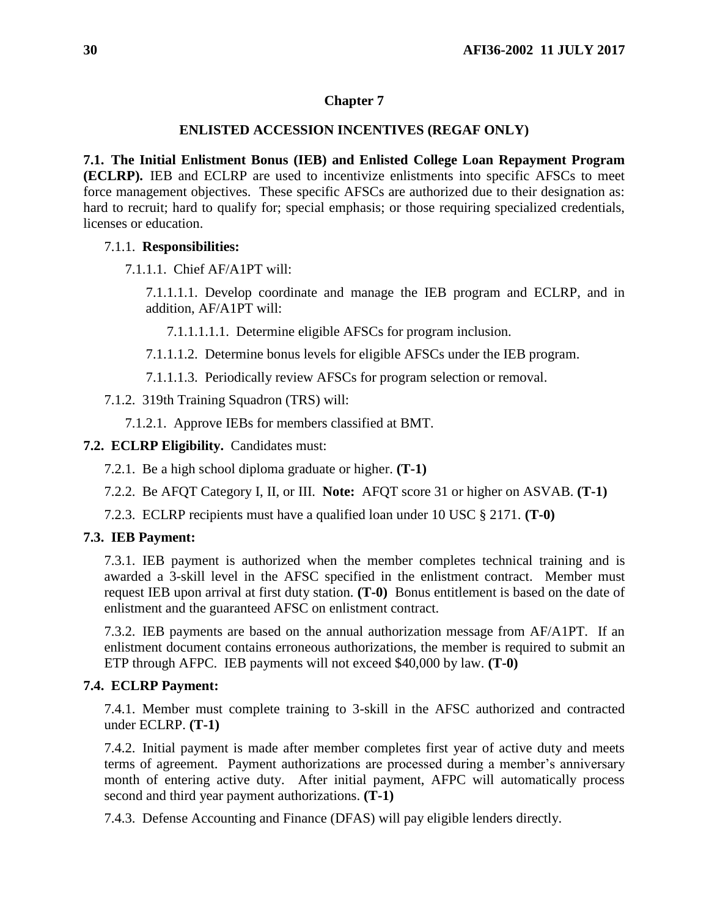## **Chapter 7**

## **ENLISTED ACCESSION INCENTIVES (REGAF ONLY)**

<span id="page-29-1"></span><span id="page-29-0"></span>**7.1. The Initial Enlistment Bonus (IEB) and Enlisted College Loan Repayment Program (ECLRP).** IEB and ECLRP are used to incentivize enlistments into specific AFSCs to meet force management objectives. These specific AFSCs are authorized due to their designation as: hard to recruit; hard to qualify for; special emphasis; or those requiring specialized credentials, licenses or education.

#### 7.1.1. **Responsibilities:**

7.1.1.1. Chief AF/A1PT will:

7.1.1.1.1. Develop coordinate and manage the IEB program and ECLRP, and in addition, AF/A1PT will:

7.1.1.1.1.1. Determine eligible AFSCs for program inclusion.

- 7.1.1.1.2. Determine bonus levels for eligible AFSCs under the IEB program.
- 7.1.1.1.3. Periodically review AFSCs for program selection or removal.
- 7.1.2. 319th Training Squadron (TRS) will:
	- 7.1.2.1. Approve IEBs for members classified at BMT.

## <span id="page-29-2"></span>**7.2. ECLRP Eligibility.** Candidates must:

7.2.1. Be a high school diploma graduate or higher. **(T-1)**

- 7.2.2. Be AFQT Category I, II, or III. **Note:** AFQT score 31 or higher on ASVAB. **(T-1)**
- 7.2.3. ECLRP recipients must have a qualified loan under 10 USC § 2171. **(T-0)**

#### <span id="page-29-3"></span>**7.3. IEB Payment:**

7.3.1. IEB payment is authorized when the member completes technical training and is awarded a 3-skill level in the AFSC specified in the enlistment contract. Member must request IEB upon arrival at first duty station. **(T-0)** Bonus entitlement is based on the date of enlistment and the guaranteed AFSC on enlistment contract.

7.3.2. IEB payments are based on the annual authorization message from AF/A1PT. If an enlistment document contains erroneous authorizations, the member is required to submit an ETP through AFPC. IEB payments will not exceed \$40,000 by law. **(T-0)**

#### <span id="page-29-4"></span>**7.4. ECLRP Payment:**

7.4.1. Member must complete training to 3-skill in the AFSC authorized and contracted under ECLRP. **(T-1)**

7.4.2. Initial payment is made after member completes first year of active duty and meets terms of agreement. Payment authorizations are processed during a member's anniversary month of entering active duty. After initial payment, AFPC will automatically process second and third year payment authorizations. **(T-1)**

7.4.3. Defense Accounting and Finance (DFAS) will pay eligible lenders directly.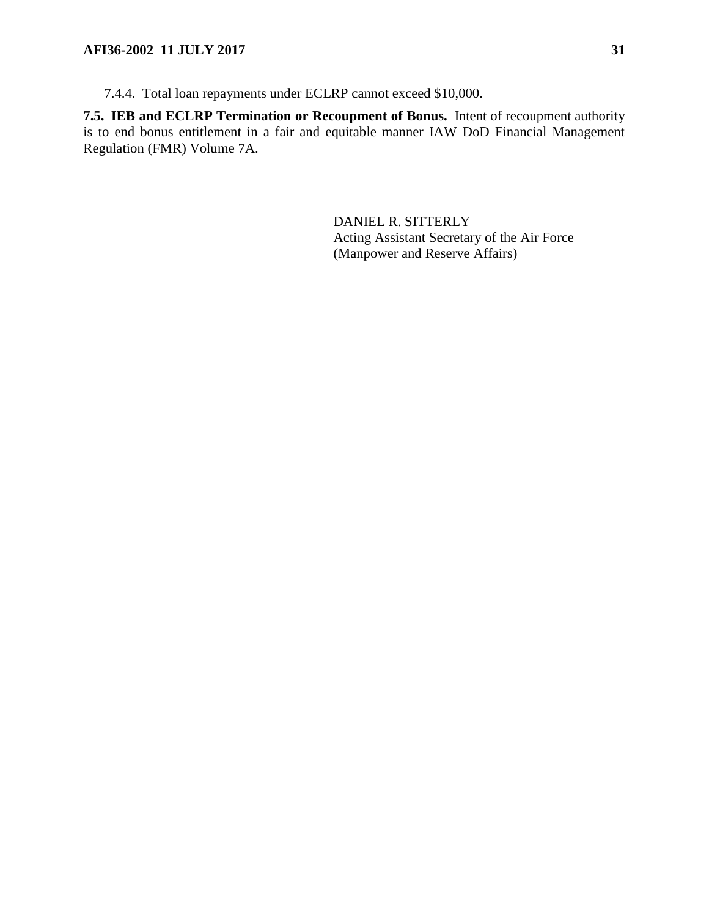7.4.4. Total loan repayments under ECLRP cannot exceed \$10,000.

<span id="page-30-0"></span>**7.5. IEB and ECLRP Termination or Recoupment of Bonus.** Intent of recoupment authority is to end bonus entitlement in a fair and equitable manner IAW DoD Financial Management Regulation (FMR) Volume 7A.

> DANIEL R. SITTERLY Acting Assistant Secretary of the Air Force (Manpower and Reserve Affairs)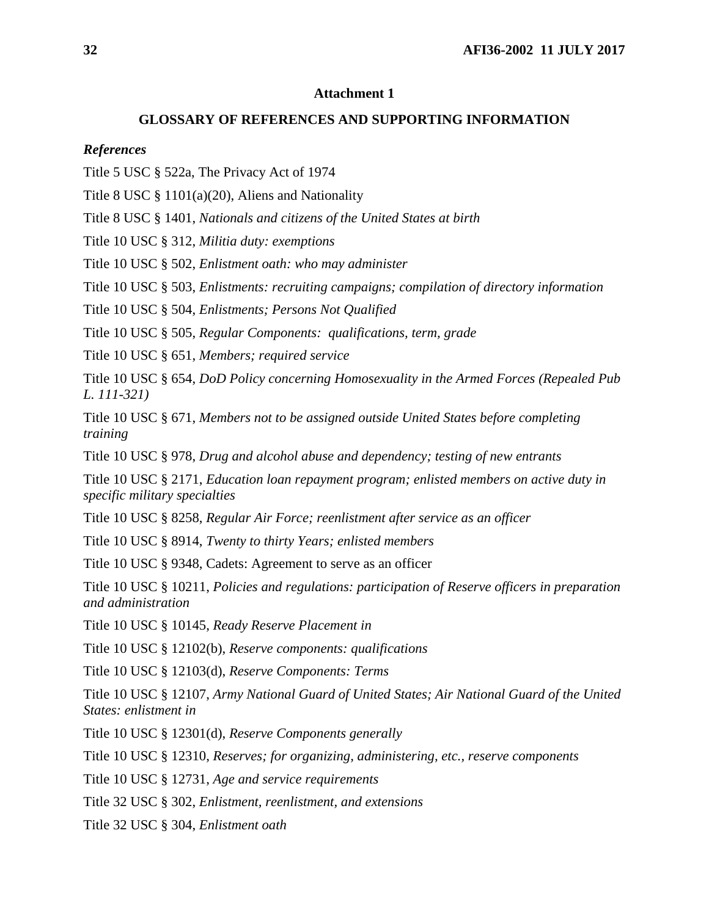#### **Attachment 1**

#### **GLOSSARY OF REFERENCES AND SUPPORTING INFORMATION**

#### <span id="page-31-0"></span>*References*

Title 5 USC § 522a, The Privacy Act of 1974

Title 8 USC § 1101(a)(20), Aliens and Nationality

Title 8 USC § 1401, *Nationals and citizens of the United States at birth*

Title 10 USC § 312, *Militia duty: exemptions*

Title 10 USC § 502, *Enlistment oath: who may administer*

Title 10 USC § 503, *Enlistments: recruiting campaigns; compilation of directory information*

Title 10 USC § 504, *Enlistments; Persons Not Qualified*

Title 10 USC § 505, *Regular Components: qualifications, term, grade*

Title 10 USC § 651, *Members; required service*

Title 10 USC § 654, *DoD Policy concerning Homosexuality in the Armed Forces (Repealed Pub L. 111-321)*

Title 10 USC § 671, *Members not to be assigned outside United States before completing training*

Title 10 USC § 978, *Drug and alcohol abuse and dependency; testing of new entrants*

Title 10 USC § 2171, *Education loan repayment program; enlisted members on active duty in specific military specialties*

Title 10 USC § 8258, *Regular Air Force; reenlistment after service as an officer*

Title 10 USC § 8914, *Twenty to thirty Years; enlisted members*

Title 10 USC § 9348, Cadets: Agreement to serve as an officer

Title 10 USC § 10211, *Policies and regulations: participation of Reserve officers in preparation and administration* 

Title 10 USC § 10145, *Ready Reserve Placement in*

Title 10 USC § 12102(b), *Reserve components: qualifications*

Title 10 USC § 12103(d), *Reserve Components: Terms*

Title 10 USC § 12107, *Army National Guard of United States; Air National Guard of the United States: enlistment in*

Title 10 USC § 12301(d), *Reserve Components generally*

Title 10 USC § 12310, *Reserves; for organizing, administering, etc., reserve components*

Title 10 USC § 12731, *Age and service requirements*

Title 32 USC § 302, *Enlistment, reenlistment, and extensions*

Title 32 USC § 304, *Enlistment oath*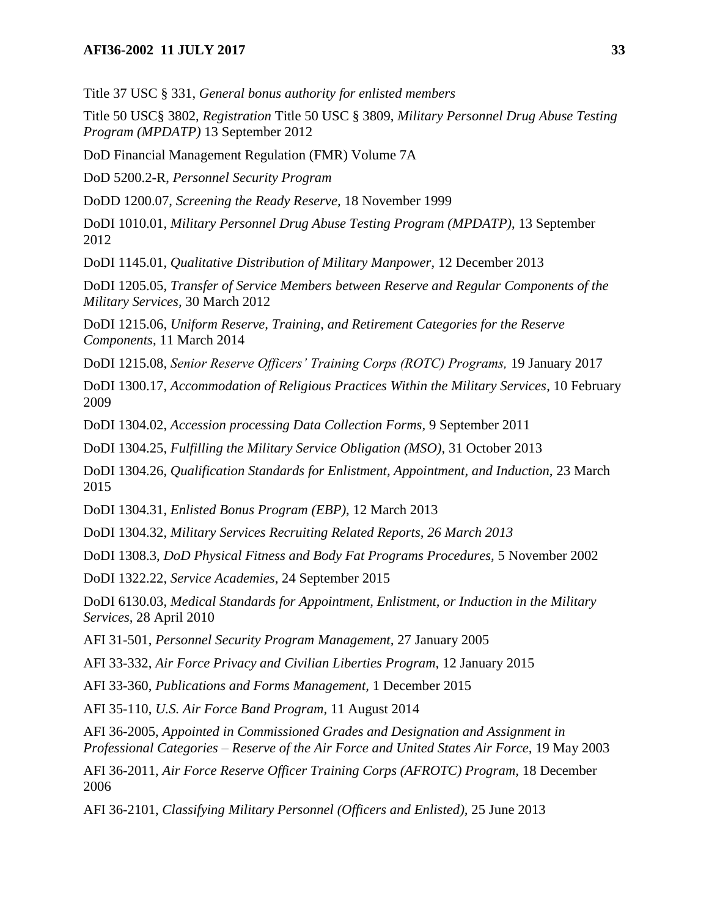Title 37 USC § 331, *General bonus authority for enlisted members*

Title 50 USC§ 3802, *Registration* Title 50 USC § 3809, *Military Personnel Drug Abuse Testing Program (MPDATP)* 13 September 2012

DoD Financial Management Regulation (FMR) Volume 7A

DoD 5200.2-R, *Personnel Security Program*

DoDD 1200.07, *Screening the Ready Reserve,* 18 November 1999

DoDI 1010.01, *Military Personnel Drug Abuse Testing Program (MPDATP)*, 13 September 2012

DoDI 1145.01, *Qualitative Distribution of Military Manpower,* 12 December 2013

DoDI 1205.05*, Transfer of Service Members between Reserve and Regular Components of the Military Services,* 30 March 2012

DoDI 1215.06, *Uniform Reserve, Training, and Retirement Categories for the Reserve Components*, 11 March 2014

DoDI 1215.08, *Senior Reserve Officers' Training Corps (ROTC) Programs,* 19 January 2017

DoDI 1300.17, *Accommodation of Religious Practices Within the Military Services*, 10 February 2009

DoDI 1304.02, *Accession processing Data Collection Forms,* 9 September 2011

DoDI 1304.25, *Fulfilling the Military Service Obligation (MSO),* 31 October 2013

DoDI 1304.26, *Qualification Standards for Enlistment, Appointment, and Induction,* 23 March 2015

DoDI 1304.31, *Enlisted Bonus Program (EBP)*, 12 March 2013

DoDI 1304.32, *Military Services Recruiting Related Reports, 26 March 2013*

DoDI 1308.3, *DoD Physical Fitness and Body Fat Programs Procedures,* 5 November 2002

DoDI 1322.22, *Service Academies*, 24 September 2015

DoDI 6130.03, *Medical Standards for Appointment, Enlistment, or Induction in the Military Services,* 28 April 2010

AFI 31-501, *Personnel Security Program Management,* 27 January 2005

AFI 33-332, *Air Force Privacy and Civilian Liberties Program,* 12 January 2015

AFI 33-360, *Publications and Forms Management,* 1 December 2015

AFI 35-110, *U.S. Air Force Band Program,* 11 August 2014

AFI 36-2005, *Appointed in Commissioned Grades and Designation and Assignment in Professional Categories – Reserve of the Air Force and United States Air Force,* 19 May 2003

AFI 36-2011, *Air Force Reserve Officer Training Corps (AFROTC) Program,* 18 December 2006

AFI 36-2101, *Classifying Military Personnel (Officers and Enlisted),* 25 June 2013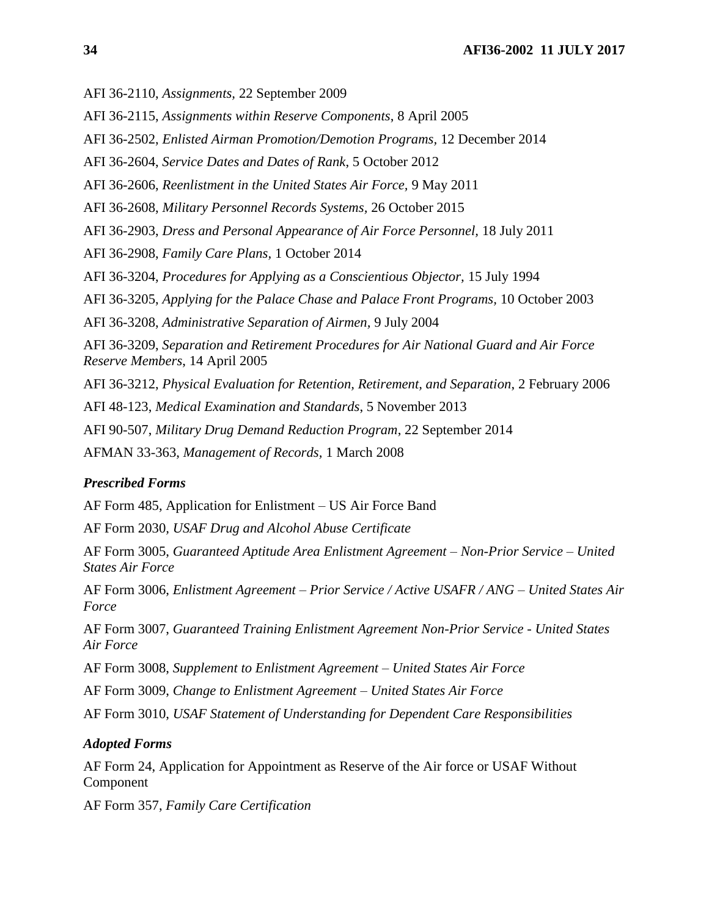AFI 36-2110, *Assignments,* 22 September 2009

AFI 36-2115, *Assignments within Reserve Components*, 8 April 2005

AFI 36-2502, *Enlisted Airman Promotion/Demotion Programs,* 12 December 2014

AFI 36-2604, *Service Dates and Dates of Rank*, 5 October 2012

AFI 36-2606, *Reenlistment in the United States Air Force,* 9 May 2011

AFI 36-2608, *Military Personnel Records Systems,* 26 October 2015

AFI 36-2903, *Dress and Personal Appearance of Air Force Personnel,* 18 July 2011

AFI 36-2908, *Family Care Plans,* 1 October 2014

AFI 36-3204, *Procedures for Applying as a Conscientious Objector,* 15 July 1994

AFI 36-3205, *Applying for the Palace Chase and Palace Front Programs,* 10 October 2003

AFI 36-3208, *Administrative Separation of Airmen,* 9 July 2004

AFI 36-3209, *Separation and Retirement Procedures for Air National Guard and Air Force Reserve Members*, 14 April 2005

AFI 36-3212, *Physical Evaluation for Retention, Retirement, and Separation*, 2 February 2006

AFI 48-123, *Medical Examination and Standards*, 5 November 2013

AFI 90-507, *Military Drug Demand Reduction Program*, 22 September 2014

AFMAN 33-363, *Management of Records,* 1 March 2008

## *Prescribed Forms*

AF Form 485, Application for Enlistment – US Air Force Band

AF Form 2030*, USAF Drug and Alcohol Abuse Certificate*

AF Form 3005, *Guaranteed Aptitude Area Enlistment Agreement – Non-Prior Service – United States Air Force* 

AF Form 3006, *Enlistment Agreement – Prior Service / Active USAFR / ANG – United States Air Force*

AF Form 3007, *Guaranteed Training Enlistment Agreement Non-Prior Service - United States Air Force*

AF Form 3008, *Supplement to Enlistment Agreement – United States Air Force*

AF Form 3009, *Change to Enlistment Agreement – United States Air Force* 

AF Form 3010, *USAF Statement of Understanding for Dependent Care Responsibilities*

## *Adopted Forms*

AF Form 24, Application for Appointment as Reserve of the Air force or USAF Without Component

AF Form 357, *Family Care Certification*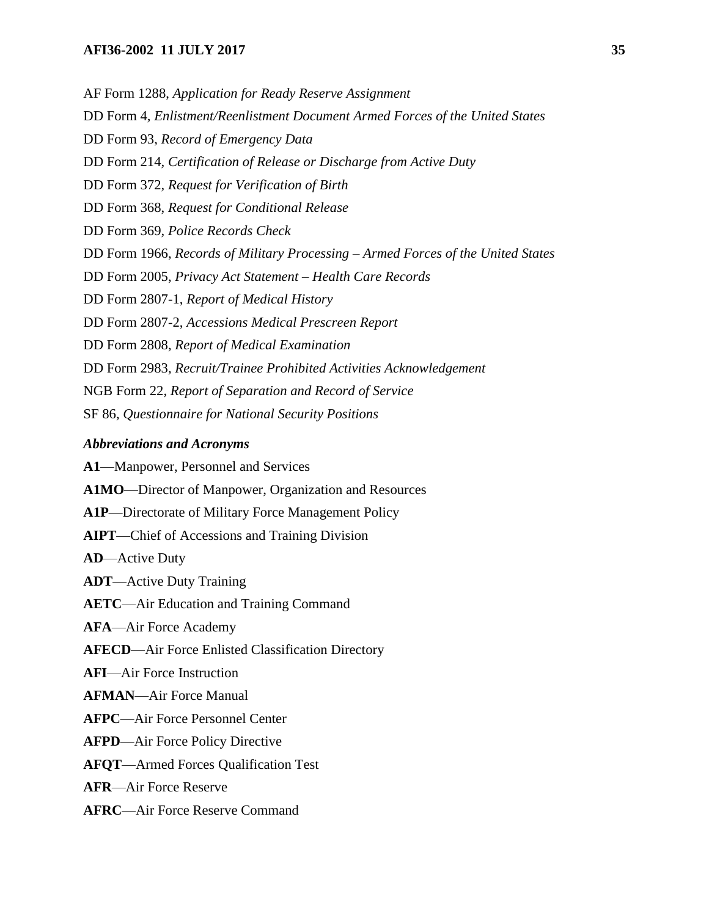#### **AFI36-2002 11 JULY 2017 35**

AF Form 1288, *Application for Ready Reserve Assignment* DD Form 4*, Enlistment/Reenlistment Document Armed Forces of the United States* DD Form 93, *Record of Emergency Data* DD Form 214*, Certification of Release or Discharge from Active Duty* DD Form 372, *Request for Verification of Birth* DD Form 368, *Request for Conditional Release* DD Form 369, *Police Records Check* DD Form 1966, *Records of Military Processing – Armed Forces of the United States* DD Form 2005, *Privacy Act Statement – Health Care Records* DD Form 2807-1, *Report of Medical History* DD Form 2807-2, *Accessions Medical Prescreen Report* DD Form 2808, *Report of Medical Examination* DD Form 2983*, Recruit/Trainee Prohibited Activities Acknowledgement* NGB Form 22*, Report of Separation and Record of Service* SF 86, *Questionnaire for National Security Positions*

#### *Abbreviations and Acronyms*

**A1**—Manpower, Personnel and Services **A1MO**—Director of Manpower, Organization and Resources **A1P**—Directorate of Military Force Management Policy **AIPT**—Chief of Accessions and Training Division **AD**—Active Duty **ADT**—Active Duty Training **AETC**—Air Education and Training Command **AFA**—Air Force Academy **AFECD**—Air Force Enlisted Classification Directory **AFI**—Air Force Instruction **AFMAN**—Air Force Manual **AFPC**—Air Force Personnel Center **AFPD**—Air Force Policy Directive **AFQT**—Armed Forces Qualification Test **AFR**—Air Force Reserve **AFRC**—Air Force Reserve Command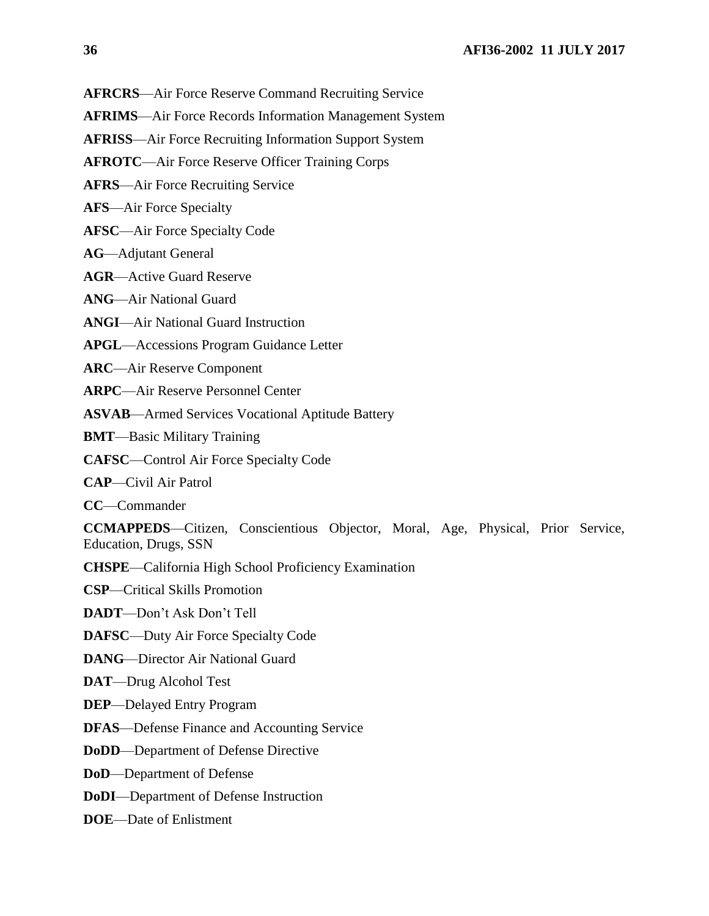**AFRCRS**—Air Force Reserve Command Recruiting Service

**AFRIMS**—Air Force Records Information Management System

**AFRISS**—Air Force Recruiting Information Support System

**AFROTC**—Air Force Reserve Officer Training Corps

**AFRS**—Air Force Recruiting Service

**AFS**—Air Force Specialty

**AFSC**—Air Force Specialty Code

**AG**—Adjutant General

**AGR**—Active Guard Reserve

**ANG**—Air National Guard

**ANGI**—Air National Guard Instruction

**APGL**—Accessions Program Guidance Letter

**ARC**—Air Reserve Component

**ARPC**—Air Reserve Personnel Center

**ASVAB**—Armed Services Vocational Aptitude Battery

**BMT**—Basic Military Training

**CAFSC**—Control Air Force Specialty Code

**CAP**—Civil Air Patrol

**CC**—Commander

**CCMAPPEDS**—Citizen, Conscientious Objector, Moral, Age, Physical, Prior Service, Education, Drugs, SSN

**CHSPE**—California High School Proficiency Examination

**CSP**—Critical Skills Promotion

**DADT**—Don't Ask Don't Tell

**DAFSC**—Duty Air Force Specialty Code

**DANG**—Director Air National Guard

**DAT**—Drug Alcohol Test

**DEP**—Delayed Entry Program

**DFAS**—Defense Finance and Accounting Service

**DoDD**—Department of Defense Directive

**DoD**—Department of Defense

**DoDI**—Department of Defense Instruction

**DOE**—Date of Enlistment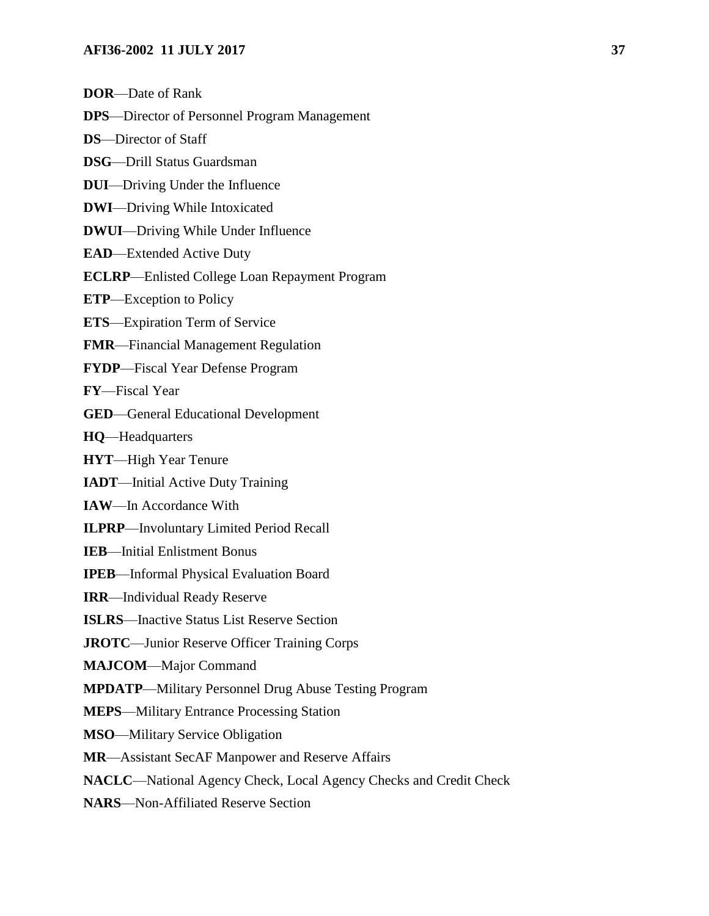- **DOR**—Date of Rank
- **DPS**—Director of Personnel Program Management
- **DS**—Director of Staff
- **DSG**—Drill Status Guardsman
- **DUI**—Driving Under the Influence
- **DWI**—Driving While Intoxicated
- **DWUI**—Driving While Under Influence
- **EAD**—Extended Active Duty
- **ECLRP**—Enlisted College Loan Repayment Program
- **ETP**—Exception to Policy
- **ETS**—Expiration Term of Service
- **FMR**—Financial Management Regulation
- **FYDP**—Fiscal Year Defense Program
- **FY**—Fiscal Year
- **GED**—General Educational Development
- **HQ**—Headquarters
- **HYT**—High Year Tenure
- **IADT**—Initial Active Duty Training
- **IAW**—In Accordance With
- **ILPRP**—Involuntary Limited Period Recall
- **IEB**—Initial Enlistment Bonus
- **IPEB**—Informal Physical Evaluation Board
- **IRR**—Individual Ready Reserve
- **ISLRS**—Inactive Status List Reserve Section
- **JROTC**—Junior Reserve Officer Training Corps
- **MAJCOM**—Major Command
- **MPDATP**—Military Personnel Drug Abuse Testing Program
- **MEPS**—Military Entrance Processing Station
- **MSO**—Military Service Obligation
- **MR**—Assistant SecAF Manpower and Reserve Affairs
- **NACLC**—National Agency Check, Local Agency Checks and Credit Check
- **NARS**—Non-Affiliated Reserve Section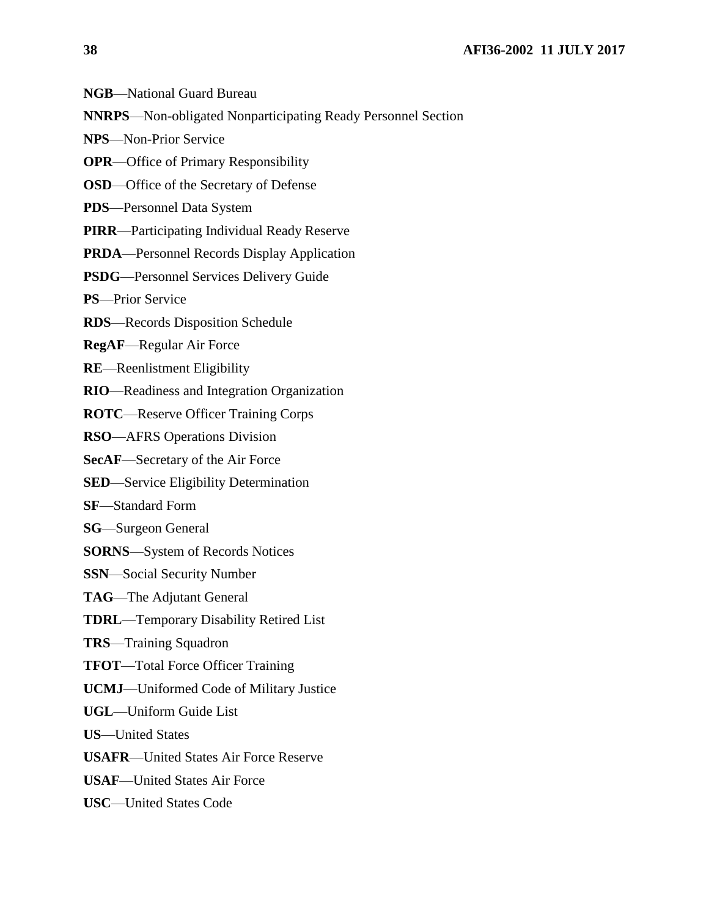**NGB**—National Guard Bureau

**NNRPS**—Non-obligated Nonparticipating Ready Personnel Section

**NPS**—Non-Prior Service

**OPR**—Office of Primary Responsibility

**OSD**—Office of the Secretary of Defense

**PDS**—Personnel Data System

**PIRR**—Participating Individual Ready Reserve

**PRDA**—Personnel Records Display Application

**PSDG**—Personnel Services Delivery Guide

**PS**—Prior Service

**RDS**—Records Disposition Schedule

**RegAF**—Regular Air Force

**RE**—Reenlistment Eligibility

**RIO**—Readiness and Integration Organization

**ROTC**—Reserve Officer Training Corps

**RSO**—AFRS Operations Division

**SecAF**—Secretary of the Air Force

**SED**—Service Eligibility Determination

**SF**—Standard Form

**SG**—Surgeon General

**SORNS**—System of Records Notices

**SSN**—Social Security Number

**TAG**—The Adjutant General

**TDRL**—Temporary Disability Retired List

**TRS**—Training Squadron

**TFOT**—Total Force Officer Training

**UCMJ**—Uniformed Code of Military Justice

**UGL**—Uniform Guide List

**US**—United States

**USAFR**—United States Air Force Reserve

**USAF**—United States Air Force

**USC**—United States Code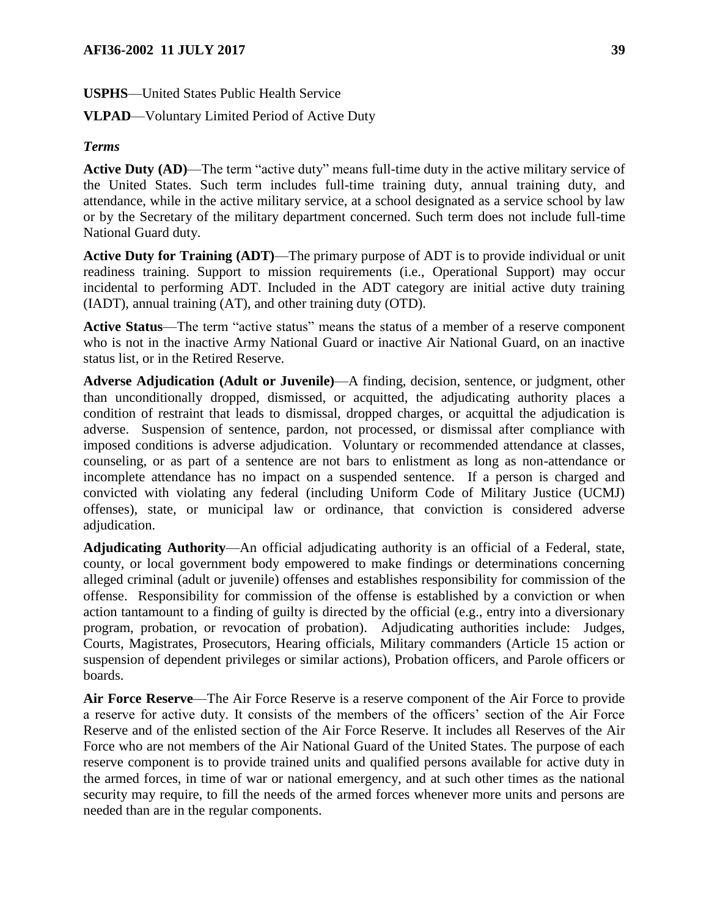**USPHS**—United States Public Health Service

**VLPAD**—Voluntary Limited Period of Active Duty

# *Terms*

**Active Duty (AD)**—The term "active duty" means full-time duty in the active military service of the United States. Such term includes full-time training duty, annual training duty, and attendance, while in the active military service, at a school designated as a service school by law or by the Secretary of the military department concerned. Such term does not include full-time National Guard duty.

**Active Duty for Training (ADT)**—The primary purpose of ADT is to provide individual or unit readiness training. Support to mission requirements (i.e., Operational Support) may occur incidental to performing ADT. Included in the ADT category are initial active duty training (IADT), annual training (AT), and other training duty (OTD).

Active Status—The term "active status" means the status of a member of a reserve component who is not in the inactive Army National Guard or inactive Air National Guard, on an inactive status list, or in the Retired Reserve.

**Adverse Adjudication (Adult or Juvenile)**—A finding, decision, sentence, or judgment, other than unconditionally dropped, dismissed, or acquitted, the adjudicating authority places a condition of restraint that leads to dismissal, dropped charges, or acquittal the adjudication is adverse. Suspension of sentence, pardon, not processed, or dismissal after compliance with imposed conditions is adverse adjudication. Voluntary or recommended attendance at classes, counseling, or as part of a sentence are not bars to enlistment as long as non-attendance or incomplete attendance has no impact on a suspended sentence. If a person is charged and convicted with violating any federal (including Uniform Code of Military Justice (UCMJ) offenses), state, or municipal law or ordinance, that conviction is considered adverse adjudication.

**Adjudicating Authority**—An official adjudicating authority is an official of a Federal, state, county, or local government body empowered to make findings or determinations concerning alleged criminal (adult or juvenile) offenses and establishes responsibility for commission of the offense. Responsibility for commission of the offense is established by a conviction or when action tantamount to a finding of guilty is directed by the official (e.g., entry into a diversionary program, probation, or revocation of probation). Adjudicating authorities include: Judges, Courts, Magistrates, Prosecutors, Hearing officials, Military commanders (Article 15 action or suspension of dependent privileges or similar actions), Probation officers, and Parole officers or boards.

**Air Force Reserve**—The Air Force Reserve is a reserve component of the Air Force to provide a reserve for active duty. It consists of the members of the officers' section of the Air Force Reserve and of the enlisted section of the Air Force Reserve. It includes all Reserves of the Air Force who are not members of the Air National Guard of the United States. The purpose of each reserve component is to provide trained units and qualified persons available for active duty in the armed forces, in time of war or national emergency, and at such other times as the national security may require, to fill the needs of the armed forces whenever more units and persons are needed than are in the regular components.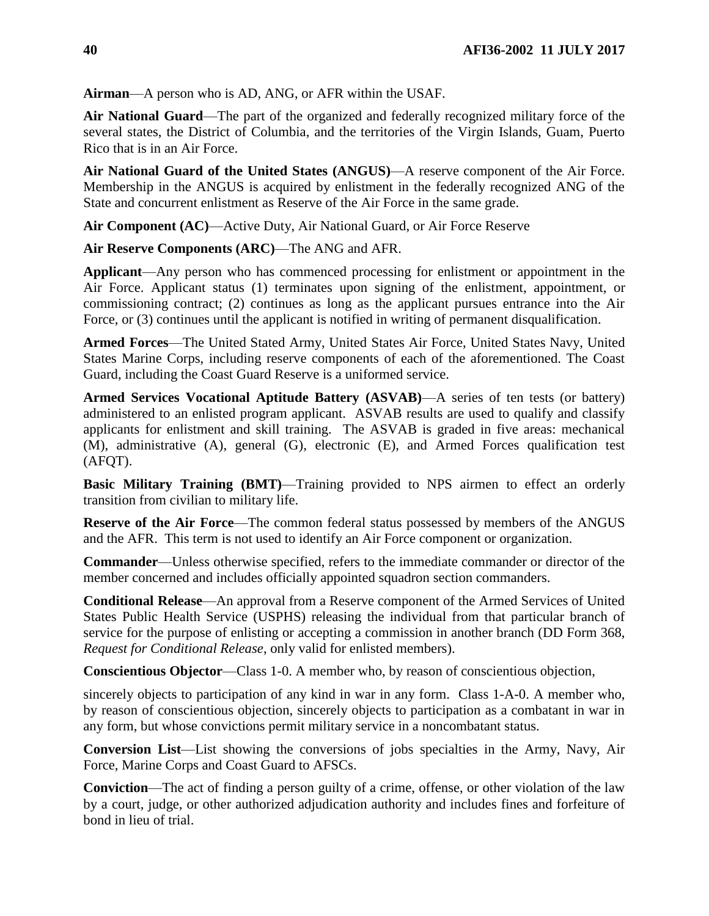**Airman**—A person who is AD, ANG, or AFR within the USAF.

**Air National Guard**—The part of the organized and federally recognized military force of the several states, the District of Columbia, and the territories of the Virgin Islands, Guam, Puerto Rico that is in an Air Force.

**Air National Guard of the United States (ANGUS)**—A reserve component of the Air Force. Membership in the ANGUS is acquired by enlistment in the federally recognized ANG of the State and concurrent enlistment as Reserve of the Air Force in the same grade.

**Air Component (AC)**—Active Duty, Air National Guard, or Air Force Reserve

**Air Reserve Components (ARC)**—The ANG and AFR.

**Applicant**—Any person who has commenced processing for enlistment or appointment in the Air Force. Applicant status (1) terminates upon signing of the enlistment, appointment, or commissioning contract; (2) continues as long as the applicant pursues entrance into the Air Force, or (3) continues until the applicant is notified in writing of permanent disqualification.

**Armed Forces**—The United Stated Army, United States Air Force, United States Navy, United States Marine Corps, including reserve components of each of the aforementioned. The Coast Guard, including the Coast Guard Reserve is a uniformed service.

**Armed Services Vocational Aptitude Battery (ASVAB)**—A series of ten tests (or battery) administered to an enlisted program applicant. ASVAB results are used to qualify and classify applicants for enlistment and skill training. The ASVAB is graded in five areas: mechanical (M), administrative (A), general (G), electronic (E), and Armed Forces qualification test  $(AFOT)$ .

**Basic Military Training (BMT)—Training provided to NPS airmen to effect an orderly** transition from civilian to military life.

**Reserve of the Air Force**—The common federal status possessed by members of the ANGUS and the AFR. This term is not used to identify an Air Force component or organization.

**Commander**—Unless otherwise specified, refers to the immediate commander or director of the member concerned and includes officially appointed squadron section commanders.

**Conditional Release**—An approval from a Reserve component of the Armed Services of United States Public Health Service (USPHS) releasing the individual from that particular branch of service for the purpose of enlisting or accepting a commission in another branch (DD Form 368, *Request for Conditional Release*, only valid for enlisted members).

**Conscientious Objector**—Class 1-0. A member who, by reason of conscientious objection,

sincerely objects to participation of any kind in war in any form. Class 1-A-0. A member who, by reason of conscientious objection, sincerely objects to participation as a combatant in war in any form, but whose convictions permit military service in a noncombatant status.

**Conversion List**—List showing the conversions of jobs specialties in the Army, Navy, Air Force, Marine Corps and Coast Guard to AFSCs.

**Conviction**—The act of finding a person guilty of a crime, offense, or other violation of the law by a court, judge, or other authorized adjudication authority and includes fines and forfeiture of bond in lieu of trial.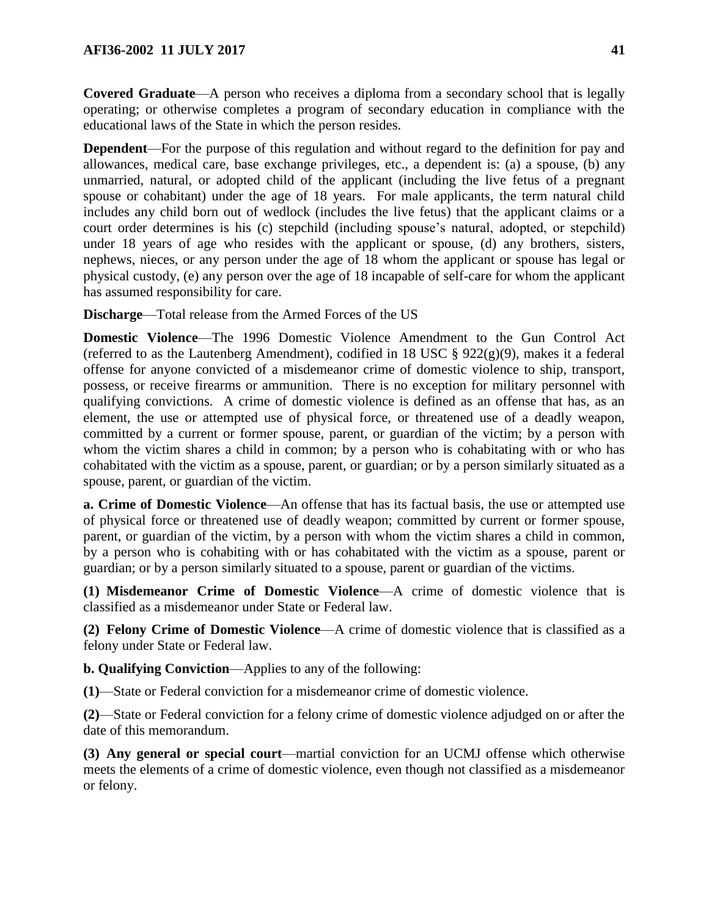**Covered Graduate**—A person who receives a diploma from a secondary school that is legally operating; or otherwise completes a program of secondary education in compliance with the educational laws of the State in which the person resides.

**Dependent**—For the purpose of this regulation and without regard to the definition for pay and allowances, medical care, base exchange privileges, etc., a dependent is: (a) a spouse, (b) any unmarried, natural, or adopted child of the applicant (including the live fetus of a pregnant spouse or cohabitant) under the age of 18 years. For male applicants, the term natural child includes any child born out of wedlock (includes the live fetus) that the applicant claims or a court order determines is his (c) stepchild (including spouse's natural, adopted, or stepchild) under 18 years of age who resides with the applicant or spouse, (d) any brothers, sisters, nephews, nieces, or any person under the age of 18 whom the applicant or spouse has legal or physical custody, (e) any person over the age of 18 incapable of self-care for whom the applicant has assumed responsibility for care.

**Discharge**—Total release from the Armed Forces of the US

**Domestic Violence**—The 1996 Domestic Violence Amendment to the Gun Control Act (referred to as the Lautenberg Amendment), codified in 18 USC  $\S$  922(g)(9), makes it a federal offense for anyone convicted of a misdemeanor crime of domestic violence to ship, transport, possess, or receive firearms or ammunition. There is no exception for military personnel with qualifying convictions. A crime of domestic violence is defined as an offense that has, as an element, the use or attempted use of physical force, or threatened use of a deadly weapon, committed by a current or former spouse, parent, or guardian of the victim; by a person with whom the victim shares a child in common; by a person who is cohabitating with or who has cohabitated with the victim as a spouse, parent, or guardian; or by a person similarly situated as a spouse, parent, or guardian of the victim.

**a. Crime of Domestic Violence**—An offense that has its factual basis, the use or attempted use of physical force or threatened use of deadly weapon; committed by current or former spouse, parent, or guardian of the victim, by a person with whom the victim shares a child in common, by a person who is cohabiting with or has cohabitated with the victim as a spouse, parent or guardian; or by a person similarly situated to a spouse, parent or guardian of the victims.

**(1) Misdemeanor Crime of Domestic Violence**—A crime of domestic violence that is classified as a misdemeanor under State or Federal law.

**(2) Felony Crime of Domestic Violence**—A crime of domestic violence that is classified as a felony under State or Federal law.

**b. Qualifying Conviction**—Applies to any of the following:

**(1)**—State or Federal conviction for a misdemeanor crime of domestic violence.

**(2)**—State or Federal conviction for a felony crime of domestic violence adjudged on or after the date of this memorandum.

**(3) Any general or special court**—martial conviction for an UCMJ offense which otherwise meets the elements of a crime of domestic violence, even though not classified as a misdemeanor or felony.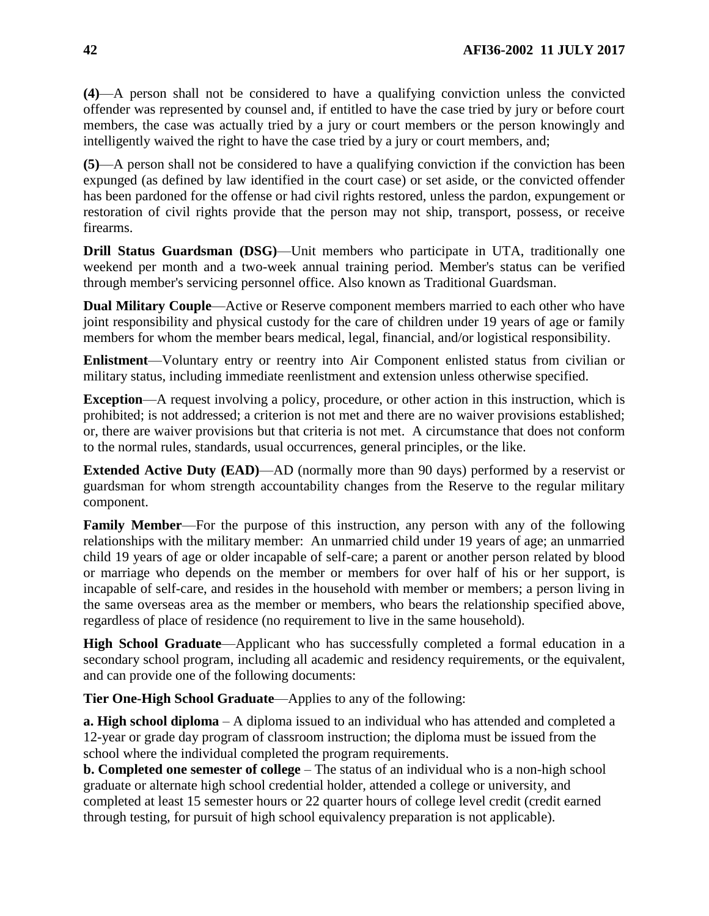**(4)**—A person shall not be considered to have a qualifying conviction unless the convicted offender was represented by counsel and, if entitled to have the case tried by jury or before court members, the case was actually tried by a jury or court members or the person knowingly and intelligently waived the right to have the case tried by a jury or court members, and;

**(5)**—A person shall not be considered to have a qualifying conviction if the conviction has been expunged (as defined by law identified in the court case) or set aside, or the convicted offender has been pardoned for the offense or had civil rights restored, unless the pardon, expungement or restoration of civil rights provide that the person may not ship, transport, possess, or receive firearms.

**Drill Status Guardsman (DSG)—Unit members who participate in UTA, traditionally one** weekend per month and a two-week annual training period. Member's status can be verified through member's servicing personnel office. Also known as Traditional Guardsman.

**Dual Military Couple**—Active or Reserve component members married to each other who have joint responsibility and physical custody for the care of children under 19 years of age or family members for whom the member bears medical, legal, financial, and/or logistical responsibility.

**Enlistment**—Voluntary entry or reentry into Air Component enlisted status from civilian or military status, including immediate reenlistment and extension unless otherwise specified.

**Exception**—A request involving a policy, procedure, or other action in this instruction, which is prohibited; is not addressed; a criterion is not met and there are no waiver provisions established; or, there are waiver provisions but that criteria is not met. A circumstance that does not conform to the normal rules, standards, usual occurrences, general principles, or the like.

**Extended Active Duty (EAD)—AD** (normally more than 90 days) performed by a reservist or guardsman for whom strength accountability changes from the Reserve to the regular military component.

**Family Member**—For the purpose of this instruction, any person with any of the following relationships with the military member: An unmarried child under 19 years of age; an unmarried child 19 years of age or older incapable of self-care; a parent or another person related by blood or marriage who depends on the member or members for over half of his or her support, is incapable of self-care, and resides in the household with member or members; a person living in the same overseas area as the member or members, who bears the relationship specified above, regardless of place of residence (no requirement to live in the same household).

**High School Graduate**—Applicant who has successfully completed a formal education in a secondary school program, including all academic and residency requirements, or the equivalent, and can provide one of the following documents:

**Tier One-High School Graduate**—Applies to any of the following:

**a. High school diploma** – A diploma issued to an individual who has attended and completed a 12-year or grade day program of classroom instruction; the diploma must be issued from the school where the individual completed the program requirements.

**b. Completed one semester of college** – The status of an individual who is a non-high school graduate or alternate high school credential holder, attended a college or university, and completed at least 15 semester hours or 22 quarter hours of college level credit (credit earned through testing, for pursuit of high school equivalency preparation is not applicable).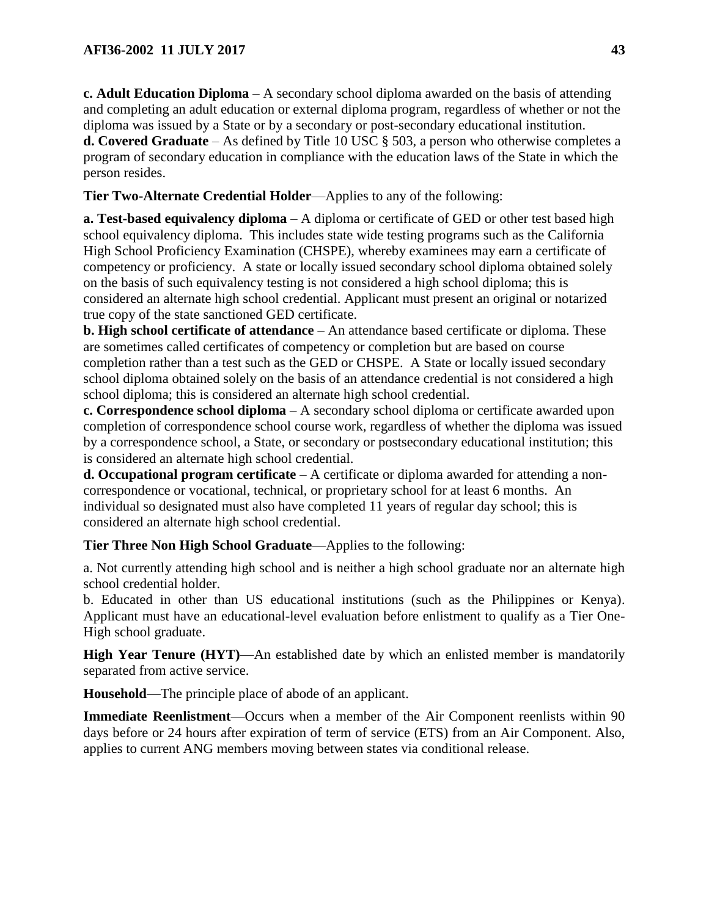**c. Adult Education Diploma** – A secondary school diploma awarded on the basis of attending and completing an adult education or external diploma program, regardless of whether or not the diploma was issued by a State or by a secondary or post-secondary educational institution.

**d. Covered Graduate** – As defined by Title 10 USC § 503, a person who otherwise completes a program of secondary education in compliance with the education laws of the State in which the person resides.

**Tier Two-Alternate Credential Holder**—Applies to any of the following:

**a. Test-based equivalency diploma** – A diploma or certificate of GED or other test based high school equivalency diploma. This includes state wide testing programs such as the California High School Proficiency Examination (CHSPE), whereby examinees may earn a certificate of competency or proficiency. A state or locally issued secondary school diploma obtained solely on the basis of such equivalency testing is not considered a high school diploma; this is considered an alternate high school credential. Applicant must present an original or notarized true copy of the state sanctioned GED certificate.

**b. High school certificate of attendance** – An attendance based certificate or diploma. These are sometimes called certificates of competency or completion but are based on course completion rather than a test such as the GED or CHSPE. A State or locally issued secondary school diploma obtained solely on the basis of an attendance credential is not considered a high school diploma; this is considered an alternate high school credential.

**c. Correspondence school diploma** – A secondary school diploma or certificate awarded upon completion of correspondence school course work, regardless of whether the diploma was issued by a correspondence school, a State, or secondary or postsecondary educational institution; this is considered an alternate high school credential.

**d. Occupational program certificate** – A certificate or diploma awarded for attending a noncorrespondence or vocational, technical, or proprietary school for at least 6 months. An individual so designated must also have completed 11 years of regular day school; this is considered an alternate high school credential.

**Tier Three Non High School Graduate**—Applies to the following:

a. Not currently attending high school and is neither a high school graduate nor an alternate high school credential holder.

b. Educated in other than US educational institutions (such as the Philippines or Kenya). Applicant must have an educational-level evaluation before enlistment to qualify as a Tier One-High school graduate.

**High Year Tenure (HYT)—An** established date by which an enlisted member is mandatorily separated from active service.

**Household**—The principle place of abode of an applicant.

**Immediate Reenlistment**—Occurs when a member of the Air Component reenlists within 90 days before or 24 hours after expiration of term of service (ETS) from an Air Component. Also, applies to current ANG members moving between states via conditional release.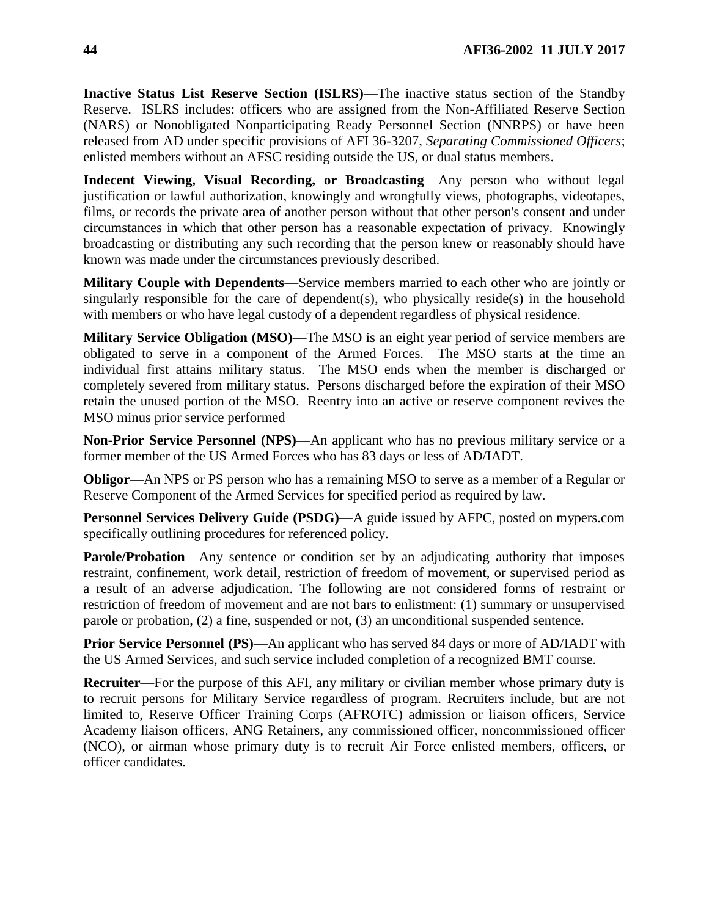**Inactive Status List Reserve Section (ISLRS)**—The inactive status section of the Standby Reserve. ISLRS includes: officers who are assigned from the Non-Affiliated Reserve Section (NARS) or Nonobligated Nonparticipating Ready Personnel Section (NNRPS) or have been released from AD under specific provisions of AFI 36-3207, *Separating Commissioned Officers*; enlisted members without an AFSC residing outside the US, or dual status members.

**Indecent Viewing, Visual Recording, or Broadcasting**—Any person who without legal justification or lawful authorization, knowingly and wrongfully views, photographs, videotapes, films, or records the private area of another person without that other person's consent and under circumstances in which that other person has a reasonable expectation of privacy. Knowingly broadcasting or distributing any such recording that the person knew or reasonably should have known was made under the circumstances previously described.

**Military Couple with Dependents**—Service members married to each other who are jointly or singularly responsible for the care of dependent(s), who physically reside(s) in the household with members or who have legal custody of a dependent regardless of physical residence.

**Military Service Obligation (MSO)**—The MSO is an eight year period of service members are obligated to serve in a component of the Armed Forces. The MSO starts at the time an individual first attains military status. The MSO ends when the member is discharged or completely severed from military status. Persons discharged before the expiration of their MSO retain the unused portion of the MSO. Reentry into an active or reserve component revives the MSO minus prior service performed

**Non-Prior Service Personnel (NPS)**—An applicant who has no previous military service or a former member of the US Armed Forces who has 83 days or less of AD/IADT.

**Obligor**—An NPS or PS person who has a remaining MSO to serve as a member of a Regular or Reserve Component of the Armed Services for specified period as required by law.

**Personnel Services Delivery Guide (PSDG)—A guide issued by AFPC, posted on mypers.com** specifically outlining procedures for referenced policy.

**Parole/Probation—Any** sentence or condition set by an adjudicating authority that imposes restraint, confinement, work detail, restriction of freedom of movement, or supervised period as a result of an adverse adjudication. The following are not considered forms of restraint or restriction of freedom of movement and are not bars to enlistment: (1) summary or unsupervised parole or probation, (2) a fine, suspended or not, (3) an unconditional suspended sentence.

**Prior Service Personnel (PS)—An applicant who has served 84 days or more of AD/IADT with** the US Armed Services, and such service included completion of a recognized BMT course.

**Recruiter**—For the purpose of this AFI, any military or civilian member whose primary duty is to recruit persons for Military Service regardless of program. Recruiters include, but are not limited to, Reserve Officer Training Corps (AFROTC) admission or liaison officers, Service Academy liaison officers, ANG Retainers, any commissioned officer, noncommissioned officer (NCO), or airman whose primary duty is to recruit Air Force enlisted members, officers, or officer candidates.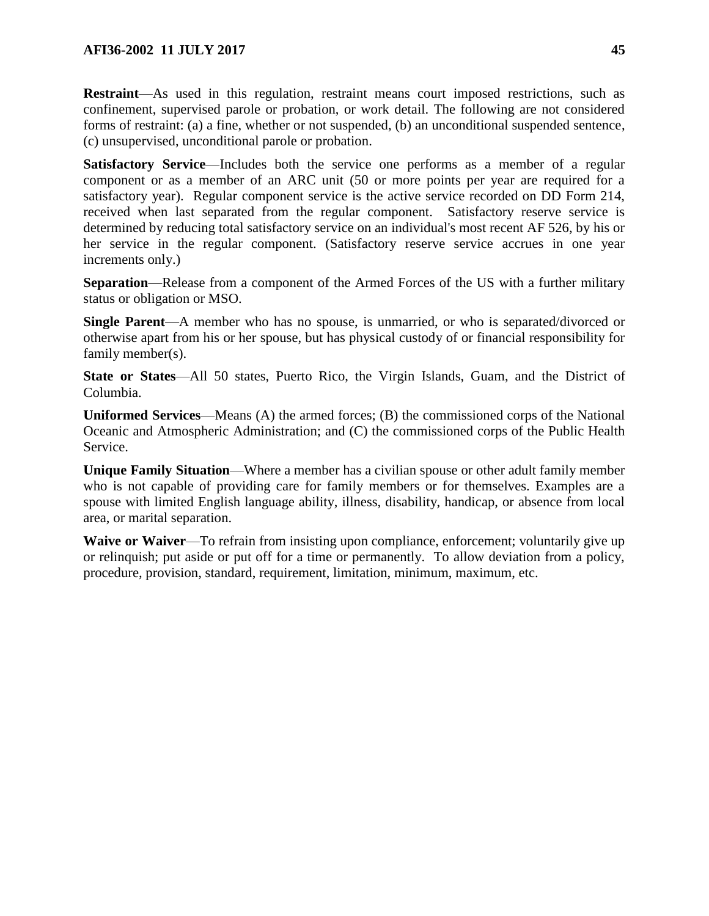**Restraint**—As used in this regulation, restraint means court imposed restrictions, such as confinement, supervised parole or probation, or work detail. The following are not considered forms of restraint: (a) a fine, whether or not suspended, (b) an unconditional suspended sentence, (c) unsupervised, unconditional parole or probation.

**Satisfactory Service**—Includes both the service one performs as a member of a regular component or as a member of an ARC unit (50 or more points per year are required for a satisfactory year). Regular component service is the active service recorded on DD Form 214, received when last separated from the regular component. Satisfactory reserve service is determined by reducing total satisfactory service on an individual's most recent AF 526, by his or her service in the regular component. (Satisfactory reserve service accrues in one year increments only.)

**Separation**—Release from a component of the Armed Forces of the US with a further military status or obligation or MSO.

**Single Parent**—A member who has no spouse, is unmarried, or who is separated/divorced or otherwise apart from his or her spouse, but has physical custody of or financial responsibility for family member(s).

**State or States**—All 50 states, Puerto Rico, the Virgin Islands, Guam, and the District of Columbia.

**Uniformed Services**—Means (A) the armed forces; (B) the commissioned corps of the National Oceanic and Atmospheric Administration; and (C) the commissioned corps of the Public Health Service.

**Unique Family Situation**—Where a member has a civilian spouse or other adult family member who is not capable of providing care for family members or for themselves. Examples are a spouse with limited English language ability, illness, disability, handicap, or absence from local area, or marital separation.

**Waive or Waiver—To refrain from insisting upon compliance, enforcement; voluntarily give up** or relinquish; put aside or put off for a time or permanently. To allow deviation from a policy, procedure, provision, standard, requirement, limitation, minimum, maximum, etc.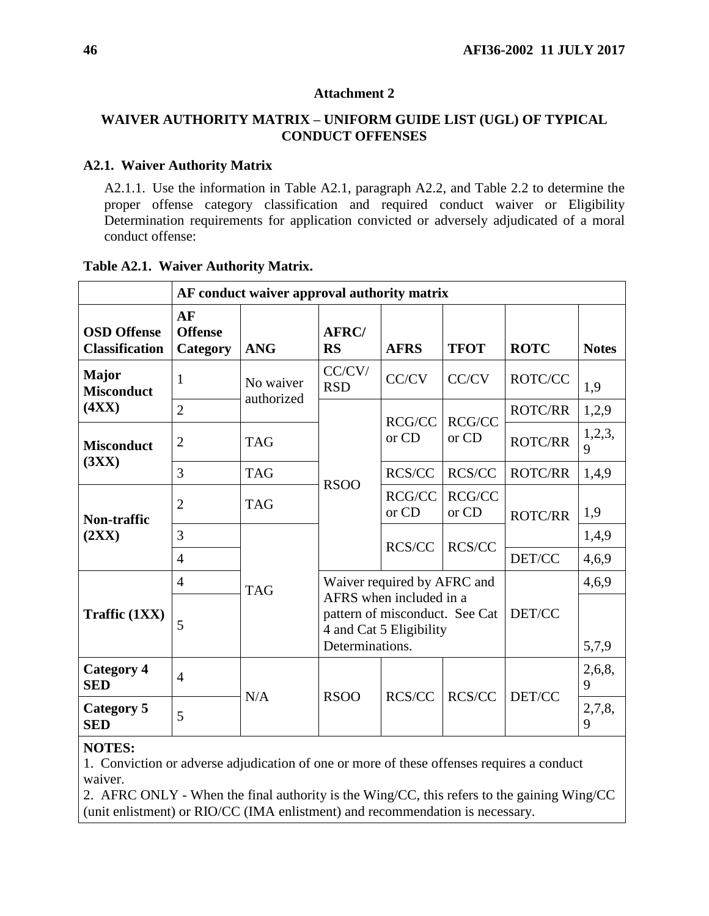## **Attachment 2**

## <span id="page-45-0"></span>**WAIVER AUTHORITY MATRIX – UNIFORM GUIDE LIST (UGL) OF TYPICAL CONDUCT OFFENSES**

## **A2.1. Waiver Authority Matrix**

A2.1.1. Use the information in Table A2.1, paragraph A2.2, and Table 2.2 to determine the proper offense category classification and required conduct waiver or Eligibility Determination requirements for application convicted or adversely adjudicated of a moral conduct offense:

|                                             | AF conduct waiver approval authority matrix |            |                                                                                      |                                    |               |                |                |       |               |
|---------------------------------------------|---------------------------------------------|------------|--------------------------------------------------------------------------------------|------------------------------------|---------------|----------------|----------------|-------|---------------|
| <b>OSD Offense</b><br><b>Classification</b> | AF<br><b>Offense</b><br>Category            | <b>ANG</b> | <b>AFRC/</b><br><b>RS</b>                                                            | <b>AFRS</b>                        | <b>TFOT</b>   | <b>ROTC</b>    | <b>Notes</b>   |       |               |
| <b>Major</b><br><b>Misconduct</b>           | $\mathbf{1}$                                | No waiver  | CC/CV/<br><b>RSD</b>                                                                 | CC/CV                              | CC/CV         | ROTC/CC        | 1,9            |       |               |
| (4XX)                                       | $\overline{2}$                              | authorized |                                                                                      | <b>RCG/CC</b>                      | RCG/CC        | <b>ROTC/RR</b> | 1,2,9          |       |               |
| <b>Misconduct</b>                           | $\overline{2}$                              | <b>TAG</b> | <b>RSOO</b>                                                                          | or CD                              | or CD         | <b>ROTC/RR</b> | 1,2,3,<br>9    |       |               |
| (3XX)                                       | 3                                           | <b>TAG</b> |                                                                                      | RCS/CC<br>RCG/CC<br>or CD<br>or CD |               | <b>RCS/CC</b>  | <b>ROTC/RR</b> | 1,4,9 |               |
| Non-traffic                                 | $\overline{2}$                              | <b>TAG</b> |                                                                                      |                                    | RCG/CC        | <b>ROTC/RR</b> | 1,9            |       |               |
| (2XX)                                       | 3                                           |            |                                                                                      |                                    |               |                |                |       | <b>RCS/CC</b> |
|                                             | $\overline{4}$                              |            |                                                                                      | RCS/CC                             |               | DET/CC         | 4,6,9          |       |               |
|                                             | 4                                           | <b>TAG</b> |                                                                                      | Waiver required by AFRC and        |               | 4,6,9          |                |       |               |
| Traffic (1XX)                               | 5                                           |            | AFRS when included in a<br>pattern of misconduct. See Cat<br>4 and Cat 5 Eligibility |                                    | DET/CC        |                |                |       |               |
|                                             |                                             |            | Determinations.                                                                      |                                    |               | 5,7,9          |                |       |               |
| <b>Category 4</b><br><b>SED</b>             | $\overline{4}$                              | N/A        | <b>RSOO</b>                                                                          | <b>RCS/CC</b>                      | <b>RCS/CC</b> | DET/CC         | 2,6,8,<br>9    |       |               |
| Category 5<br><b>SED</b>                    | 5                                           |            |                                                                                      |                                    |               |                | 2,7,8,<br>9    |       |               |

## **Table A2.1. Waiver Authority Matrix.**

# **NOTES:**

1. Conviction or adverse adjudication of one or more of these offenses requires a conduct waiver.

2. AFRC ONLY - When the final authority is the Wing/CC, this refers to the gaining Wing/CC (unit enlistment) or RIO/CC (IMA enlistment) and recommendation is necessary.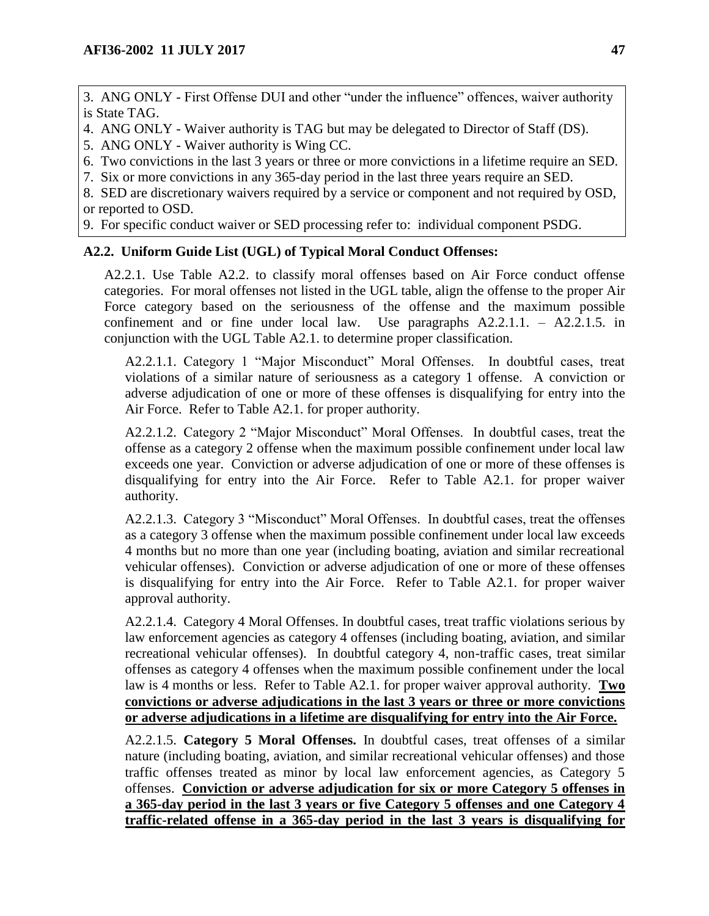3. ANG ONLY - First Offense DUI and other "under the influence" offences, waiver authority is State TAG.

- 4. ANG ONLY Waiver authority is TAG but may be delegated to Director of Staff (DS).
- 5. ANG ONLY Waiver authority is Wing CC.
- 6. Two convictions in the last 3 years or three or more convictions in a lifetime require an SED.

7. Six or more convictions in any 365-day period in the last three years require an SED.

8. SED are discretionary waivers required by a service or component and not required by OSD, or reported to OSD.

9. For specific conduct waiver or SED processing refer to: individual component PSDG.

# **A2.2. Uniform Guide List (UGL) of Typical Moral Conduct Offenses:**

A2.2.1. Use Table A2.2. to classify moral offenses based on Air Force conduct offense categories. For moral offenses not listed in the UGL table, align the offense to the proper Air Force category based on the seriousness of the offense and the maximum possible confinement and or fine under local law. Use paragraphs A2.2.1.1. – A2.2.1.5. in conjunction with the UGL Table A2.1. to determine proper classification.

A2.2.1.1. Category 1 "Major Misconduct" Moral Offenses. In doubtful cases, treat violations of a similar nature of seriousness as a category 1 offense. A conviction or adverse adjudication of one or more of these offenses is disqualifying for entry into the Air Force. Refer to Table A2.1. for proper authority.

A2.2.1.2. Category 2 "Major Misconduct" Moral Offenses. In doubtful cases, treat the offense as a category 2 offense when the maximum possible confinement under local law exceeds one year. Conviction or adverse adjudication of one or more of these offenses is disqualifying for entry into the Air Force. Refer to Table A2.1. for proper waiver authority.

A2.2.1.3. Category 3 "Misconduct" Moral Offenses. In doubtful cases, treat the offenses as a category 3 offense when the maximum possible confinement under local law exceeds 4 months but no more than one year (including boating, aviation and similar recreational vehicular offenses). Conviction or adverse adjudication of one or more of these offenses is disqualifying for entry into the Air Force. Refer to Table A2.1. for proper waiver approval authority.

A2.2.1.4. Category 4 Moral Offenses. In doubtful cases, treat traffic violations serious by law enforcement agencies as category 4 offenses (including boating, aviation, and similar recreational vehicular offenses). In doubtful category 4, non-traffic cases, treat similar offenses as category 4 offenses when the maximum possible confinement under the local law is 4 months or less. Refer to Table A2.1. for proper waiver approval authority. **Two convictions or adverse adjudications in the last 3 years or three or more convictions or adverse adjudications in a lifetime are disqualifying for entry into the Air Force.** 

A2.2.1.5. **Category 5 Moral Offenses.** In doubtful cases, treat offenses of a similar nature (including boating, aviation, and similar recreational vehicular offenses) and those traffic offenses treated as minor by local law enforcement agencies, as Category 5 offenses. **Conviction or adverse adjudication for six or more Category 5 offenses in a 365-day period in the last 3 years or five Category 5 offenses and one Category 4 traffic-related offense in a 365-day period in the last 3 years is disqualifying for**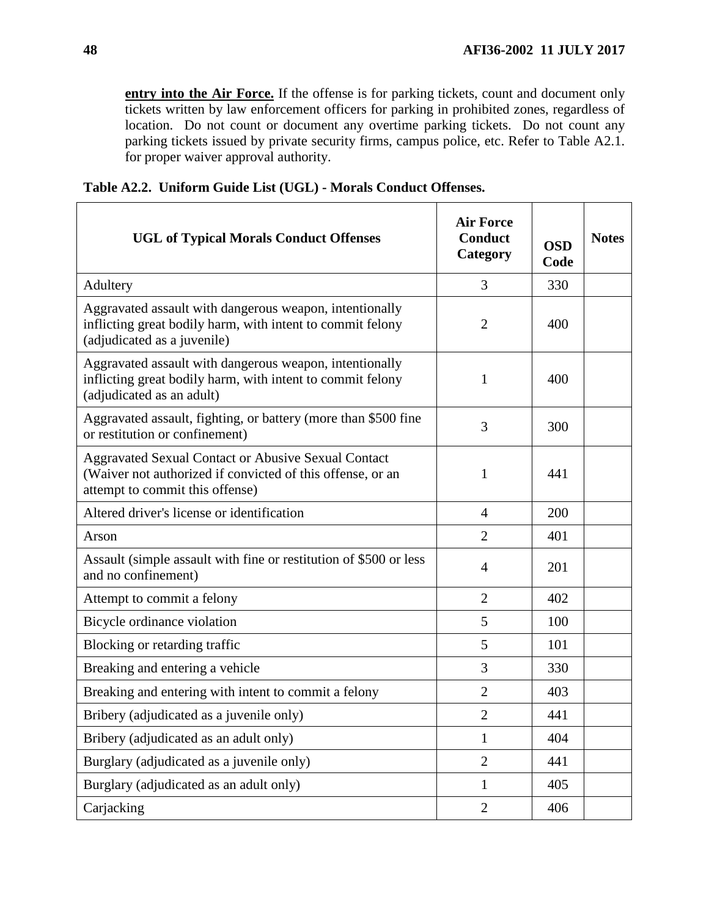**entry into the Air Force.** If the offense is for parking tickets, count and document only tickets written by law enforcement officers for parking in prohibited zones, regardless of location. Do not count or document any overtime parking tickets. Do not count any parking tickets issued by private security firms, campus police, etc. Refer to Table A2.1. for proper waiver approval authority.

| Table A2.2. Uniform Guide List (UGL) - Morals Conduct Offenses. |  |  |  |  |  |  |
|-----------------------------------------------------------------|--|--|--|--|--|--|
|-----------------------------------------------------------------|--|--|--|--|--|--|

| <b>UGL of Typical Morals Conduct Offenses</b>                                                                                                               | <b>Air Force</b><br><b>Conduct</b><br>Category | <b>OSD</b><br>Code | <b>Notes</b> |
|-------------------------------------------------------------------------------------------------------------------------------------------------------------|------------------------------------------------|--------------------|--------------|
| Adultery                                                                                                                                                    | 3                                              | 330                |              |
| Aggravated assault with dangerous weapon, intentionally<br>inflicting great bodily harm, with intent to commit felony<br>(adjudicated as a juvenile)        | $\overline{2}$                                 | 400                |              |
| Aggravated assault with dangerous weapon, intentionally<br>inflicting great bodily harm, with intent to commit felony<br>(adjudicated as an adult)          | 1                                              | 400                |              |
| Aggravated assault, fighting, or battery (more than \$500 fine<br>or restitution or confinement)                                                            | 3                                              | 300                |              |
| <b>Aggravated Sexual Contact or Abusive Sexual Contact</b><br>(Waiver not authorized if convicted of this offense, or an<br>attempt to commit this offense) | 1                                              | 441                |              |
| Altered driver's license or identification                                                                                                                  | $\overline{4}$                                 | 200                |              |
| Arson                                                                                                                                                       | $\overline{2}$                                 | 401                |              |
| Assault (simple assault with fine or restitution of \$500 or less<br>and no confinement)                                                                    | 4                                              | 201                |              |
| Attempt to commit a felony                                                                                                                                  | $\overline{2}$                                 | 402                |              |
| Bicycle ordinance violation                                                                                                                                 | 5                                              | 100                |              |
| Blocking or retarding traffic                                                                                                                               | 5                                              | 101                |              |
| Breaking and entering a vehicle                                                                                                                             | 3                                              | 330                |              |
| Breaking and entering with intent to commit a felony                                                                                                        | $\overline{2}$                                 | 403                |              |
| Bribery (adjudicated as a juvenile only)                                                                                                                    | $\overline{2}$                                 | 441                |              |
| Bribery (adjudicated as an adult only)                                                                                                                      | $\mathbf{1}$                                   | 404                |              |
| Burglary (adjudicated as a juvenile only)                                                                                                                   | $\overline{2}$                                 | 441                |              |
| Burglary (adjudicated as an adult only)                                                                                                                     | $\mathbf{1}$                                   | 405                |              |
| Carjacking                                                                                                                                                  | $\overline{2}$                                 | 406                |              |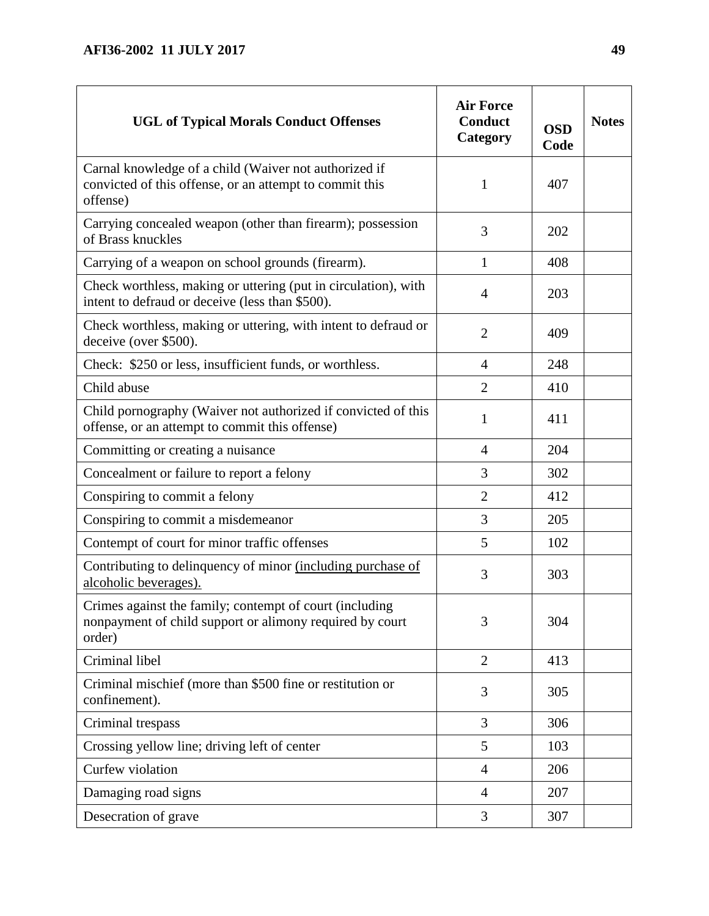| <b>UGL of Typical Morals Conduct Offenses</b>                                                                                 | <b>Air Force</b><br><b>Conduct</b><br>Category | <b>OSD</b><br>Code | <b>Notes</b> |
|-------------------------------------------------------------------------------------------------------------------------------|------------------------------------------------|--------------------|--------------|
| Carnal knowledge of a child (Waiver not authorized if<br>convicted of this offense, or an attempt to commit this<br>offense)  | 1                                              | 407                |              |
| Carrying concealed weapon (other than firearm); possession<br>of Brass knuckles                                               | 3                                              | 202                |              |
| Carrying of a weapon on school grounds (firearm).                                                                             | 1                                              | 408                |              |
| Check worthless, making or uttering (put in circulation), with<br>intent to defraud or deceive (less than \$500).             | $\overline{4}$                                 | 203                |              |
| Check worthless, making or uttering, with intent to defraud or<br>deceive (over \$500).                                       | $\overline{2}$                                 | 409                |              |
| Check: \$250 or less, insufficient funds, or worthless.                                                                       | $\overline{4}$                                 | 248                |              |
| Child abuse                                                                                                                   | $\overline{2}$                                 | 410                |              |
| Child pornography (Waiver not authorized if convicted of this<br>offense, or an attempt to commit this offense)               | 1                                              | 411                |              |
| Committing or creating a nuisance                                                                                             | $\overline{4}$                                 | 204                |              |
| Concealment or failure to report a felony                                                                                     | 3                                              | 302                |              |
| Conspiring to commit a felony                                                                                                 | $\overline{2}$                                 | 412                |              |
| Conspiring to commit a misdemeanor                                                                                            | 3                                              | 205                |              |
| Contempt of court for minor traffic offenses                                                                                  | 5                                              | 102                |              |
| Contributing to delinquency of minor (including purchase of<br>alcoholic beverages).                                          | 3                                              | 303                |              |
| Crimes against the family; contempt of court (including<br>nonpayment of child support or alimony required by court<br>order) | 3                                              | 304                |              |
| Criminal libel                                                                                                                | $\overline{2}$                                 | 413                |              |
| Criminal mischief (more than \$500 fine or restitution or<br>confinement).                                                    | 3                                              | 305                |              |
| Criminal trespass                                                                                                             | 3                                              | 306                |              |
| Crossing yellow line; driving left of center                                                                                  | 5                                              | 103                |              |
| Curfew violation                                                                                                              | $\overline{4}$                                 | 206                |              |
| Damaging road signs                                                                                                           | $\overline{4}$                                 | 207                |              |
| Desecration of grave                                                                                                          | 3                                              | 307                |              |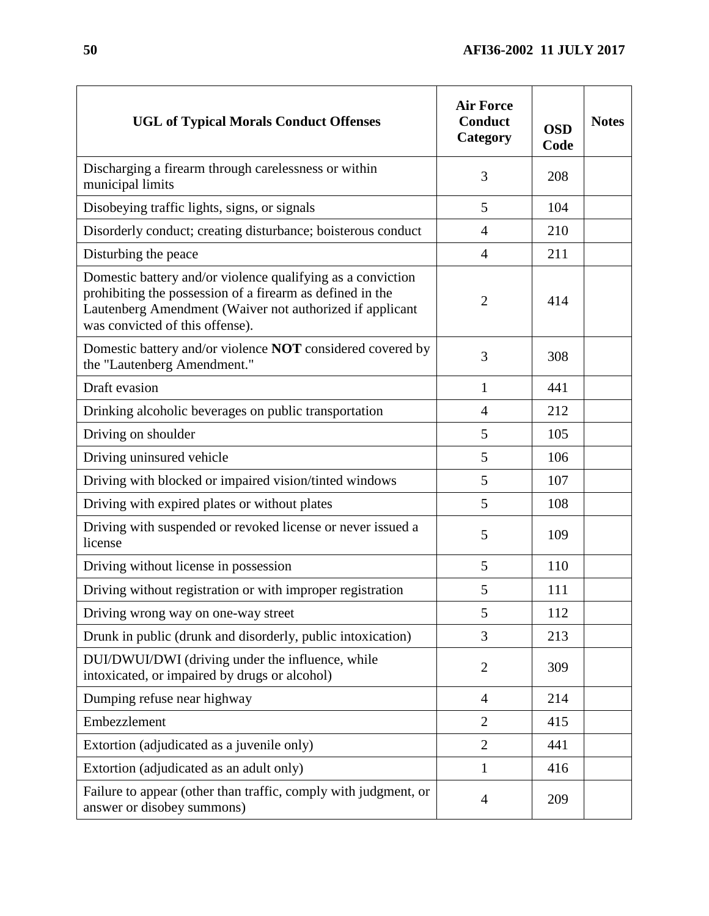| <b>UGL of Typical Morals Conduct Offenses</b>                                                                                                                                                                           | <b>Air Force</b><br><b>Conduct</b><br>Category | <b>OSD</b><br>Code | <b>Notes</b> |
|-------------------------------------------------------------------------------------------------------------------------------------------------------------------------------------------------------------------------|------------------------------------------------|--------------------|--------------|
| Discharging a firearm through carelessness or within<br>municipal limits                                                                                                                                                | 3                                              | 208                |              |
| Disobeying traffic lights, signs, or signals                                                                                                                                                                            | 5                                              | 104                |              |
| Disorderly conduct; creating disturbance; boisterous conduct                                                                                                                                                            | $\overline{4}$                                 | 210                |              |
| Disturbing the peace                                                                                                                                                                                                    | $\overline{4}$                                 | 211                |              |
| Domestic battery and/or violence qualifying as a conviction<br>prohibiting the possession of a firearm as defined in the<br>Lautenberg Amendment (Waiver not authorized if applicant<br>was convicted of this offense). | $\overline{2}$                                 | 414                |              |
| Domestic battery and/or violence <b>NOT</b> considered covered by<br>the "Lautenberg Amendment."                                                                                                                        | 3                                              | 308                |              |
| Draft evasion                                                                                                                                                                                                           | 1                                              | 441                |              |
| Drinking alcoholic beverages on public transportation                                                                                                                                                                   | $\overline{4}$                                 | 212                |              |
| Driving on shoulder                                                                                                                                                                                                     | 5                                              | 105                |              |
| Driving uninsured vehicle                                                                                                                                                                                               | 5                                              | 106                |              |
| Driving with blocked or impaired vision/tinted windows                                                                                                                                                                  | 5                                              | 107                |              |
| Driving with expired plates or without plates                                                                                                                                                                           | 5                                              | 108                |              |
| Driving with suspended or revoked license or never issued a<br>license                                                                                                                                                  | 5                                              | 109                |              |
| Driving without license in possession                                                                                                                                                                                   | 5                                              | 110                |              |
| Driving without registration or with improper registration                                                                                                                                                              | 5                                              | 111                |              |
| Driving wrong way on one-way street                                                                                                                                                                                     | 5                                              | 112                |              |
| Drunk in public (drunk and disorderly, public intoxication)                                                                                                                                                             | 3                                              | 213                |              |
| DUI/DWUI/DWI (driving under the influence, while<br>intoxicated, or impaired by drugs or alcohol)                                                                                                                       | $\overline{2}$                                 | 309                |              |
| Dumping refuse near highway                                                                                                                                                                                             | $\overline{4}$                                 | 214                |              |
| Embezzlement                                                                                                                                                                                                            | $\overline{2}$                                 | 415                |              |
| Extortion (adjudicated as a juvenile only)                                                                                                                                                                              | $\overline{2}$                                 | 441                |              |
| Extortion (adjudicated as an adult only)                                                                                                                                                                                | 1                                              | 416                |              |
| Failure to appear (other than traffic, comply with judgment, or<br>answer or disobey summons)                                                                                                                           | $\overline{4}$                                 | 209                |              |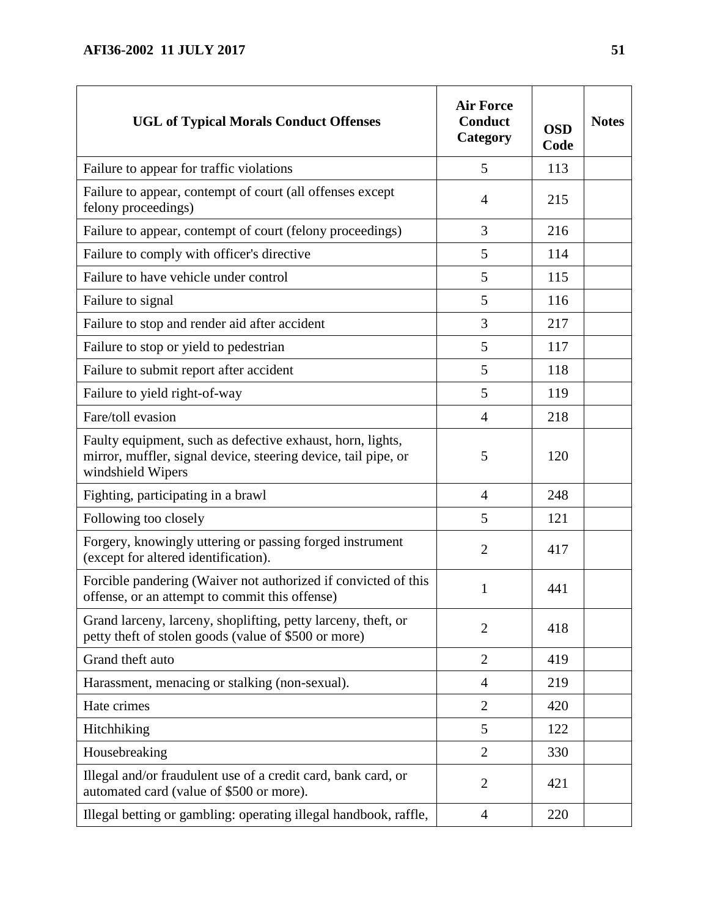| <b>UGL of Typical Morals Conduct Offenses</b>                                                                                                     | <b>Air Force</b><br><b>Conduct</b><br>Category | <b>OSD</b><br>Code | <b>Notes</b> |
|---------------------------------------------------------------------------------------------------------------------------------------------------|------------------------------------------------|--------------------|--------------|
| Failure to appear for traffic violations                                                                                                          | 5                                              | 113                |              |
| Failure to appear, contempt of court (all offenses except<br>felony proceedings)                                                                  | $\overline{4}$                                 | 215                |              |
| Failure to appear, contempt of court (felony proceedings)                                                                                         | 3                                              | 216                |              |
| Failure to comply with officer's directive                                                                                                        | 5                                              | 114                |              |
| Failure to have vehicle under control                                                                                                             | 5                                              | 115                |              |
| Failure to signal                                                                                                                                 | 5                                              | 116                |              |
| Failure to stop and render aid after accident                                                                                                     | 3                                              | 217                |              |
| Failure to stop or yield to pedestrian                                                                                                            | 5                                              | 117                |              |
| Failure to submit report after accident                                                                                                           | 5                                              | 118                |              |
| Failure to yield right-of-way                                                                                                                     | 5                                              | 119                |              |
| Fare/toll evasion                                                                                                                                 | $\overline{4}$                                 | 218                |              |
| Faulty equipment, such as defective exhaust, horn, lights,<br>mirror, muffler, signal device, steering device, tail pipe, or<br>windshield Wipers | 5                                              | 120                |              |
| Fighting, participating in a brawl                                                                                                                | $\overline{4}$                                 | 248                |              |
| Following too closely                                                                                                                             | 5                                              | 121                |              |
| Forgery, knowingly uttering or passing forged instrument<br>(except for altered identification).                                                  | $\overline{2}$                                 | 417                |              |
| Forcible pandering (Waiver not authorized if convicted of this<br>offense, or an attempt to commit this offense)                                  | 1                                              | 441                |              |
| Grand larceny, larceny, shoplifting, petty larceny, theft, or<br>petty theft of stolen goods (value of \$500 or more)                             | $\overline{2}$                                 | 418                |              |
| Grand theft auto                                                                                                                                  | $\overline{2}$                                 | 419                |              |
| Harassment, menacing or stalking (non-sexual).                                                                                                    | $\overline{4}$                                 | 219                |              |
| Hate crimes                                                                                                                                       | $\overline{2}$                                 | 420                |              |
| Hitchhiking                                                                                                                                       | 5                                              | 122                |              |
| Housebreaking                                                                                                                                     | $\overline{2}$                                 | 330                |              |
| Illegal and/or fraudulent use of a credit card, bank card, or<br>automated card (value of \$500 or more).                                         | $\overline{2}$                                 | 421                |              |
| Illegal betting or gambling: operating illegal handbook, raffle,                                                                                  | $\overline{4}$                                 | 220                |              |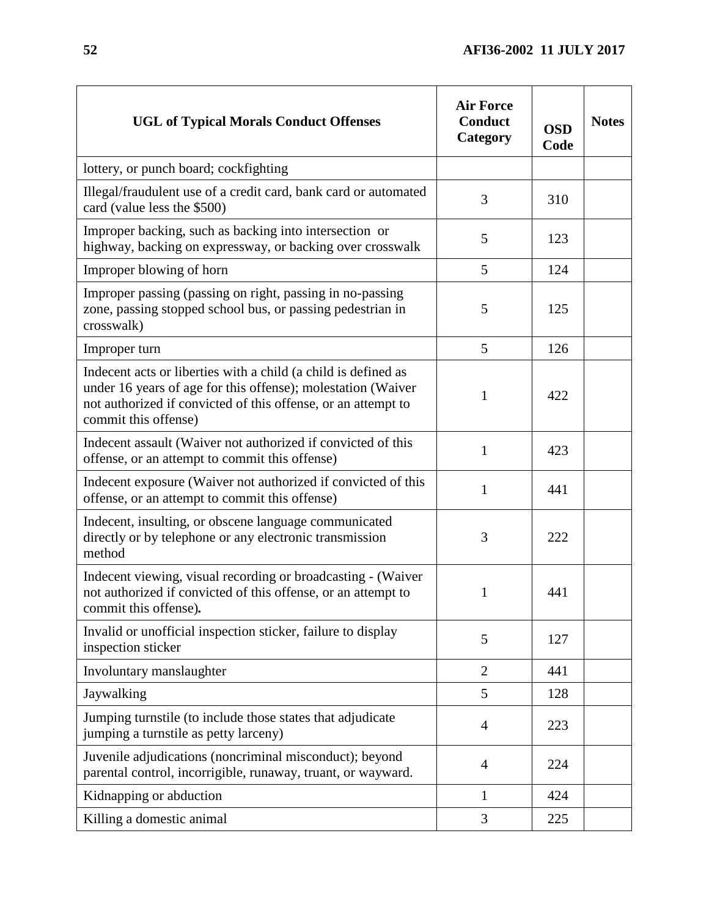| <b>UGL of Typical Morals Conduct Offenses</b>                                                                                                                                                                           | <b>Air Force</b><br><b>Conduct</b><br>Category | <b>OSD</b><br>Code | <b>Notes</b> |
|-------------------------------------------------------------------------------------------------------------------------------------------------------------------------------------------------------------------------|------------------------------------------------|--------------------|--------------|
| lottery, or punch board; cockfighting                                                                                                                                                                                   |                                                |                    |              |
| Illegal/fraudulent use of a credit card, bank card or automated<br>card (value less the \$500)                                                                                                                          | 3                                              | 310                |              |
| Improper backing, such as backing into intersection or<br>highway, backing on expressway, or backing over crosswalk                                                                                                     | 5                                              | 123                |              |
| Improper blowing of horn                                                                                                                                                                                                | 5                                              | 124                |              |
| Improper passing (passing on right, passing in no-passing<br>zone, passing stopped school bus, or passing pedestrian in<br>crosswalk)                                                                                   | 5                                              | 125                |              |
| Improper turn                                                                                                                                                                                                           | 5                                              | 126                |              |
| Indecent acts or liberties with a child (a child is defined as<br>under 16 years of age for this offense); molestation (Waiver<br>not authorized if convicted of this offense, or an attempt to<br>commit this offense) | 1                                              | 422                |              |
| Indecent assault (Waiver not authorized if convicted of this<br>offense, or an attempt to commit this offense)                                                                                                          | 1                                              | 423                |              |
| Indecent exposure (Waiver not authorized if convicted of this<br>offense, or an attempt to commit this offense)                                                                                                         | 1                                              | 441                |              |
| Indecent, insulting, or obscene language communicated<br>directly or by telephone or any electronic transmission<br>method                                                                                              | 3                                              | 222                |              |
| Indecent viewing, visual recording or broadcasting - (Waiver<br>not authorized if convicted of this offense, or an attempt to<br>commit this offense).                                                                  | 1                                              | 441                |              |
| Invalid or unofficial inspection sticker, failure to display<br>inspection sticker                                                                                                                                      | 5                                              | 127                |              |
| Involuntary manslaughter                                                                                                                                                                                                | $\overline{2}$                                 | 441                |              |
| Jaywalking                                                                                                                                                                                                              | 5                                              | 128                |              |
| Jumping turnstile (to include those states that adjudicate<br>jumping a turnstile as petty larceny)                                                                                                                     | $\overline{4}$                                 | 223                |              |
| Juvenile adjudications (noncriminal misconduct); beyond<br>parental control, incorrigible, runaway, truant, or wayward.                                                                                                 | $\overline{4}$                                 | 224                |              |
| Kidnapping or abduction                                                                                                                                                                                                 | 1                                              | 424                |              |
| Killing a domestic animal                                                                                                                                                                                               | 3                                              | 225                |              |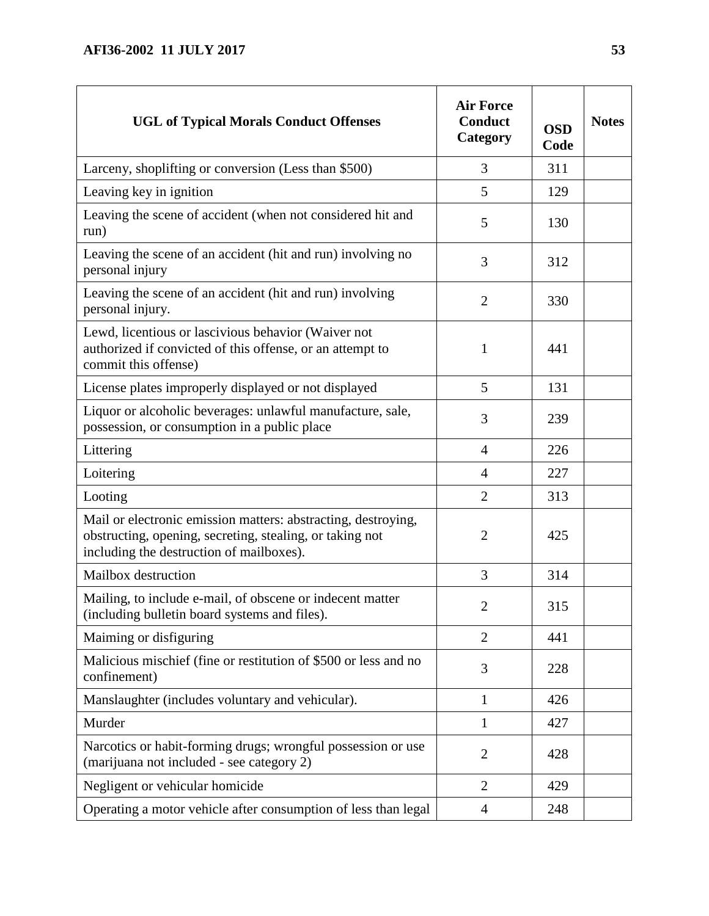| <b>UGL of Typical Morals Conduct Offenses</b>                                                                                                                         | <b>Air Force</b><br><b>Conduct</b><br>Category | <b>OSD</b><br>Code | <b>Notes</b> |
|-----------------------------------------------------------------------------------------------------------------------------------------------------------------------|------------------------------------------------|--------------------|--------------|
| Larceny, shoplifting or conversion (Less than \$500)                                                                                                                  | 3                                              | 311                |              |
| Leaving key in ignition                                                                                                                                               | 5                                              | 129                |              |
| Leaving the scene of accident (when not considered hit and<br>run)                                                                                                    | 5                                              | 130                |              |
| Leaving the scene of an accident (hit and run) involving no<br>personal injury                                                                                        | 3                                              | 312                |              |
| Leaving the scene of an accident (hit and run) involving<br>personal injury.                                                                                          | $\overline{2}$                                 | 330                |              |
| Lewd, licentious or lascivious behavior (Waiver not<br>authorized if convicted of this offense, or an attempt to<br>commit this offense)                              | 1                                              | 441                |              |
| License plates improperly displayed or not displayed                                                                                                                  | 5                                              | 131                |              |
| Liquor or alcoholic beverages: unlawful manufacture, sale,<br>possession, or consumption in a public place                                                            | 3                                              | 239                |              |
| Littering                                                                                                                                                             | $\overline{4}$                                 | 226                |              |
| Loitering                                                                                                                                                             | $\overline{4}$                                 | 227                |              |
| Looting                                                                                                                                                               | $\overline{2}$                                 | 313                |              |
| Mail or electronic emission matters: abstracting, destroying,<br>obstructing, opening, secreting, stealing, or taking not<br>including the destruction of mailboxes). | $\overline{2}$                                 | 425                |              |
| Mailbox destruction                                                                                                                                                   | 3                                              | 314                |              |
| Mailing, to include e-mail, of obscene or indecent matter<br>(including bulletin board systems and files).                                                            | $\overline{2}$                                 | 315                |              |
| Maiming or disfiguring                                                                                                                                                | $\overline{2}$                                 | 441                |              |
| Malicious mischief (fine or restitution of \$500 or less and no<br>confinement)                                                                                       | 3                                              | 228                |              |
| Manslaughter (includes voluntary and vehicular).                                                                                                                      | 1                                              | 426                |              |
| Murder                                                                                                                                                                | $\mathbf{1}$                                   | 427                |              |
| Narcotics or habit-forming drugs; wrongful possession or use<br>(marijuana not included - see category 2)                                                             | $\overline{2}$                                 | 428                |              |
| Negligent or vehicular homicide                                                                                                                                       | $\overline{2}$                                 | 429                |              |
| Operating a motor vehicle after consumption of less than legal                                                                                                        | $\overline{4}$                                 | 248                |              |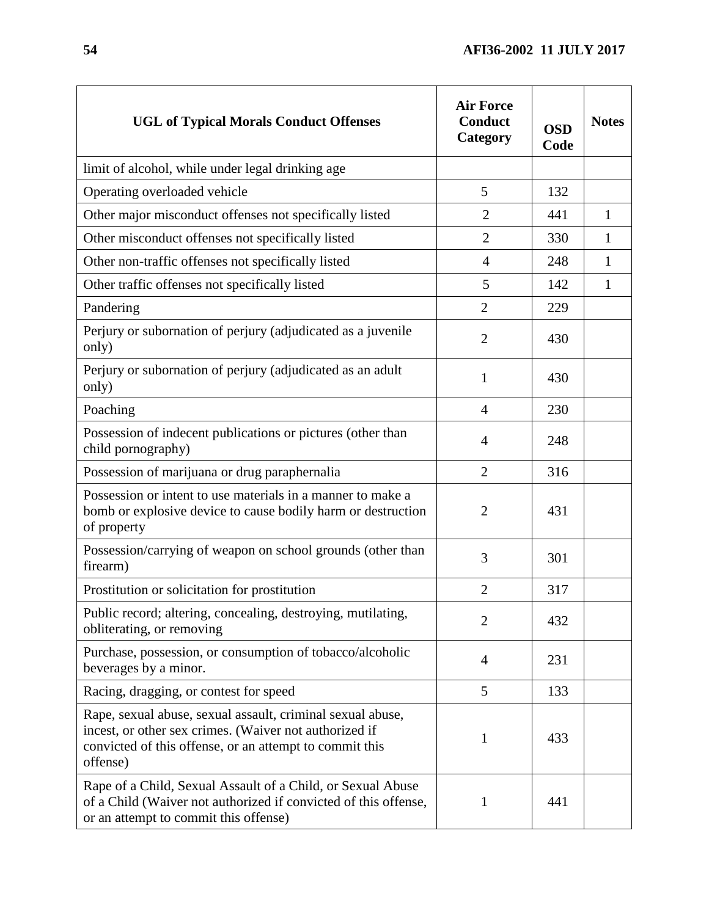| <b>UGL of Typical Morals Conduct Offenses</b>                                                                                                                                               | <b>Air Force</b><br>Conduct<br>Category | <b>OSD</b><br>Code | <b>Notes</b> |
|---------------------------------------------------------------------------------------------------------------------------------------------------------------------------------------------|-----------------------------------------|--------------------|--------------|
| limit of alcohol, while under legal drinking age                                                                                                                                            |                                         |                    |              |
| Operating overloaded vehicle                                                                                                                                                                | 5                                       | 132                |              |
| Other major misconduct offenses not specifically listed                                                                                                                                     | $\overline{2}$                          | 441                | $\mathbf{1}$ |
| Other misconduct offenses not specifically listed                                                                                                                                           | $\overline{2}$                          | 330                | 1            |
| Other non-traffic offenses not specifically listed                                                                                                                                          | $\overline{4}$                          | 248                | 1            |
| Other traffic offenses not specifically listed                                                                                                                                              | 5                                       | 142                | $\mathbf{1}$ |
| Pandering                                                                                                                                                                                   | $\overline{2}$                          | 229                |              |
| Perjury or subornation of perjury (adjudicated as a juvenile<br>only)                                                                                                                       | $\overline{2}$                          | 430                |              |
| Perjury or subornation of perjury (adjudicated as an adult<br>only)                                                                                                                         | 1                                       | 430                |              |
| Poaching                                                                                                                                                                                    | $\overline{4}$                          | 230                |              |
| Possession of indecent publications or pictures (other than<br>child pornography)                                                                                                           | $\overline{A}$                          | 248                |              |
| Possession of marijuana or drug paraphernalia                                                                                                                                               | $\overline{2}$                          | 316                |              |
| Possession or intent to use materials in a manner to make a<br>bomb or explosive device to cause bodily harm or destruction<br>of property                                                  | $\overline{2}$                          | 431                |              |
| Possession/carrying of weapon on school grounds (other than<br>firearm)                                                                                                                     | 3                                       | 301                |              |
| Prostitution or solicitation for prostitution                                                                                                                                               | $\overline{2}$                          | 317                |              |
| Public record; altering, concealing, destroying, mutilating,<br>obliterating, or removing                                                                                                   | $\overline{2}$                          | 432                |              |
| Purchase, possession, or consumption of tobacco/alcoholic<br>beverages by a minor.                                                                                                          | $\overline{4}$                          | 231                |              |
| Racing, dragging, or contest for speed                                                                                                                                                      | 5                                       | 133                |              |
| Rape, sexual abuse, sexual assault, criminal sexual abuse,<br>incest, or other sex crimes. (Waiver not authorized if<br>convicted of this offense, or an attempt to commit this<br>offense) | 1                                       | 433                |              |
| Rape of a Child, Sexual Assault of a Child, or Sexual Abuse<br>of a Child (Waiver not authorized if convicted of this offense,<br>or an attempt to commit this offense)                     | 1                                       | 441                |              |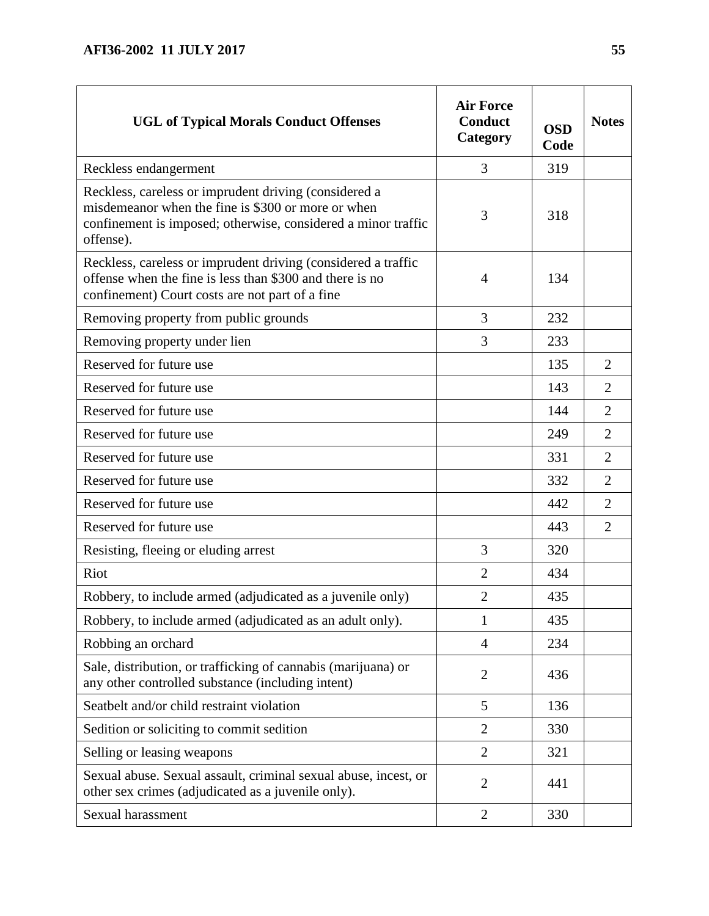| <b>UGL of Typical Morals Conduct Offenses</b>                                                                                                                                             | <b>Air Force</b><br><b>Conduct</b><br>Category | <b>OSD</b><br>Code | <b>Notes</b>   |
|-------------------------------------------------------------------------------------------------------------------------------------------------------------------------------------------|------------------------------------------------|--------------------|----------------|
| Reckless endangerment                                                                                                                                                                     | 3                                              | 319                |                |
| Reckless, careless or imprudent driving (considered a<br>misdemeanor when the fine is \$300 or more or when<br>confinement is imposed; otherwise, considered a minor traffic<br>offense). | 3                                              | 318                |                |
| Reckless, careless or imprudent driving (considered a traffic<br>offense when the fine is less than \$300 and there is no<br>confinement) Court costs are not part of a fine              | $\overline{4}$                                 | 134                |                |
| Removing property from public grounds                                                                                                                                                     | 3                                              | 232                |                |
| Removing property under lien                                                                                                                                                              | 3                                              | 233                |                |
| Reserved for future use                                                                                                                                                                   |                                                | 135                | $\overline{2}$ |
| Reserved for future use                                                                                                                                                                   |                                                | 143                | $\overline{2}$ |
| Reserved for future use                                                                                                                                                                   |                                                | 144                | $\overline{2}$ |
| Reserved for future use                                                                                                                                                                   |                                                | 249                | $\overline{2}$ |
| Reserved for future use                                                                                                                                                                   |                                                | 331                | $\overline{2}$ |
| Reserved for future use                                                                                                                                                                   |                                                | 332                | $\overline{2}$ |
| Reserved for future use                                                                                                                                                                   |                                                | 442                | $\overline{2}$ |
| Reserved for future use                                                                                                                                                                   |                                                | 443                | $\overline{2}$ |
| Resisting, fleeing or eluding arrest                                                                                                                                                      | 3                                              | 320                |                |
| Riot                                                                                                                                                                                      | $\overline{2}$                                 | 434                |                |
| Robbery, to include armed (adjudicated as a juvenile only)                                                                                                                                | $\overline{2}$                                 | 435                |                |
| Robbery, to include armed (adjudicated as an adult only).                                                                                                                                 | $\mathbf{1}$                                   | 435                |                |
| Robbing an orchard                                                                                                                                                                        | $\overline{4}$                                 | 234                |                |
| Sale, distribution, or trafficking of cannabis (marijuana) or<br>any other controlled substance (including intent)                                                                        | $\overline{2}$                                 | 436                |                |
| Seatbelt and/or child restraint violation                                                                                                                                                 | 5                                              | 136                |                |
| Sedition or soliciting to commit sedition                                                                                                                                                 | $\overline{2}$                                 | 330                |                |
| Selling or leasing weapons                                                                                                                                                                | $\overline{2}$                                 | 321                |                |
| Sexual abuse. Sexual assault, criminal sexual abuse, incest, or<br>other sex crimes (adjudicated as a juvenile only).                                                                     | $\overline{2}$                                 | 441                |                |
| Sexual harassment                                                                                                                                                                         | $\mathfrak{2}$                                 | 330                |                |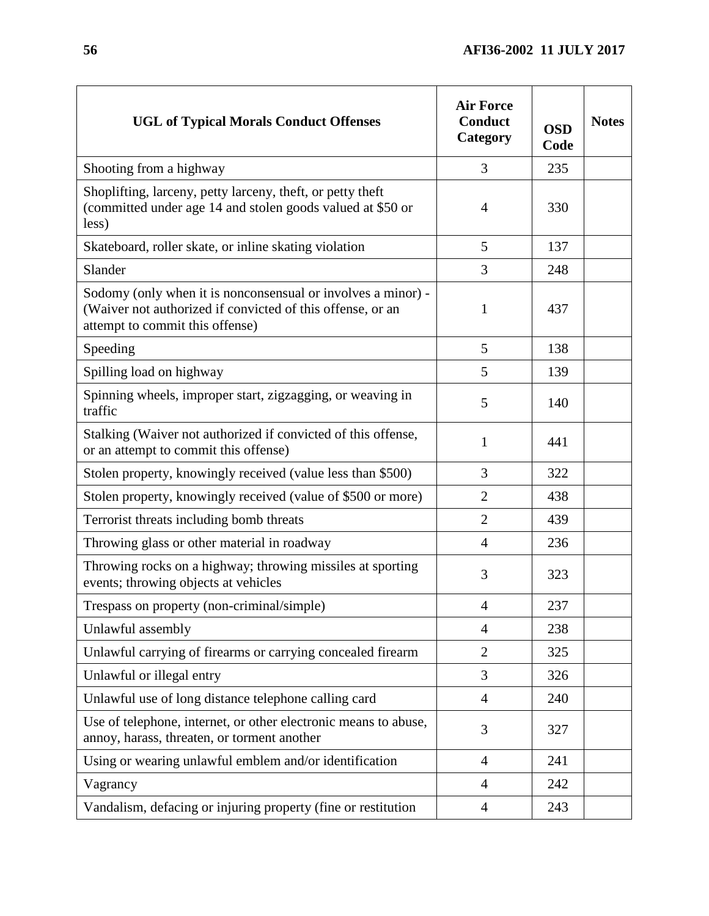| <b>UGL of Typical Morals Conduct Offenses</b>                                                                                                                 | <b>Air Force</b><br><b>Conduct</b><br>Category | <b>OSD</b><br>Code | <b>Notes</b> |
|---------------------------------------------------------------------------------------------------------------------------------------------------------------|------------------------------------------------|--------------------|--------------|
| Shooting from a highway                                                                                                                                       | 3                                              | 235                |              |
| Shoplifting, larceny, petty larceny, theft, or petty theft<br>(committed under age 14 and stolen goods valued at \$50 or<br>less)                             | 4                                              | 330                |              |
| Skateboard, roller skate, or inline skating violation                                                                                                         | 5                                              | 137                |              |
| Slander                                                                                                                                                       | 3                                              | 248                |              |
| Sodomy (only when it is nonconsensual or involves a minor) -<br>(Waiver not authorized if convicted of this offense, or an<br>attempt to commit this offense) | 1                                              | 437                |              |
| Speeding                                                                                                                                                      | 5                                              | 138                |              |
| Spilling load on highway                                                                                                                                      | 5                                              | 139                |              |
| Spinning wheels, improper start, zigzagging, or weaving in<br>traffic                                                                                         | 5                                              | 140                |              |
| Stalking (Waiver not authorized if convicted of this offense,<br>or an attempt to commit this offense)                                                        | 1                                              | 441                |              |
| Stolen property, knowingly received (value less than \$500)                                                                                                   | 3                                              | 322                |              |
| Stolen property, knowingly received (value of \$500 or more)                                                                                                  | $\overline{2}$                                 | 438                |              |
| Terrorist threats including bomb threats                                                                                                                      | $\overline{2}$                                 | 439                |              |
| Throwing glass or other material in roadway                                                                                                                   | $\overline{4}$                                 | 236                |              |
| Throwing rocks on a highway; throwing missiles at sporting<br>events; throwing objects at vehicles                                                            | 3                                              | 323                |              |
| Trespass on property (non-criminal/simple)                                                                                                                    | 4                                              | 237                |              |
| Unlawful assembly                                                                                                                                             | $\overline{4}$                                 | 238                |              |
| Unlawful carrying of firearms or carrying concealed firearm                                                                                                   | $\overline{2}$                                 | 325                |              |
| Unlawful or illegal entry                                                                                                                                     | 3                                              | 326                |              |
| Unlawful use of long distance telephone calling card                                                                                                          | $\overline{4}$                                 | 240                |              |
| Use of telephone, internet, or other electronic means to abuse,<br>annoy, harass, threaten, or torment another                                                | 3                                              | 327                |              |
| Using or wearing unlawful emblem and/or identification                                                                                                        | $\overline{4}$                                 | 241                |              |
| Vagrancy                                                                                                                                                      | $\overline{4}$                                 | 242                |              |
| Vandalism, defacing or injuring property (fine or restitution                                                                                                 | $\overline{4}$                                 | 243                |              |